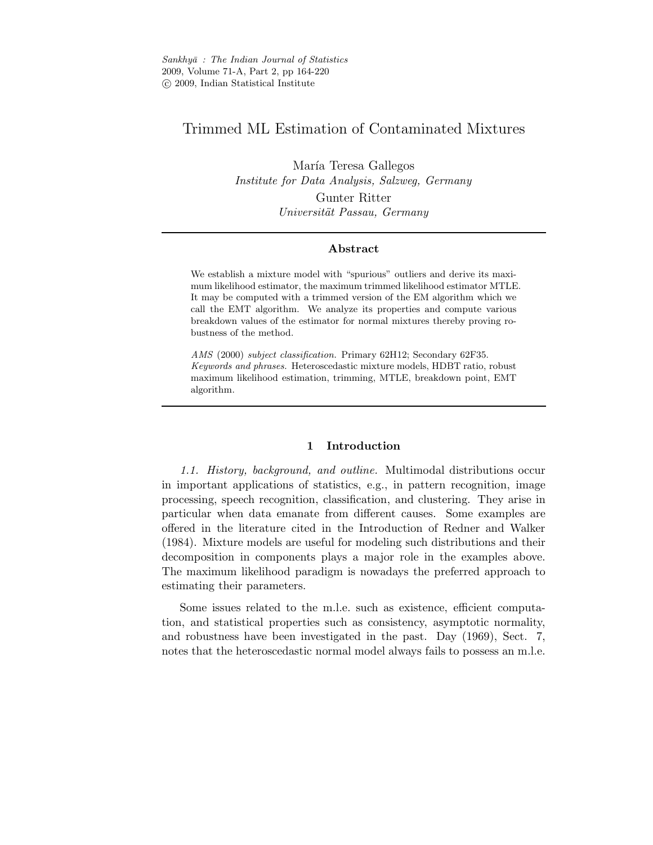# Trimmed ML Estimation of Contaminated Mixtures

María Teresa Gallegos *Institute for Data Analysis, Salzweg, Germany* Gunter Ritter *Universit¨at Passau, Germany*

# Abstract

We establish a mixture model with "spurious" outliers and derive its maximum likelihood estimator, the maximum trimmed likelihood estimator MTLE. It may be computed with a trimmed version of the EM algorithm which we call the EMT algorithm. We analyze its properties and compute various breakdown values of the estimator for normal mixtures thereby proving robustness of the method.

*AMS* (2000) *subject classification.* Primary 62H12; Secondary 62F35. *Keywords and phrases.* Heteroscedastic mixture models, HDBT ratio, robust maximum likelihood estimation, trimming, MTLE, breakdown point, EMT algorithm.

# 1 Introduction

*1.1. History, background, and outline.* Multimodal distributions occur in important applications of statistics, e.g., in pattern recognition, image processing, speech recognition, classification, and clustering. They arise in particular when data emanate from different causes. Some examples are offered in the literature cited in the Introduction of Redner and Walker (1984). Mixture models are useful for modeling such distributions and their decomposition in components plays a major role in the examples above. The maximum likelihood paradigm is nowadays the preferred approach to estimating their parameters.

Some issues related to the m.l.e. such as existence, efficient computation, and statistical properties such as consistency, asymptotic normality, and robustness have been investigated in the past. Day (1969), Sect. 7, notes that the heteroscedastic normal model always fails to possess an m.l.e.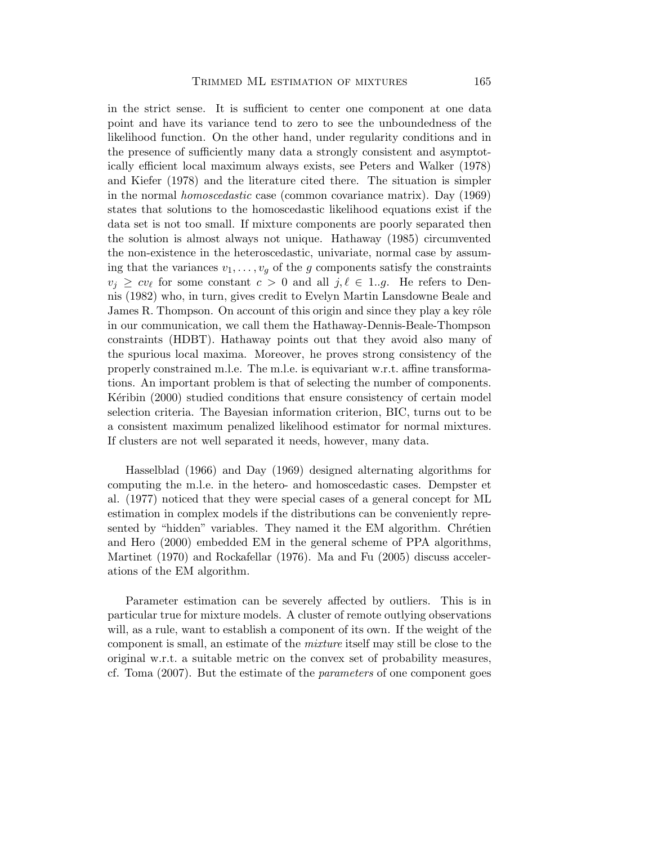in the strict sense. It is sufficient to center one component at one data point and have its variance tend to zero to see the unboundedness of the likelihood function. On the other hand, under regularity conditions and in the presence of sufficiently many data a strongly consistent and asymptotically efficient local maximum always exists, see Peters and Walker (1978) and Kiefer (1978) and the literature cited there. The situation is simpler in the normal *homoscedastic* case (common covariance matrix). Day (1969) states that solutions to the homoscedastic likelihood equations exist if the data set is not too small. If mixture components are poorly separated then the solution is almost always not unique. Hathaway (1985) circumvented the non-existence in the heteroscedastic, univariate, normal case by assuming that the variances  $v_1, \ldots, v_q$  of the g components satisfy the constraints  $v_j \geq cv_\ell$  for some constant  $c > 0$  and all  $j, \ell \in 1..g$ . He refers to Dennis (1982) who, in turn, gives credit to Evelyn Martin Lansdowne Beale and James R. Thompson. On account of this origin and since they play a key rôle in our communication, we call them the Hathaway-Dennis-Beale-Thompson constraints (HDBT). Hathaway points out that they avoid also many of the spurious local maxima. Moreover, he proves strong consistency of the properly constrained m.l.e. The m.l.e. is equivariant w.r.t. affine transformations. An important problem is that of selecting the number of components. Kéribin (2000) studied conditions that ensure consistency of certain model selection criteria. The Bayesian information criterion, BIC, turns out to be a consistent maximum penalized likelihood estimator for normal mixtures. If clusters are not well separated it needs, however, many data.

Hasselblad (1966) and Day (1969) designed alternating algorithms for computing the m.l.e. in the hetero- and homoscedastic cases. Dempster et al. (1977) noticed that they were special cases of a general concept for ML estimation in complex models if the distributions can be conveniently represented by "hidden" variables. They named it the EM algorithm. Chrétien and Hero (2000) embedded EM in the general scheme of PPA algorithms, Martinet (1970) and Rockafellar (1976). Ma and Fu (2005) discuss accelerations of the EM algorithm.

Parameter estimation can be severely affected by outliers. This is in particular true for mixture models. A cluster of remote outlying observations will, as a rule, want to establish a component of its own. If the weight of the component is small, an estimate of the *mixture* itself may still be close to the original w.r.t. a suitable metric on the convex set of probability measures, cf. Toma (2007). But the estimate of the *parameters* of one component goes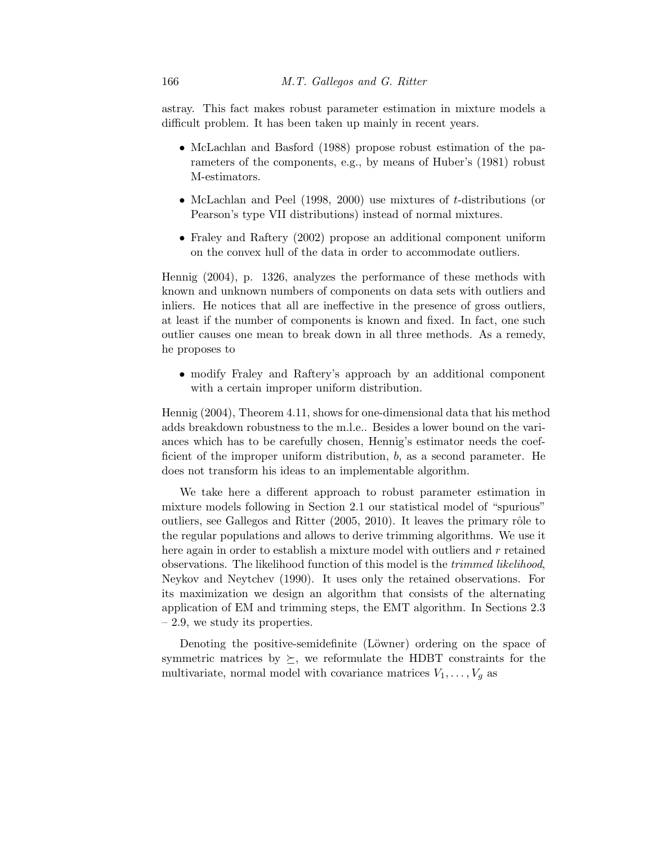astray. This fact makes robust parameter estimation in mixture models a difficult problem. It has been taken up mainly in recent years.

- McLachlan and Basford (1988) propose robust estimation of the parameters of the components, e.g., by means of Huber's (1981) robust M-estimators.
- McLachlan and Peel (1998, 2000) use mixtures of *t*-distributions (or Pearson's type VII distributions) instead of normal mixtures.
- Fraley and Raftery (2002) propose an additional component uniform on the convex hull of the data in order to accommodate outliers.

Hennig (2004), p. 1326, analyzes the performance of these methods with known and unknown numbers of components on data sets with outliers and inliers. He notices that all are ineffective in the presence of gross outliers, at least if the number of components is known and fixed. In fact, one such outlier causes one mean to break down in all three methods. As a remedy, he proposes to

• modify Fraley and Raftery's approach by an additional component with a certain improper uniform distribution.

Hennig (2004), Theorem 4.11, shows for one-dimensional data that his method adds breakdown robustness to the m.l.e.. Besides a lower bound on the variances which has to be carefully chosen, Hennig's estimator needs the coefficient of the improper uniform distribution, b, as a second parameter. He does not transform his ideas to an implementable algorithm.

We take here a different approach to robust parameter estimation in mixture models following in Section 2.1 our statistical model of "spurious" outliers, see Gallegos and Ritter  $(2005, 2010)$ . It leaves the primary rôle to the regular populations and allows to derive trimming algorithms. We use it here again in order to establish a mixture model with outliers and  $r$  retained observations. The likelihood function of this model is the *trimmed likelihood*, Neykov and Neytchev (1990). It uses only the retained observations. For its maximization we design an algorithm that consists of the alternating application of EM and trimming steps, the EMT algorithm. In Sections 2.3 – 2.9, we study its properties.

Denoting the positive-semidefinite (Löwner) ordering on the space of symmetric matrices by  $\succeq$ , we reformulate the HDBT constraints for the multivariate, normal model with covariance matrices  $V_1, \ldots, V_g$  as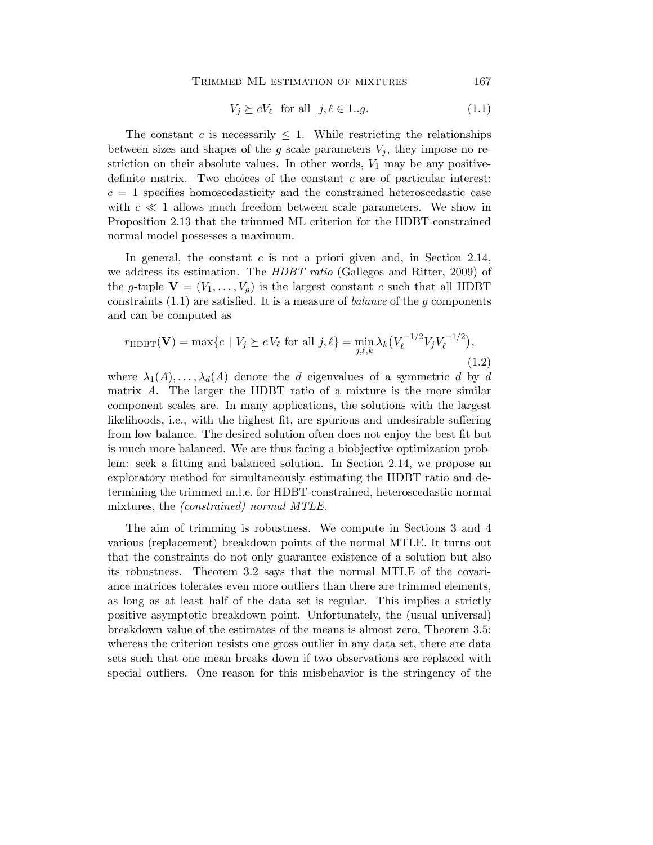TRIMMED ML ESTIMATION OF MIXTURES 167

$$
V_j \succeq cV_\ell \quad \text{for all} \quad j, \ell \in 1..g. \tag{1.1}
$$

The constant c is necessarily  $\leq 1$ . While restricting the relationships between sizes and shapes of the g scale parameters  $V_i$ , they impose no restriction on their absolute values. In other words,  $V_1$  may be any positivedefinite matrix. Two choices of the constant  $c$  are of particular interest:  $c = 1$  specifies homoscedasticity and the constrained heteroscedastic case with  $c \ll 1$  allows much freedom between scale parameters. We show in Proposition 2.13 that the trimmed ML criterion for the HDBT-constrained normal model possesses a maximum.

In general, the constant  $c$  is not a priori given and, in Section 2.14, we address its estimation. The *HDBT ratio* (Gallegos and Ritter, 2009) of the g-tuple  $\mathbf{V} = (V_1, \ldots, V_g)$  is the largest constant c such that all HDBT constraints (1.1) are satisfied. It is a measure of *balance* of the g components and can be computed as

$$
r_{\text{HDBT}}(\mathbf{V}) = \max\{c \mid V_j \succeq cV_\ell \text{ for all } j, \ell\} = \min_{j, \ell, k} \lambda_k \big(V_\ell^{-1/2} V_j V_\ell^{-1/2}\big),\tag{1.2}
$$

where  $\lambda_1(A), \ldots, \lambda_d(A)$  denote the d eigenvalues of a symmetric d by d matrix A. The larger the HDBT ratio of a mixture is the more similar component scales are. In many applications, the solutions with the largest likelihoods, i.e., with the highest fit, are spurious and undesirable suffering from low balance. The desired solution often does not enjoy the best fit but is much more balanced. We are thus facing a biobjective optimization problem: seek a fitting and balanced solution. In Section 2.14, we propose an exploratory method for simultaneously estimating the HDBT ratio and determining the trimmed m.l.e. for HDBT-constrained, heteroscedastic normal mixtures, the *(constrained) normal MTLE*.

The aim of trimming is robustness. We compute in Sections 3 and 4 various (replacement) breakdown points of the normal MTLE. It turns out that the constraints do not only guarantee existence of a solution but also its robustness. Theorem 3.2 says that the normal MTLE of the covariance matrices tolerates even more outliers than there are trimmed elements, as long as at least half of the data set is regular. This implies a strictly positive asymptotic breakdown point. Unfortunately, the (usual universal) breakdown value of the estimates of the means is almost zero, Theorem 3.5: whereas the criterion resists one gross outlier in any data set, there are data sets such that one mean breaks down if two observations are replaced with special outliers. One reason for this misbehavior is the stringency of the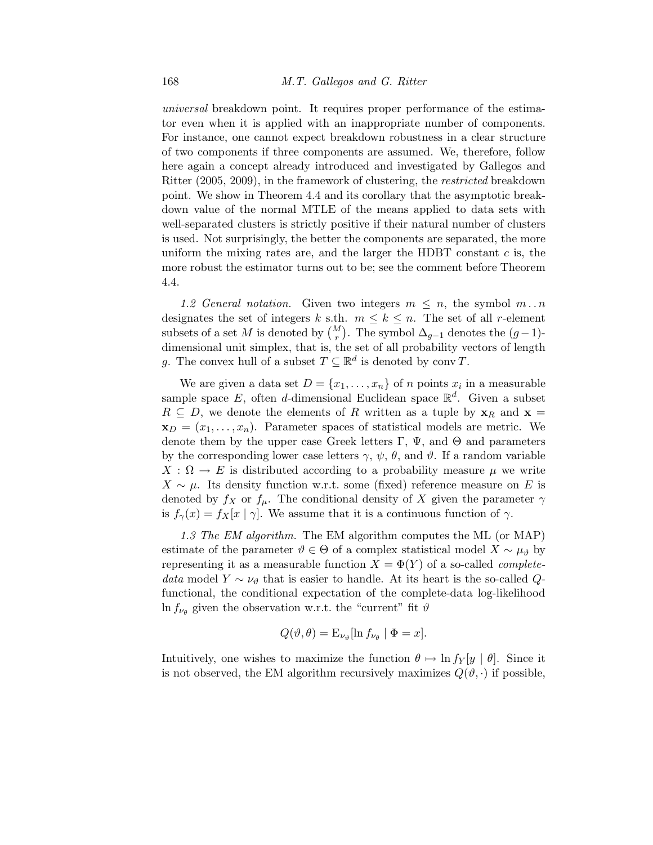*universal* breakdown point. It requires proper performance of the estimator even when it is applied with an inappropriate number of components. For instance, one cannot expect breakdown robustness in a clear structure of two components if three components are assumed. We, therefore, follow here again a concept already introduced and investigated by Gallegos and Ritter (2005, 2009), in the framework of clustering, the *restricted* breakdown point. We show in Theorem 4.4 and its corollary that the asymptotic breakdown value of the normal MTLE of the means applied to data sets with well-separated clusters is strictly positive if their natural number of clusters is used. Not surprisingly, the better the components are separated, the more uniform the mixing rates are, and the larger the HDBT constant  $c$  is, the more robust the estimator turns out to be; see the comment before Theorem 4.4.

1.2 General notation. Given two integers  $m \leq n$ , the symbol  $m \dots n$ designates the set of integers k s.th.  $m \leq k \leq n$ . The set of all r-element subsets of a set M is denoted by  $\binom{M}{r}$ . The symbol  $\Delta_{g-1}$  denotes the  $(g-1)$ dimensional unit simplex, that is, the set of all probability vectors of length g. The convex hull of a subset  $T \subseteq \mathbb{R}^d$  is denoted by conv $T$ .

We are given a data set  $D = \{x_1, \ldots, x_n\}$  of n points  $x_i$  in a measurable sample space E, often d-dimensional Euclidean space  $\mathbb{R}^d$ . Given a subset  $R \subseteq D$ , we denote the elements of R written as a tuple by  $\mathbf{x}_R$  and  $\mathbf{x} =$  $\mathbf{x}_D = (x_1, \ldots, x_n)$ . Parameter spaces of statistical models are metric. We denote them by the upper case Greek letters  $\Gamma$ ,  $\Psi$ , and  $\Theta$  and parameters by the corresponding lower case letters  $\gamma$ ,  $\psi$ ,  $\theta$ , and  $\vartheta$ . If a random variable  $X : \Omega \to E$  is distributed according to a probability measure  $\mu$  we write  $X \sim \mu$ . Its density function w.r.t. some (fixed) reference measure on E is denoted by  $f_X$  or  $f_\mu$ . The conditional density of X given the parameter  $\gamma$ is  $f_{\gamma}(x) = f_{X}[x \mid \gamma]$ . We assume that it is a continuous function of  $\gamma$ .

*1.3 The EM algorithm.* The EM algorithm computes the ML (or MAP) estimate of the parameter  $\vartheta \in \Theta$  of a complex statistical model  $X \sim \mu_{\vartheta}$  by representing it as a measurable function  $X = \Phi(Y)$  of a so-called *completedata* model  $Y \sim \nu_{\theta}$  that is easier to handle. At its heart is the so-called Qfunctional, the conditional expectation of the complete-data log-likelihood  $\ln f_{\nu_{\theta}}$  given the observation w.r.t. the "current" fit  $\vartheta$ 

$$
Q(\vartheta,\theta) = \mathcal{E}_{\nu_{\vartheta}}[\ln f_{\nu_{\theta}} \mid \Phi = x].
$$

Intuitively, one wishes to maximize the function  $\theta \mapsto \ln f_Y[y \mid \theta]$ . Since it is not observed, the EM algorithm recursively maximizes  $Q(\vartheta, \cdot)$  if possible,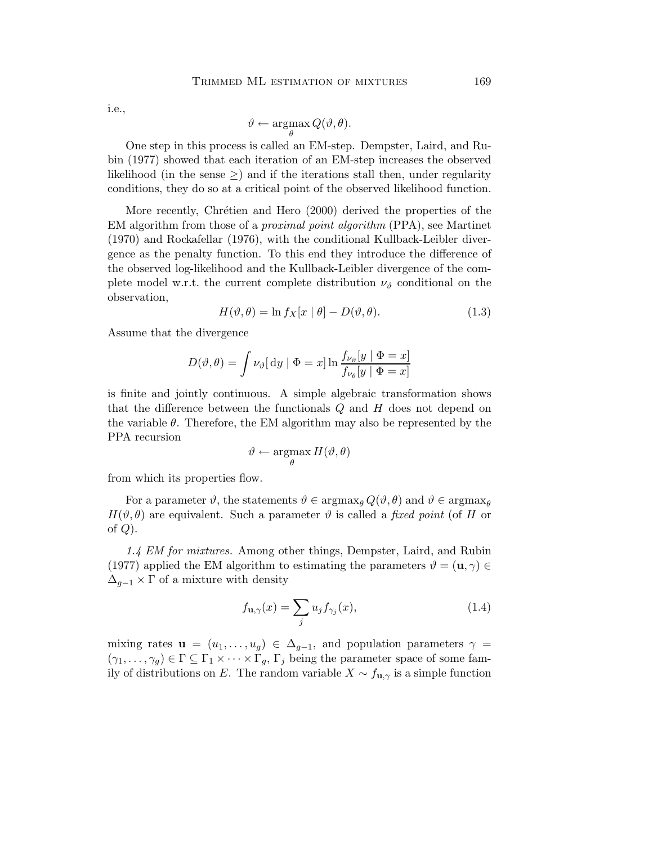i.e.,

$$
\vartheta \leftarrow \operatorname*{argmax}_{\theta} Q(\vartheta, \theta).
$$

One step in this process is called an EM-step. Dempster, Laird, and Rubin (1977) showed that each iteration of an EM-step increases the observed likelihood (in the sense  $\geq$ ) and if the iterations stall then, under regularity conditions, they do so at a critical point of the observed likelihood function.

More recently, Chrétien and Hero (2000) derived the properties of the EM algorithm from those of a *proximal point algorithm* (PPA), see Martinet (1970) and Rockafellar (1976), with the conditional Kullback-Leibler divergence as the penalty function. To this end they introduce the difference of the observed log-likelihood and the Kullback-Leibler divergence of the complete model w.r.t. the current complete distribution  $\nu_{\vartheta}$  conditional on the observation,

$$
H(\vartheta, \theta) = \ln f_X[x \mid \theta] - D(\vartheta, \theta). \tag{1.3}
$$

Assume that the divergence

$$
D(\vartheta, \theta) = \int \nu_{\vartheta} \left[ dy \mid \Phi = x \right] \ln \frac{f_{\nu_{\vartheta}}[y \mid \Phi = x]}{f_{\nu_{\theta}}[y \mid \Phi = x]}
$$

is finite and jointly continuous. A simple algebraic transformation shows that the difference between the functionals  $Q$  and  $H$  does not depend on the variable  $\theta$ . Therefore, the EM algorithm may also be represented by the PPA recursion

$$
\vartheta \leftarrow \operatorname*{argmax}_{\theta} H(\vartheta, \theta)
$$

from which its properties flow.

For a parameter  $\vartheta$ , the statements  $\vartheta \in \arg\max_{\theta} Q(\vartheta, \theta)$  and  $\vartheta \in \arg\max_{\theta} \theta$  $H(\vartheta, \theta)$  are equivalent. Such a parameter  $\vartheta$  is called a *fixed point* (of H or of  $Q$ ).

*1.4 EM for mixtures.* Among other things, Dempster, Laird, and Rubin (1977) applied the EM algorithm to estimating the parameters  $\vartheta = (\mathbf{u}, \gamma) \in$  $\Delta_{g-1} \times \Gamma$  of a mixture with density

$$
f_{\mathbf{u},\gamma}(x) = \sum_{j} u_j f_{\gamma_j}(x),\tag{1.4}
$$

mixing rates  $\mathbf{u} = (u_1, \ldots, u_g) \in \Delta_{g-1}$ , and population parameters  $\gamma =$  $(\gamma_1,\ldots,\gamma_g)\in\Gamma\subseteq\Gamma_1\times\cdots\times\Gamma_g, \Gamma_j$  being the parameter space of some family of distributions on E. The random variable  $X \sim f_{\mathbf{u},\gamma}$  is a simple function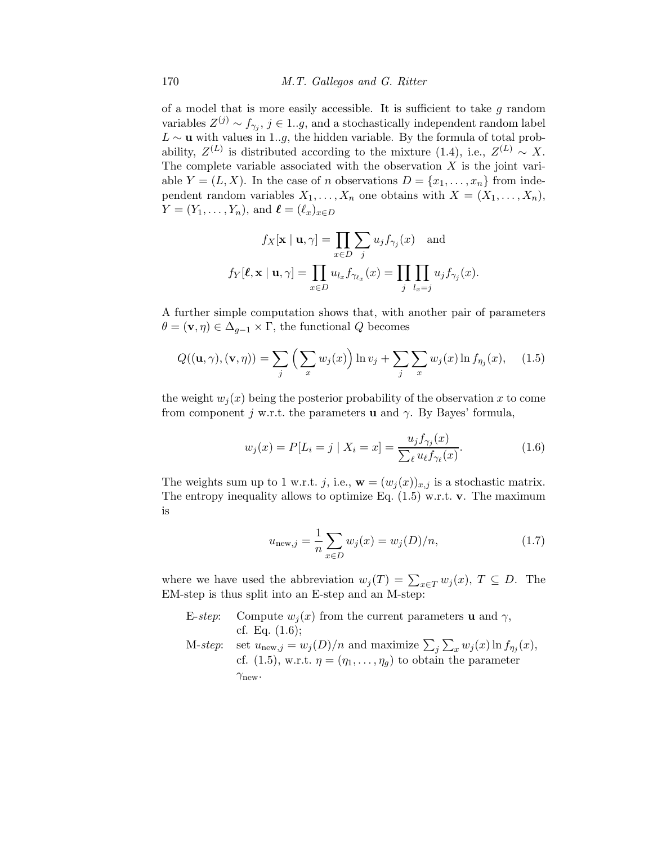of a model that is more easily accessible. It is sufficient to take  $q$  random variables  $Z^{(j)} \sim f_{\gamma_j}, j \in 1..g$ , and a stochastically independent random label  $L \sim u$  with values in 1..g, the hidden variable. By the formula of total probability,  $Z^{(L)}$  is distributed according to the mixture (1.4), i.e.,  $Z^{(L)} \sim X$ . The complete variable associated with the observation  $X$  is the joint variable  $Y = (L, X)$ . In the case of n observations  $D = \{x_1, \ldots, x_n\}$  from independent random variables  $X_1, \ldots, X_n$  one obtains with  $X = (X_1, \ldots, X_n)$ ,  $Y = (Y_1, \ldots, Y_n)$ , and  $\ell = (\ell_x)_{x \in D}$ 

$$
f_X[\mathbf{x} \mid \mathbf{u}, \gamma] = \prod_{x \in D} \sum_j u_j f_{\gamma_j}(x) \text{ and}
$$

$$
f_Y[\ell, \mathbf{x} \mid \mathbf{u}, \gamma] = \prod_{x \in D} u_{l_x} f_{\gamma_{\ell_x}}(x) = \prod_j \prod_{l_x = j} u_j f_{\gamma_j}(x).
$$

A further simple computation shows that, with another pair of parameters  $\theta = (\mathbf{v}, \eta) \in \Delta_{g-1} \times \Gamma$ , the functional Q becomes

$$
Q((\mathbf{u},\gamma),(\mathbf{v},\eta)) = \sum_{j} \left( \sum_{x} w_j(x) \right) \ln v_j + \sum_{j} \sum_{x} w_j(x) \ln f_{\eta_j}(x), \quad (1.5)
$$

the weight  $w_i(x)$  being the posterior probability of the observation x to come from component j w.r.t. the parameters **u** and  $\gamma$ . By Bayes' formula,

$$
w_j(x) = P[L_i = j \mid X_i = x] = \frac{u_j f_{\gamma_j}(x)}{\sum_{\ell} u_{\ell} f_{\gamma_{\ell}}(x)}.
$$
\n(1.6)

The weights sum up to 1 w.r.t. j, i.e.,  $\mathbf{w} = (w_j(x))_{x,j}$  is a stochastic matrix. The entropy inequality allows to optimize Eq.  $(1.5)$  w.r.t. v. The maximum is

$$
u_{\text{new},j} = \frac{1}{n} \sum_{x \in D} w_j(x) = w_j(D)/n,
$$
 (1.7)

where we have used the abbreviation  $w_j(T) = \sum_{x \in T} w_j(x)$ ,  $T \subseteq D$ . The EM-step is thus split into an E-step and an M-step:

E-*step*: Compute  $w_i(x)$  from the current parameters **u** and  $\gamma$ , cf. Eq. (1.6); M-*step*: set  $u_{\text{new},j} = w_j(D)/n$  and maximize  $\sum_j \sum_x w_j(x) \ln f_{\eta_j}(x)$ , cf. (1.5), w.r.t.  $\eta = (\eta_1, \ldots, \eta_q)$  to obtain the parameter  $\gamma_{\text{new}}$ .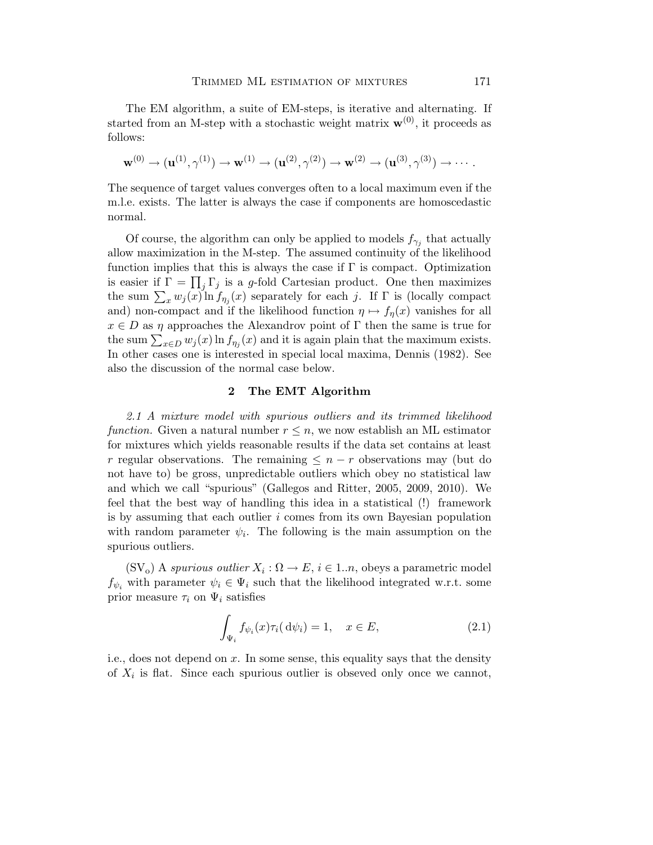The EM algorithm, a suite of EM-steps, is iterative and alternating. If started from an M-step with a stochastic weight matrix  $\mathbf{w}^{(0)}$ , it proceeds as follows:

$$
\mathbf{w}^{(0)} \rightarrow (\mathbf{u}^{(1)}, \gamma^{(1)}) \rightarrow \mathbf{w}^{(1)} \rightarrow (\mathbf{u}^{(2)}, \gamma^{(2)}) \rightarrow \mathbf{w}^{(2)} \rightarrow (\mathbf{u}^{(3)}, \gamma^{(3)}) \rightarrow \cdots.
$$

The sequence of target values converges often to a local maximum even if the m.l.e. exists. The latter is always the case if components are homoscedastic normal.

Of course, the algorithm can only be applied to models  $f_{\gamma_j}$  that actually allow maximization in the M-step. The assumed continuity of the likelihood function implies that this is always the case if  $\Gamma$  is compact. Optimization is easier if  $\Gamma = \prod_j \Gamma_j$  is a g-fold Cartesian product. One then maximizes the sum  $\sum_x w_j(x) \ln f_{\eta_j}(x)$  separately for each j. If  $\Gamma$  is (locally compact and) non-compact and if the likelihood function  $\eta \mapsto f_{\eta}(x)$  vanishes for all  $x \in D$  as  $\eta$  approaches the Alexandrov point of  $\Gamma$  then the same is true for the sum  $\sum_{x \in D} w_j(x) \ln f_{\eta_j}(x)$  and it is again plain that the maximum exists. In other cases one is interested in special local maxima, Dennis (1982). See also the discussion of the normal case below.

## 2 The EMT Algorithm

*2.1 A mixture model with spurious outliers and its trimmed likelihood function.* Given a natural number  $r \leq n$ , we now establish an ML estimator for mixtures which yields reasonable results if the data set contains at least r regular observations. The remaining  $\leq n-r$  observations may (but do not have to) be gross, unpredictable outliers which obey no statistical law and which we call "spurious" (Gallegos and Ritter, 2005, 2009, 2010). We feel that the best way of handling this idea in a statistical (!) framework is by assuming that each outlier  $i$  comes from its own Bayesian population with random parameter  $\psi_i$ . The following is the main assumption on the spurious outliers.

 $(SV_0)$  A *spurious outlier*  $X_i : \Omega \to E$ ,  $i \in 1..n$ , obeys a parametric model  $f_{\psi_i}$  with parameter  $\psi_i \in \Psi_i$  such that the likelihood integrated w.r.t. some prior measure  $\tau_i$  on  $\Psi_i$  satisfies

$$
\int_{\Psi_i} f_{\psi_i}(x) \tau_i(\mathrm{d}\psi_i) = 1, \quad x \in E,\tag{2.1}
$$

i.e., does not depend on x. In some sense, this equality says that the density of  $X_i$  is flat. Since each spurious outlier is obseved only once we cannot,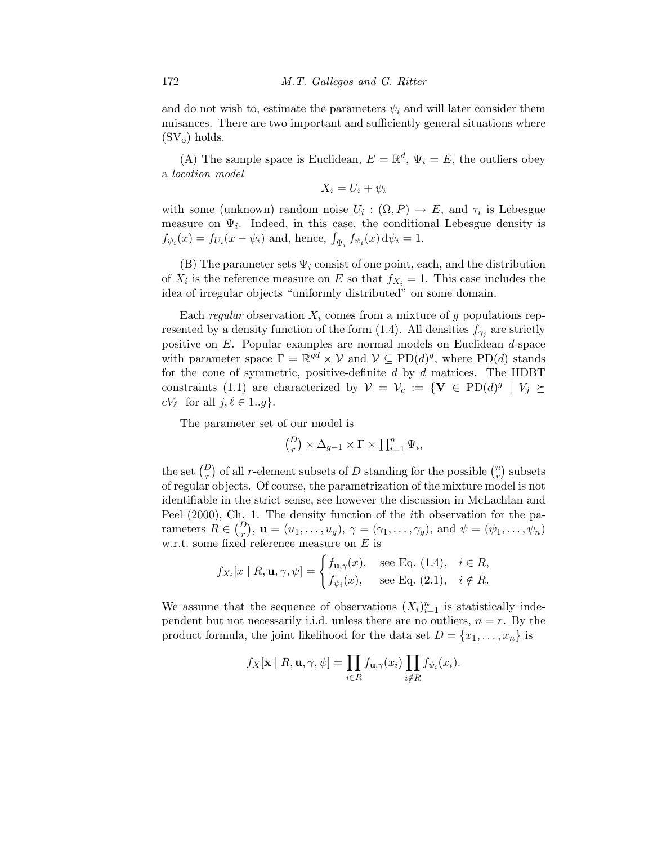and do not wish to, estimate the parameters  $\psi_i$  and will later consider them nuisances. There are two important and sufficiently general situations where  $(SV_0)$  holds.

(A) The sample space is Euclidean,  $E = \mathbb{R}^d$ ,  $\Psi_i = E$ , the outliers obey a *location model*

$$
X_i = U_i + \psi_i
$$

with some (unknown) random noise  $U_i: (\Omega, P) \to E$ , and  $\tau_i$  is Lebesgue measure on  $\Psi_i$ . Indeed, in this case, the conditional Lebesgue density is  $f_{\psi_i}(x) = f_{U_i}(x - \psi_i)$  and, hence,  $\int_{\Psi_i} f_{\psi_i}(x) d\psi_i = 1$ .

(B) The parameter sets  $\Psi_i$  consist of one point, each, and the distribution of  $X_i$  is the reference measure on E so that  $f_{X_i} = 1$ . This case includes the idea of irregular objects "uniformly distributed" on some domain.

Each *regular* observation  $X_i$  comes from a mixture of g populations represented by a density function of the form (1.4). All densities  $f_{\gamma_j}$  are strictly positive on E. Popular examples are normal models on Euclidean d-space with parameter space  $\Gamma = \mathbb{R}^{gd} \times \mathcal{V}$  and  $\mathcal{V} \subseteq \text{PD}(d)^g$ , where  $\text{PD}(d)$  stands for the cone of symmetric, positive-definite  $d$  by  $d$  matrices. The HDBT constraints (1.1) are characterized by  $\mathcal{V} = \mathcal{V}_c := \{ \mathbf{V} \in \text{PD}(d)^g \mid V_j \succeq$  $cV_{\ell}$  for all  $j, \ell \in 1..g$ .

The parameter set of our model is

$$
\binom{D}{r} \times \Delta_{g-1} \times \Gamma \times \prod_{i=1}^n \Psi_i,
$$

the set  $\binom{D}{r}$  of all *r*-element subsets of D standing for the possible  $\binom{n}{r}$  $\binom{n}{r}$  subsets of regular objects. Of course, the parametrization of the mixture model is not identifiable in the strict sense, see however the discussion in McLachlan and Peel (2000), Ch. 1. The density function of the ith observation for the parameters  $R \in \binom{D}{r}$ ,  $\mathbf{u} = (u_1, \ldots, u_g)$ ,  $\gamma = (\gamma_1, \ldots, \gamma_g)$ , and  $\psi = (\psi_1, \ldots, \psi_n)$ w.r.t. some fixed reference measure on  $E$  is

$$
f_{X_i}[x \mid R, \mathbf{u}, \gamma, \psi] = \begin{cases} f_{\mathbf{u}, \gamma}(x), & \text{see Eq. (1.4)}, \quad i \in R, \\ f_{\psi_i}(x), & \text{see Eq. (2.1)}, \quad i \notin R. \end{cases}
$$

We assume that the sequence of observations  $(X_i)_{i=1}^n$  is statistically independent but not necessarily i.i.d. unless there are no outliers,  $n = r$ . By the product formula, the joint likelihood for the data set  $D = \{x_1, \ldots, x_n\}$  is

$$
f_X[\mathbf{x} \mid R, \mathbf{u}, \gamma, \psi] = \prod_{i \in R} f_{\mathbf{u}, \gamma}(x_i) \prod_{i \notin R} f_{\psi_i}(x_i).
$$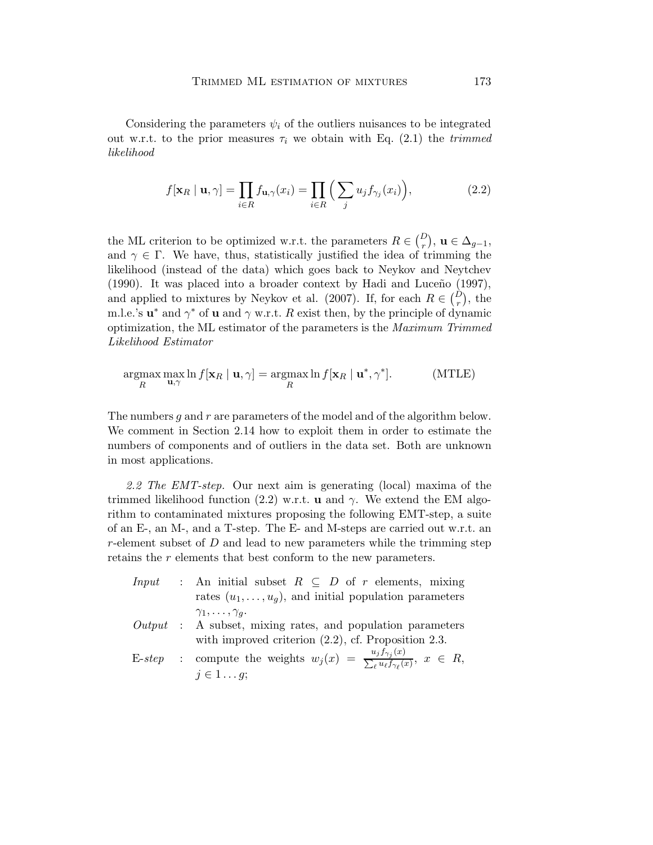Considering the parameters  $\psi_i$  of the outliers nuisances to be integrated out w.r.t. to the prior measures  $\tau_i$  we obtain with Eq. (2.1) the *trimmed likelihood*

$$
f[\mathbf{x}_R \mid \mathbf{u}, \gamma] = \prod_{i \in R} f_{\mathbf{u}, \gamma}(x_i) = \prod_{i \in R} \left( \sum_j u_j f_{\gamma_j}(x_i) \right), \tag{2.2}
$$

the ML criterion to be optimized w.r.t. the parameters  $R \in \binom{D}{r}$ ,  $\mathbf{u} \in \Delta_{g-1}$ , and  $\gamma \in \Gamma$ . We have, thus, statistically justified the idea of trimming the likelihood (instead of the data) which goes back to Neykov and Neytchev  $(1990)$ . It was placed into a broader context by Hadi and Luceño  $(1997)$ , and applied to mixtures by Neykov et al. (2007). If, for each  $R \in \binom{D}{r}$ , the m.l.e.'s  $\mathbf{u}^*$  and  $\gamma^*$  of  $\mathbf{u}$  and  $\gamma$  w.r.t. R exist then, by the principle of dynamic optimization, the ML estimator of the parameters is the *Maximum Trimmed Likelihood Estimator*

$$
\underset{R}{\operatorname{argmax}} \max_{\mathbf{u}, \gamma} \ln f[\mathbf{x}_R \mid \mathbf{u}, \gamma] = \underset{R}{\operatorname{argmax}} \ln f[\mathbf{x}_R \mid \mathbf{u}^*, \gamma^*]. \tag{MTLE}
$$

The numbers  $g$  and  $r$  are parameters of the model and of the algorithm below. We comment in Section 2.14 how to exploit them in order to estimate the numbers of components and of outliers in the data set. Both are unknown in most applications.

*2.2 The EMT-step.* Our next aim is generating (local) maxima of the trimmed likelihood function (2.2) w.r.t. **u** and  $\gamma$ . We extend the EM algorithm to contaminated mixtures proposing the following EMT-step, a suite of an E-, an M-, and a T-step. The E- and M-steps are carried out w.r.t. an r-element subset of  $D$  and lead to new parameters while the trimming step retains the r elements that best conform to the new parameters.

- *Input* : An initial subset  $R \subseteq D$  of r elements, mixing rates  $(u_1, \ldots, u_g)$ , and initial population parameters  $\gamma_1,\ldots,\gamma_q.$ *Output* : A subset, mixing rates, and population parameters
- with improved criterion  $(2.2)$ , cf. Proposition 2.3.
- E-*step* : compute the weights  $w_j(x) = \frac{u_j f_{\gamma_j}(x)}{\sum_{\ell} u_{\ell} f_{\gamma_{\ell}}(x)}$ ,  $x \in R$ ,  $j \in 1 \ldots g;$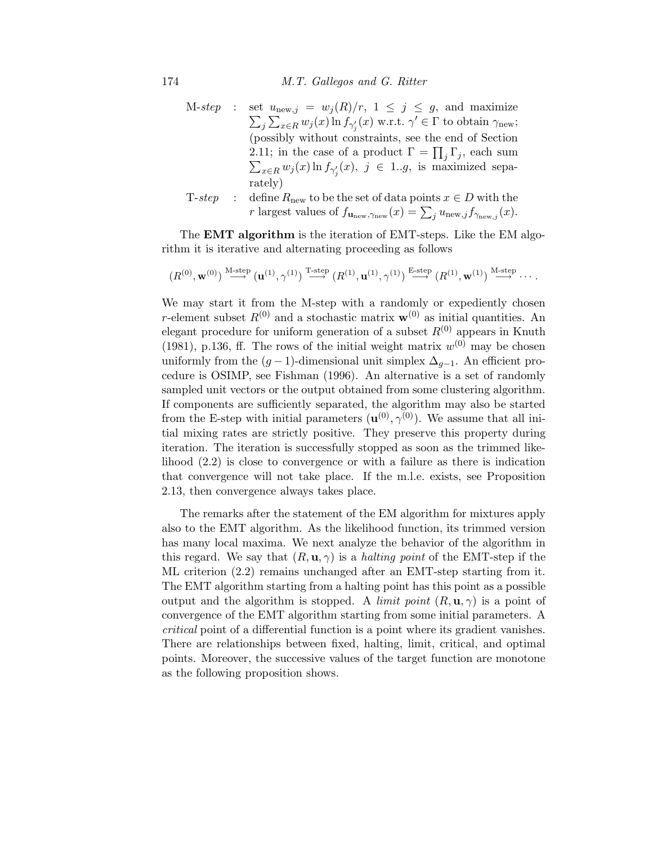174 *M.T. Gallegos and G. Ritter*

- $M-step$  :  $\sum_j \sum_{x \in R} w_j(x) \ln f_{\gamma'_j}(x)$  w.r.t.  $\gamma' \in \Gamma$  to obtain  $\gamma_{\text{new}}$ ; set  $u_{\text{new},j} = w_j(R)/r$ ,  $1 \leq j \leq g$ , and maximize (possibly without constraints, see the end of Section 2.11; in the case of a product  $\Gamma = \prod_j \Gamma_j$ , each sum  $\sum_{x \in R} w_j(x) \ln f_{\gamma'_j}(x), \ j \in 1..g$ , is maximized separately)
- T-*step* : define  $R_{\text{new}}$  to be the set of data points  $x \in D$  with the r largest values of  $f_{\mathbf{u}_{\text{new}},\gamma_{\text{new}}}(x) = \sum_j u_{\text{new},j} f_{\gamma_{\text{new},j}}(x)$ .

The **EMT** algorithm is the iteration of EMT-steps. Like the EM algorithm it is iterative and alternating proceeding as follows

$$
(R^{(0)},\mathbf{w}^{(0)})\overset{\mathrm{M-step}}{\longrightarrow}\left(\mathbf{u}^{(1)},\gamma^{(1)}\right)\overset{\mathrm{T-step}}{\longrightarrow}\left(R^{(1)},\mathbf{u}^{(1)},\gamma^{(1)}\right)\overset{\mathrm{E-step}}{\longrightarrow}\left(R^{(1)},\mathbf{w}^{(1)}\right)\overset{\mathrm{M-step}}{\longrightarrow}\cdots.
$$

We may start it from the M-step with a randomly or expediently chosen r-element subset  $R^{(0)}$  and a stochastic matrix  $\mathbf{w}^{(0)}$  as initial quantities. An elegant procedure for uniform generation of a subset  $R^{(0)}$  appears in Knuth (1981), p.136, ff. The rows of the initial weight matrix  $w^{(0)}$  may be chosen uniformly from the  $(g-1)$ -dimensional unit simplex  $\Delta_{g-1}$ . An efficient procedure is OSIMP, see Fishman (1996). An alternative is a set of randomly sampled unit vectors or the output obtained from some clustering algorithm. If components are sufficiently separated, the algorithm may also be started from the E-step with initial parameters  $(\mathbf{u}^{(0)}, \gamma^{(0)})$ . We assume that all initial mixing rates are strictly positive. They preserve this property during iteration. The iteration is successfully stopped as soon as the trimmed likelihood (2.2) is close to convergence or with a failure as there is indication that convergence will not take place. If the m.l.e. exists, see Proposition 2.13, then convergence always takes place.

The remarks after the statement of the EM algorithm for mixtures apply also to the EMT algorithm. As the likelihood function, its trimmed version has many local maxima. We next analyze the behavior of the algorithm in this regard. We say that  $(R, \mathbf{u}, \gamma)$  is a *halting point* of the EMT-step if the ML criterion (2.2) remains unchanged after an EMT-step starting from it. The EMT algorithm starting from a halting point has this point as a possible output and the algorithm is stopped. A *limit point*  $(R, \mathbf{u}, \gamma)$  is a point of convergence of the EMT algorithm starting from some initial parameters. A *critical* point of a differential function is a point where its gradient vanishes. There are relationships between fixed, halting, limit, critical, and optimal points. Moreover, the successive values of the target function are monotone as the following proposition shows.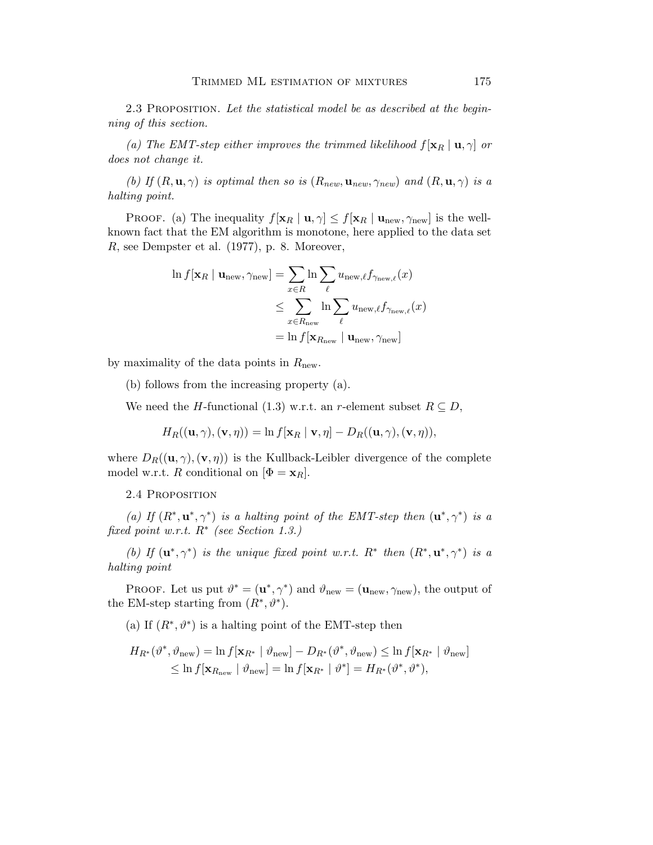2.3 Proposition. *Let the statistical model be as described at the beginning of this section.*

*(a) The EMT-step either improves the trimmed likelihood*  $f[\mathbf{x}_R | \mathbf{u}, \gamma]$  *or does not change it.*

*(b)* If  $(R, \mathbf{u}, \gamma)$  *is optimal then so is*  $(R_{new}, \mathbf{u}_{new}, \gamma_{new})$  *and*  $(R, \mathbf{u}, \gamma)$  *is a halting point.*

PROOF. (a) The inequality  $f[\mathbf{x}_R | \mathbf{u}, \gamma] \leq f[\mathbf{x}_R | \mathbf{u}_{\text{new}}, \gamma_{\text{new}}]$  is the wellknown fact that the EM algorithm is monotone, here applied to the data set R, see Dempster et al. (1977), p. 8. Moreover,

$$
\ln f[\mathbf{x}_R | \mathbf{u}_{\text{new}}, \gamma_{\text{new}}] = \sum_{x \in R} \ln \sum_{\ell} u_{\text{new},\ell} f_{\gamma_{\text{new},\ell}}(x)
$$
  

$$
\leq \sum_{x \in R_{\text{new}}} \ln \sum_{\ell} u_{\text{new},\ell} f_{\gamma_{\text{new},\ell}}(x)
$$
  

$$
= \ln f[\mathbf{x}_{R_{\text{new}}} | \mathbf{u}_{\text{new}}, \gamma_{\text{new}}]
$$

by maximality of the data points in  $R_{\text{new}}$ .

(b) follows from the increasing property (a).

We need the H-functional (1.3) w.r.t. an r-element subset  $R \subseteq D$ ,

$$
H_R((\mathbf{u},\gamma),(\mathbf{v},\eta)) = \ln f[\mathbf{x}_R \mid \mathbf{v},\eta] - D_R((\mathbf{u},\gamma),(\mathbf{v},\eta)),
$$

where  $D_R((\mathbf{u},\gamma),(\mathbf{v},\eta))$  is the Kullback-Leibler divergence of the complete model w.r.t. R conditional on  $[\Phi = \mathbf{x}_R]$ .

2.4 Proposition

(a) If  $(R^*, u^*, \gamma^*)$  *is a halting point of the EMT-step then*  $(u^*, \gamma^*)$  *is a fixed point w.r.t.* R<sup>∗</sup> *(see Section 1.3.)*

*(b)* If  $(\mathbf{u}^*, \gamma^*)$  *is the unique fixed point w.r.t.*  $R^*$  *then*  $(R^*, \mathbf{u}^*, \gamma^*)$  *is a halting point*

PROOF. Let us put  $\vartheta^* = (\mathbf{u}^*, \gamma^*)$  and  $\vartheta_{\text{new}} = (\mathbf{u}_{\text{new}}, \gamma_{\text{new}})$ , the output of the EM-step starting from  $(R^*, \vartheta^*)$ .

(a) If  $(R^*, \theta^*)$  is a halting point of the EMT-step then

$$
H_{R^*}(\vartheta^*, \vartheta_{\text{new}}) = \ln f[\mathbf{x}_{R^*} \mid \vartheta_{\text{new}}] - D_{R^*}(\vartheta^*, \vartheta_{\text{new}}) \le \ln f[\mathbf{x}_{R^*} \mid \vartheta_{\text{new}}]
$$
  

$$
\le \ln f[\mathbf{x}_{R_{\text{new}}} \mid \vartheta_{\text{new}}] = \ln f[\mathbf{x}_{R^*} \mid \vartheta^*] = H_{R^*}(\vartheta^*, \vartheta^*),
$$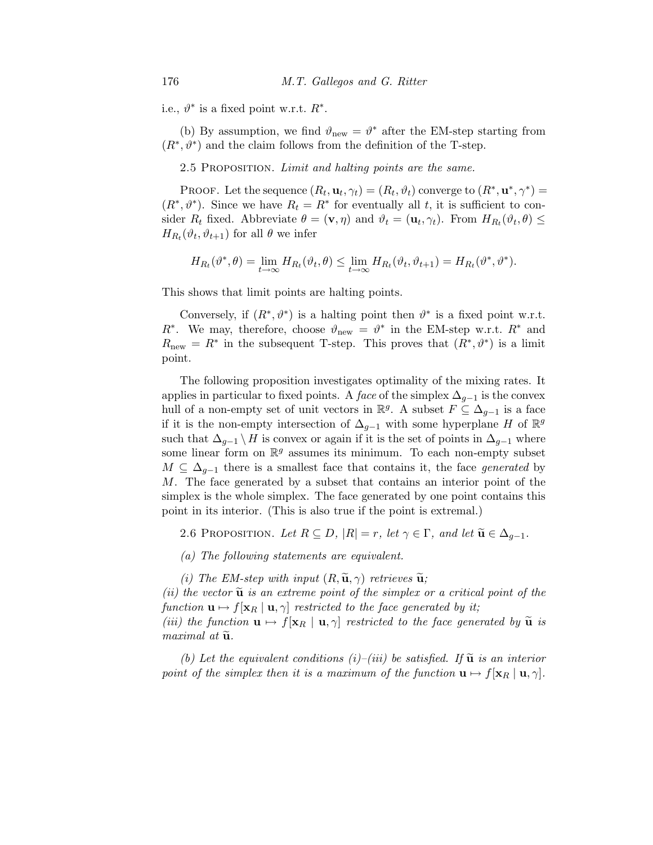i.e.,  $\vartheta^*$  is a fixed point w.r.t.  $R^*$ .

(b) By assumption, we find  $\vartheta_{\text{new}} = \vartheta^*$  after the EM-step starting from  $(R^*, \theta^*)$  and the claim follows from the definition of the T-step.

2.5 Proposition. *Limit and halting points are the same.*

PROOF. Let the sequence  $(R_t, \mathbf{u}_t, \gamma_t) = (R_t, \vartheta_t)$  converge to  $(R^*, \mathbf{u}^*, \gamma^*)$  =  $(R^*, \vartheta^*)$ . Since we have  $R_t = R^*$  for eventually all t, it is sufficient to consider  $R_t$  fixed. Abbreviate  $\theta = (\mathbf{v}, \eta)$  and  $\vartheta_t = (\mathbf{u}_t, \gamma_t)$ . From  $H_{R_t}(\vartheta_t, \theta) \leq$  $H_{R_t}(\vartheta_t, \vartheta_{t+1})$  for all  $\theta$  we infer

$$
H_{R_t}(\vartheta^*,\theta) = \lim_{t \to \infty} H_{R_t}(\vartheta_t,\theta) \le \lim_{t \to \infty} H_{R_t}(\vartheta_t,\vartheta_{t+1}) = H_{R_t}(\vartheta^*,\vartheta^*).
$$

This shows that limit points are halting points.

Conversely, if  $(R^*, \vartheta^*)$  is a halting point then  $\vartheta^*$  is a fixed point w.r.t.  $R^*$ . We may, therefore, choose  $\vartheta_{\text{new}} = \vartheta^*$  in the EM-step w.r.t.  $R^*$  and  $R_{\text{new}} = R^*$  in the subsequent T-step. This proves that  $(R^*, \vartheta^*)$  is a limit point.

The following proposition investigates optimality of the mixing rates. It applies in particular to fixed points. A *face* of the simplex  $\Delta_{q-1}$  is the convex hull of a non-empty set of unit vectors in  $\mathbb{R}^g$ . A subset  $F \subseteq \Delta_{g-1}$  is a face if it is the non-empty intersection of  $\Delta_{g-1}$  with some hyperplane H of  $\mathbb{R}^g$ such that  $\Delta_{q-1} \setminus H$  is convex or again if it is the set of points in  $\Delta_{q-1}$  where some linear form on  $\mathbb{R}^g$  assumes its minimum. To each non-empty subset  $M \subseteq \Delta_{q-1}$  there is a smallest face that contains it, the face *generated* by M. The face generated by a subset that contains an interior point of the simplex is the whole simplex. The face generated by one point contains this point in its interior. (This is also true if the point is extremal.)

2.6 PROPOSITION. Let  $R \subseteq D$ ,  $|R| = r$ , let  $\gamma \in \Gamma$ , and let  $\widetilde{\mathbf{u}} \in \Delta_{q-1}$ .

- *(a) The following statements are equivalent.*
- *(i)* The EM-step with input  $(R, \tilde{u}, \gamma)$  retrieves  $\tilde{u}$ ;

*(ii) the vector*  $\tilde{u}$  *is an extreme point of the simplex or a critical point of the function*  $\mathbf{u} \mapsto f[\mathbf{x}_R \mid \mathbf{u}, \gamma]$  *restricted to the face generated by it; (iii) the function*  $\mathbf{u} \mapsto f[\mathbf{x}_R \mid \mathbf{u}, \gamma]$  *restricted to the face generated by*  $\tilde{\mathbf{u}}$  *is maximal at*  $\tilde{u}$ *.* 

*(b)* Let the equivalent conditions  $(i)$ – $(iii)$  be satisfied. If  $\tilde{u}$  is an interior *point of the simplex then it is a maximum of the function*  $\mathbf{u} \mapsto f[\mathbf{x}_R \mid \mathbf{u}, \gamma]$ *.*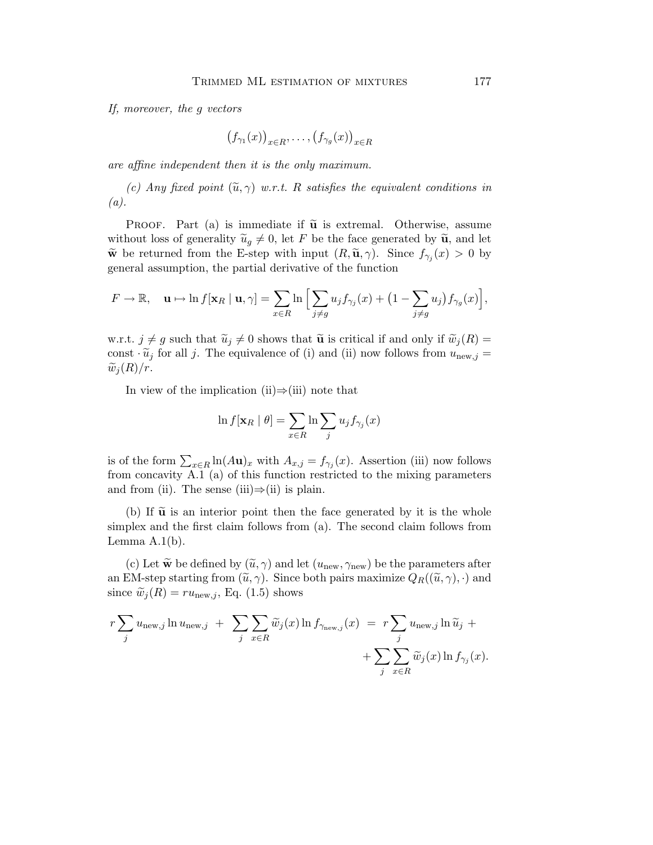*If, moreover, the* g *vectors*

$$
(f_{\gamma_1}(x))_{x \in R}, \ldots, (f_{\gamma_g}(x))_{x \in R}
$$

*are affine independent then it is the only maximum.*

*(c) Any fixed point*  $(\widetilde{u}, \gamma)$  *w.r.t.* R *satisfies the equivalent conditions in (a).*

PROOF. Part (a) is immediate if  $\tilde{u}$  is extremal. Otherwise, assume without loss of generality  $\tilde{u}_g \neq 0$ , let F be the face generated by  $\tilde{u}_i$ , and let we be returned from the E-step with input  $(R, \tilde{u}, \gamma)$ . Since  $f_{\gamma_j}(x) > 0$  by general assumption, the partial derivative of the function

$$
F \to \mathbb{R}, \quad \mathbf{u} \mapsto \ln f[\mathbf{x}_R \mid \mathbf{u}, \gamma] = \sum_{x \in R} \ln \Big[ \sum_{j \neq g} u_j f_{\gamma_j}(x) + \big(1 - \sum_{j \neq g} u_j\big) f_{\gamma_g}(x) \Big],
$$

w.r.t.  $j \neq g$  such that  $\widetilde{u}_j \neq 0$  shows that  $\widetilde{u}_j$  is critical if and only if  $\widetilde{w}_j(R) =$ const  $\cdot \tilde{u}_j$  for all j. The equivalence of (i) and (ii) now follows from  $u_{\text{new},j} =$  $\widetilde{w}_i(R)/r$ .

In view of the implication (ii) $\Rightarrow$ (iii) note that

$$
\ln f[\mathbf{x}_R | \theta] = \sum_{x \in R} \ln \sum_j u_j f_{\gamma_j}(x)
$$

is of the form  $\sum_{x\in R} \ln(A\mathbf{u})_x$  with  $A_{x,j} = f_{\gamma_j}(x)$ . Assertion (iii) now follows from concavity A.1 (a) of this function restricted to the mixing parameters and from (ii). The sense (iii) $\Rightarrow$ (ii) is plain.

(b) If  $\tilde{u}$  is an interior point then the face generated by it is the whole simplex and the first claim follows from (a). The second claim follows from Lemma  $A.1(b)$ .

(c) Let  $\tilde{\mathbf{w}}$  be defined by  $(\tilde{u}, \gamma)$  and let  $(u_{\text{new}}, \gamma_{\text{new}})$  be the parameters after an EM-step starting from  $(\tilde{u}, \gamma)$ . Since both pairs maximize  $Q_R((\tilde{u}, \gamma), \cdot)$  and since  $\widetilde{w}_i(R) = ru_{\text{new},i}$ , Eq. (1.5) shows

$$
r \sum_{j} u_{\text{new},j} \ln u_{\text{new},j} + \sum_{j} \sum_{x \in R} \widetilde{w}_{j}(x) \ln f_{\gamma_{\text{new},j}}(x) = r \sum_{j} u_{\text{new},j} \ln \widetilde{u}_{j} + \sum_{j} \sum_{x \in R} \widetilde{w}_{j}(x) \ln f_{\gamma_{j}}(x).
$$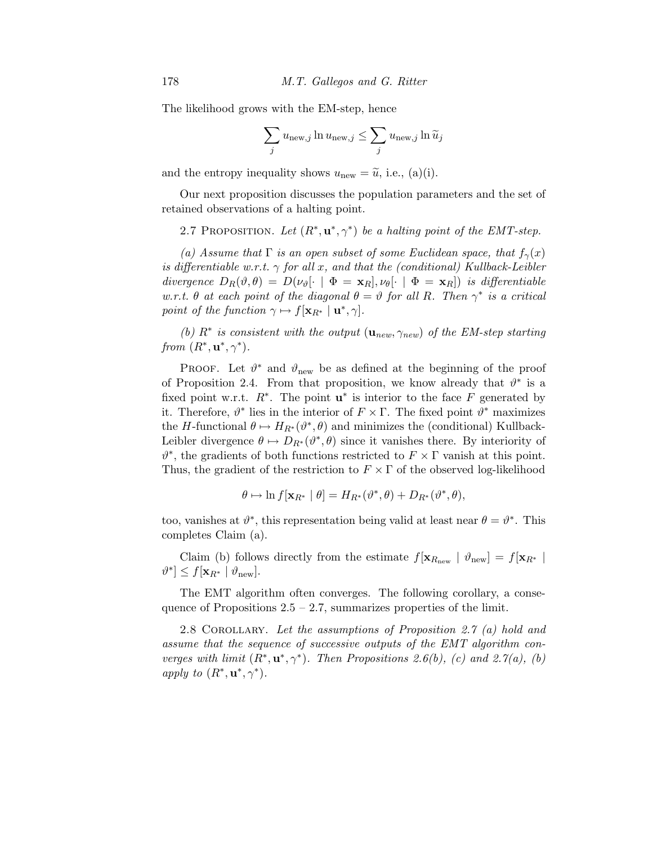The likelihood grows with the EM-step, hence

$$
\sum_j u_{\text{new},j} \ln u_{\text{new},j} \le \sum_j u_{\text{new},j} \ln \widetilde{u}_j
$$

and the entropy inequality shows  $u_{\text{new}} = \tilde{u}$ , i.e., (a)(i).

Our next proposition discusses the population parameters and the set of retained observations of a halting point.

2.7 PROPOSITION. Let  $(R^*, u^*, \gamma^*)$  be a halting point of the EMT-step.

*(a)* Assume that  $\Gamma$  *is an open subset of some Euclidean space, that*  $f_{\gamma}(x)$ *is differentiable w.r.t.* γ *for all* x*, and that the (conditional) Kullback-Leibler divergence*  $D_R(\vartheta, \theta) = D(\nu_{\vartheta}[\cdot \mid \Phi = \mathbf{x}_R], \nu_{\theta}[\cdot \mid \Phi = \mathbf{x}_R])$  *is differentiable w.r.t.*  $\theta$  *at each point of the diagonal*  $\theta = \vartheta$  *for all R. Then*  $\gamma^*$  *is a critical point of the function*  $\gamma \mapsto f[\mathbf{x}_{R^*} \mid \mathbf{u}^*, \gamma]$ *.* 

(b)  $R^*$  is consistent with the output  $(\mathbf{u}_{new}, \gamma_{new})$  of the EM-step starting *from*  $(R^*, \mathbf{u}^*, \gamma^*)$ *.* 

PROOF. Let  $\vartheta^*$  and  $\vartheta_{\text{new}}$  be as defined at the beginning of the proof of Proposition 2.4. From that proposition, we know already that  $\vartheta^*$  is a fixed point w.r.t.  $R^*$ . The point  $\mathbf{u}^*$  is interior to the face F generated by it. Therefore,  $\vartheta^*$  lies in the interior of  $F \times \Gamma$ . The fixed point  $\vartheta^*$  maximizes the H-functional  $\theta \mapsto H_{R^*}(\theta^*, \theta)$  and minimizes the (conditional) Kullback-Leibler divergence  $\theta \mapsto D_{R^*}(\theta^*, \theta)$  since it vanishes there. By interiority of  $\vartheta^*$ , the gradients of both functions restricted to  $F \times \Gamma$  vanish at this point. Thus, the gradient of the restriction to  $F \times \Gamma$  of the observed log-likelihood

$$
\theta \mapsto \ln f[\mathbf{x}_{R^*} \mid \theta] = H_{R^*}(\vartheta^*, \theta) + D_{R^*}(\vartheta^*, \theta),
$$

too, vanishes at  $\vartheta^*$ , this representation being valid at least near  $\theta = \vartheta^*$ . This completes Claim (a).

Claim (b) follows directly from the estimate  $f[\mathbf{x}_{R_{\text{new}}} | \vartheta_{\text{new}}] = f[\mathbf{x}_{R^*}]$  $\vartheta^* \leq f[\mathbf{x}_{R^*} | \vartheta_{\text{new}}].$ 

The EMT algorithm often converges. The following corollary, a consequence of Propositions  $2.5 - 2.7$ , summarizes properties of the limit.

2.8 Corollary. *Let the assumptions of Proposition 2.7 (a) hold and assume that the sequence of successive outputs of the EMT algorithm converges with limit*  $(R^*, u^*, \gamma^*)$ *. Then Propositions 2.6(b), (c) and 2.7(a), (b) apply to*  $(R^*, \mathbf{u}^*, \gamma^*)$ *.*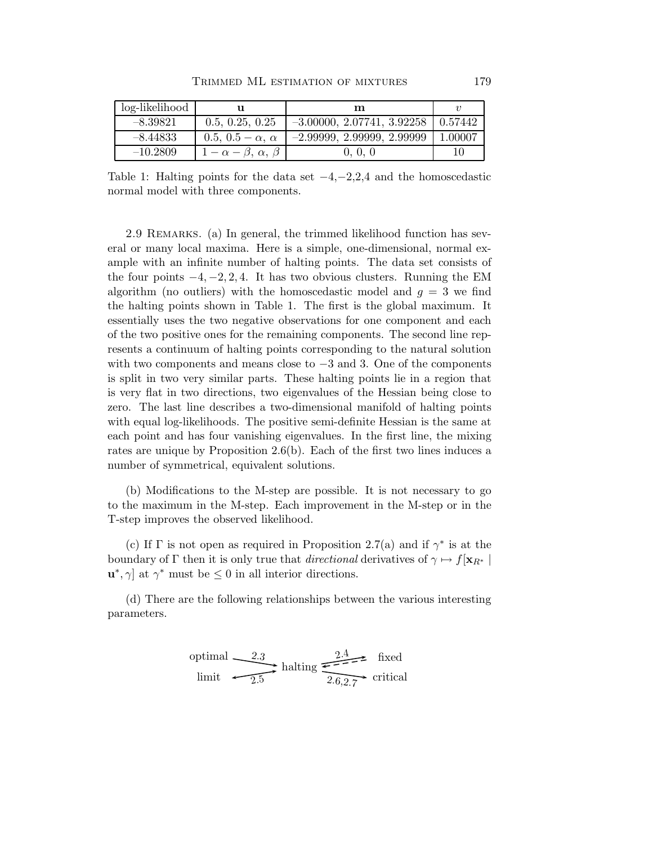| log-likelihood |                                 | m                            |         |
|----------------|---------------------------------|------------------------------|---------|
| $-8.39821$     | 0.5, 0.25, 0.25                 | $-3.00000, 2.07741, 3.92258$ | 0.57442 |
| $-8.44833$     | 0.5, 0.5 – $\alpha$ , $\alpha$  | $-2.99999, 2.99999, 2.99999$ | 1.00007 |
| $-10.2809$     | $1-\alpha-\beta, \alpha, \beta$ | 0, 0, 0                      | 10      |

Table 1: Halting points for the data set  $-4, -2, 2, 4$  and the homoscedastic normal model with three components.

2.9 REMARKS. (a) In general, the trimmed likelihood function has several or many local maxima. Here is a simple, one-dimensional, normal example with an infinite number of halting points. The data set consists of the four points  $-4, -2, 2, 4$ . It has two obvious clusters. Running the EM algorithm (no outliers) with the homoscedastic model and  $g = 3$  we find the halting points shown in Table 1. The first is the global maximum. It essentially uses the two negative observations for one component and each of the two positive ones for the remaining components. The second line represents a continuum of halting points corresponding to the natural solution with two components and means close to  $-3$  and 3. One of the components is split in two very similar parts. These halting points lie in a region that is very flat in two directions, two eigenvalues of the Hessian being close to zero. The last line describes a two-dimensional manifold of halting points with equal log-likelihoods. The positive semi-definite Hessian is the same at each point and has four vanishing eigenvalues. In the first line, the mixing rates are unique by Proposition 2.6(b). Each of the first two lines induces a number of symmetrical, equivalent solutions.

(b) Modifications to the M-step are possible. It is not necessary to go to the maximum in the M-step. Each improvement in the M-step or in the T-step improves the observed likelihood.

(c) If  $\Gamma$  is not open as required in Proposition 2.7(a) and if  $\gamma^*$  is at the boundary of  $\Gamma$  then it is only true that *directional* derivatives of  $\gamma \mapsto f[\mathbf{x}_{R^*}]$  $\mathbf{u}^*, \gamma$  at  $\gamma^*$  must be  $\leq 0$  in all interior directions.

(d) There are the following relationships between the various interesting parameters.

optimal limit halting critical 2.3 fixed 2.5 2.4 2.6,2.7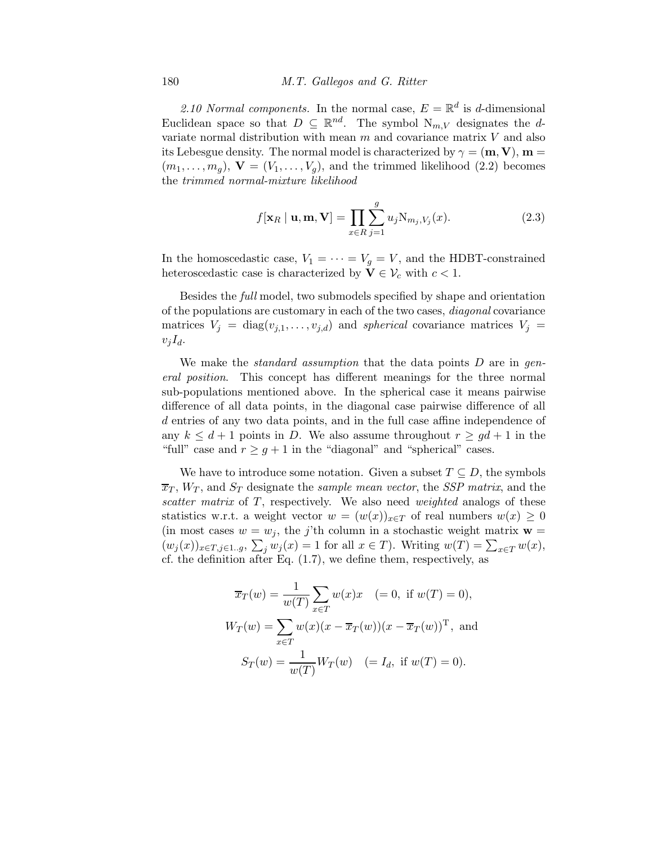2.10 Normal components. In the normal case,  $E = \mathbb{R}^d$  is d-dimensional Euclidean space so that  $D \subseteq \mathbb{R}^{nd}$ . The symbol  $N_{m,V}$  designates the dvariate normal distribution with mean  $m$  and covariance matrix  $V$  and also its Lebesgue density. The normal model is characterized by  $\gamma = (\mathbf{m}, \mathbf{V})$ ,  $\mathbf{m} =$  $(m_1,\ldots,m_q),$   $\mathbf{V}=(V_1,\ldots,V_q),$  and the trimmed likelihood (2.2) becomes the *trimmed normal-mixture likelihood*

$$
f[\mathbf{x}_R \mid \mathbf{u}, \mathbf{m}, \mathbf{V}] = \prod_{x \in R} \sum_{j=1}^g u_j \mathbf{N}_{m_j, V_j}(x).
$$
 (2.3)

In the homoscedastic case,  $V_1 = \cdots = V_q = V$ , and the HDBT-constrained heteroscedastic case is characterized by  $\mathbf{V} \in \mathcal{V}_c$  with  $c < 1$ .

Besides the *full* model, two submodels specified by shape and orientation of the populations are customary in each of the two cases, *diagonal* covariance matrices  $V_j = \text{diag}(v_{j,1},\ldots,v_{j,d})$  and *spherical* covariance matrices  $V_j =$  $v_jI_d$ .

We make the *standard assumption* that the data points D are in *general position*. This concept has different meanings for the three normal sub-populations mentioned above. In the spherical case it means pairwise difference of all data points, in the diagonal case pairwise difference of all d entries of any two data points, and in the full case affine independence of any  $k \leq d+1$  points in D. We also assume throughout  $r \geq gd+1$  in the "full" case and  $r \geq g+1$  in the "diagonal" and "spherical" cases.

We have to introduce some notation. Given a subset  $T \subseteq D$ , the symbols  $\overline{x}_T$ ,  $W_T$ , and  $S_T$  designate the *sample mean vector*, the *SSP matrix*, and the *scatter matrix* of T, respectively. We also need *weighted* analogs of these statistics w.r.t. a weight vector  $w = (w(x))_{x \in T}$  of real numbers  $w(x) \geq 0$ (in most cases  $w = w_j$ , the j'th column in a stochastic weight matrix  $\mathbf{w} =$  $(w_j(x))_{x \in T, j \in 1..g}, \sum_j w_j(x) = 1$  for all  $x \in T$ ). Writing  $w(T) = \sum_{x \in T} w(x)$ , cf. the definition after Eq. (1.7), we define them, respectively, as

$$
\overline{x}_T(w) = \frac{1}{w(T)} \sum_{x \in T} w(x)x \quad (= 0, \text{ if } w(T) = 0),
$$
  

$$
W_T(w) = \sum_{x \in T} w(x)(x - \overline{x}_T(w))(x - \overline{x}_T(w))^T, \text{ and}
$$
  

$$
S_T(w) = \frac{1}{w(T)} W_T(w) \quad (= I_d, \text{ if } w(T) = 0).
$$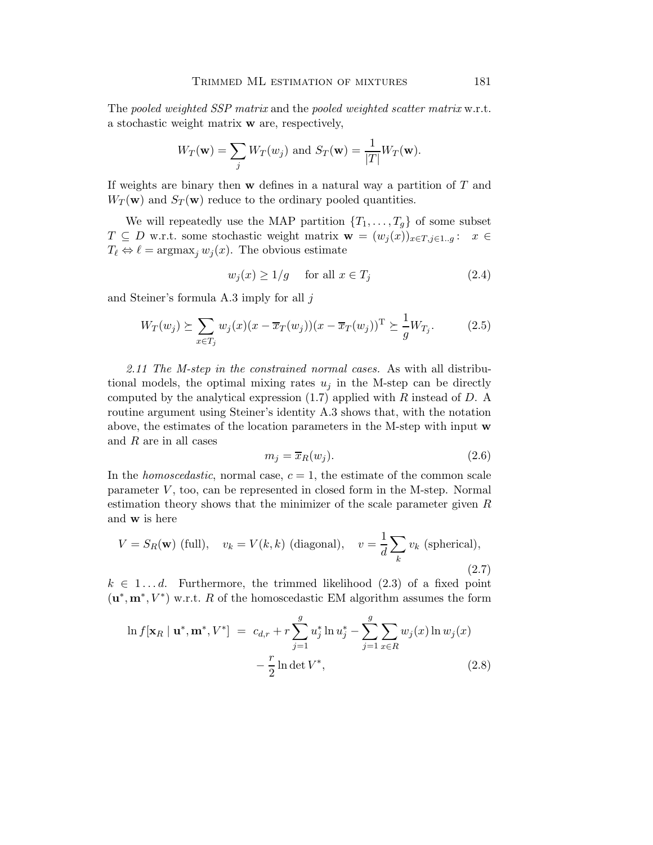The *pooled weighted SSP matrix* and the *pooled weighted scatter matrix* w.r.t. a stochastic weight matrix w are, respectively,

$$
W_T(\mathbf{w}) = \sum_j W_T(w_j) \text{ and } S_T(\mathbf{w}) = \frac{1}{|T|} W_T(\mathbf{w}).
$$

If weights are binary then  $\bf{w}$  defines in a natural way a partition of  $T$  and  $W_T(\mathbf{w})$  and  $S_T(\mathbf{w})$  reduce to the ordinary pooled quantities.

We will repeatedly use the MAP partition  $\{T_1,\ldots,T_g\}$  of some subset  $T \subseteq D$  w.r.t. some stochastic weight matrix  $\mathbf{w} = (w_j(x))_{x \in T, j \in 1..g}$ :  $x \in$  $T_{\ell} \Leftrightarrow \ell = \operatorname{argmax}_{j} w_{j}(x)$ . The obvious estimate

$$
w_j(x) \ge 1/g \quad \text{for all } x \in T_j \tag{2.4}
$$

and Steiner's formula A.3 imply for all j

$$
W_T(w_j) \succeq \sum_{x \in T_j} w_j(x) (x - \overline{x}_T(w_j)) (x - \overline{x}_T(w_j))^{\mathrm{T}} \succeq \frac{1}{g} W_{T_j}.
$$
 (2.5)

*2.11 The M-step in the constrained normal cases.* As with all distributional models, the optimal mixing rates  $u_j$  in the M-step can be directly computed by the analytical expression  $(1.7)$  applied with R instead of D. A routine argument using Steiner's identity A.3 shows that, with the notation above, the estimates of the location parameters in the M-step with input w and R are in all cases

$$
m_j = \overline{x}_R(w_j). \tag{2.6}
$$

In the *homoscedastic*, normal case,  $c = 1$ , the estimate of the common scale parameter  $V$ , too, can be represented in closed form in the M-step. Normal estimation theory shows that the minimizer of the scale parameter given  $R$ and w is here

$$
V = S_R(\mathbf{w}) \text{ (full)}, \quad v_k = V(k, k) \text{ (diagonal)}, \quad v = \frac{1}{d} \sum_k v_k \text{ (spherical)},
$$
\n
$$
(2.7)
$$

 $k \in 1...d$ . Furthermore, the trimmed likelihood  $(2.3)$  of a fixed point  $(\mathbf{u}^*, \mathbf{m}^*, V^*)$  w.r.t. R of the homoscedastic EM algorithm assumes the form

$$
\ln f[\mathbf{x}_R \mid \mathbf{u}^*, \mathbf{m}^*, V^*] = c_{d,r} + r \sum_{j=1}^g u_j^* \ln u_j^* - \sum_{j=1}^g \sum_{x \in R} w_j(x) \ln w_j(x) - \frac{r}{2} \ln \det V^*,
$$
\n(2.8)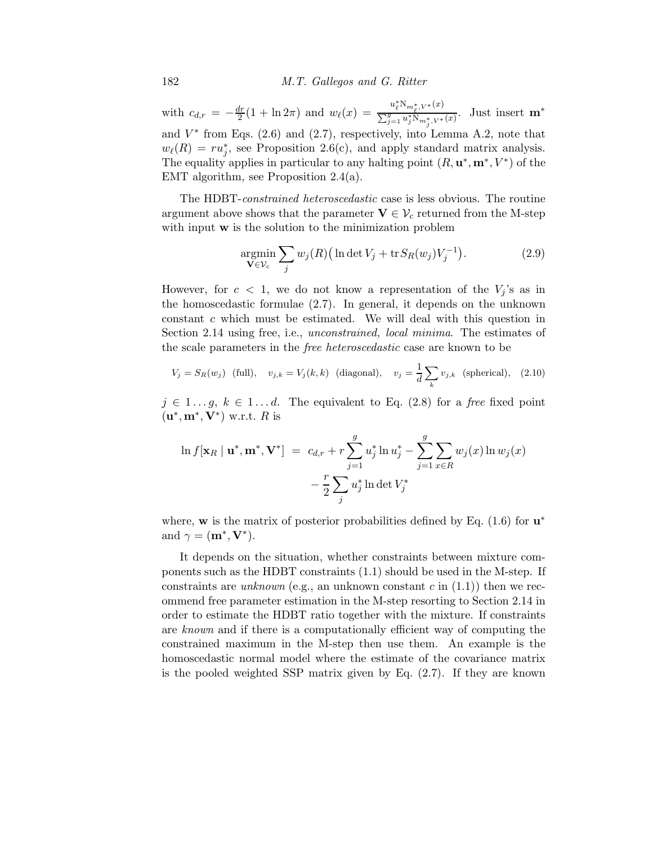with  $c_{d,r} = -\frac{dr}{2}$  $\frac{dr}{2}(1+\ln 2\pi)$  and  $w_{\ell}(x) = \frac{u_{\ell}^{*}N_{m_{\ell}^{*},V^{*}}(x)}{\sum_{i=1}^{g}u_{i}^{*}N_{m^{*},V^{*}}(x)}$  $\frac{\sum_{j=1}^g u_j^* \mathcal{N}_{m_j^*}, V^*(x)}{\sum_{j=1}^g u_j^* \mathcal{N}_{m_j^*}, V^*(x)}$ . Just insert  $\mathbf{m}^*$ and  $V^*$  from Eqs. (2.6) and (2.7), respectively, into Lemma A.2, note that  $w_{\ell}(R) = ru_j^*$ , see Proposition 2.6(c), and apply standard matrix analysis. The equality applies in particular to any halting point  $(R, \mathbf{u}^*, \mathbf{m}^*, V^*)$  of the EMT algorithm, see Proposition 2.4(a).

The HDBT-*constrained heteroscedastic* case is less obvious. The routine argument above shows that the parameter  $V \in \mathcal{V}_c$  returned from the M-step with input **w** is the solution to the minimization problem

$$
\underset{\mathbf{V}\in\mathcal{V}_c}{\text{argmin}} \sum_j w_j(R) \Big( \ln \det V_j + \operatorname{tr} S_R(w_j) V_j^{-1} \Big). \tag{2.9}
$$

However, for  $c < 1$ , we do not know a representation of the  $V_i$ 's as in the homoscedastic formulae  $(2.7)$ . In general, it depends on the unknown constant c which must be estimated. We will deal with this question in Section 2.14 using free, i.e., *unconstrained, local minima*. The estimates of the scale parameters in the *free heteroscedastic* case are known to be

$$
V_j = S_R(w_j) \quad \text{(full)}, \quad v_{j,k} = V_j(k,k) \quad \text{(diagonal)}, \quad v_j = \frac{1}{d} \sum_k v_{j,k} \quad \text{(spherical)}, \quad \text{(2.10)}
$$

 $j \in 1...g, k \in 1...d$ . The equivalent to Eq. (2.8) for a *free* fixed point  $(\mathbf{u}^*, \mathbf{m}^*, \mathbf{V}^*)$  w.r.t. R is

$$
\ln f[\mathbf{x}_R \mid \mathbf{u}^*, \mathbf{m}^*, \mathbf{V}^*] = c_{d,r} + r \sum_{j=1}^g u_j^* \ln u_j^* - \sum_{j=1}^g \sum_{x \in R} w_j(x) \ln w_j(x) - \frac{r}{2} \sum_j u_j^* \ln \det V_j^*
$$

where, w is the matrix of posterior probabilities defined by Eq.  $(1.6)$  for  $\mathbf{u}^*$ and  $\gamma = (\mathbf{m}^*, \mathbf{V}^*).$ 

It depends on the situation, whether constraints between mixture components such as the HDBT constraints (1.1) should be used in the M-step. If constraints are *unknown* (e.g., an unknown constant c in  $(1.1)$ ) then we recommend free parameter estimation in the M-step resorting to Section 2.14 in order to estimate the HDBT ratio together with the mixture. If constraints are *known* and if there is a computationally efficient way of computing the constrained maximum in the M-step then use them. An example is the homoscedastic normal model where the estimate of the covariance matrix is the pooled weighted SSP matrix given by Eq. (2.7). If they are known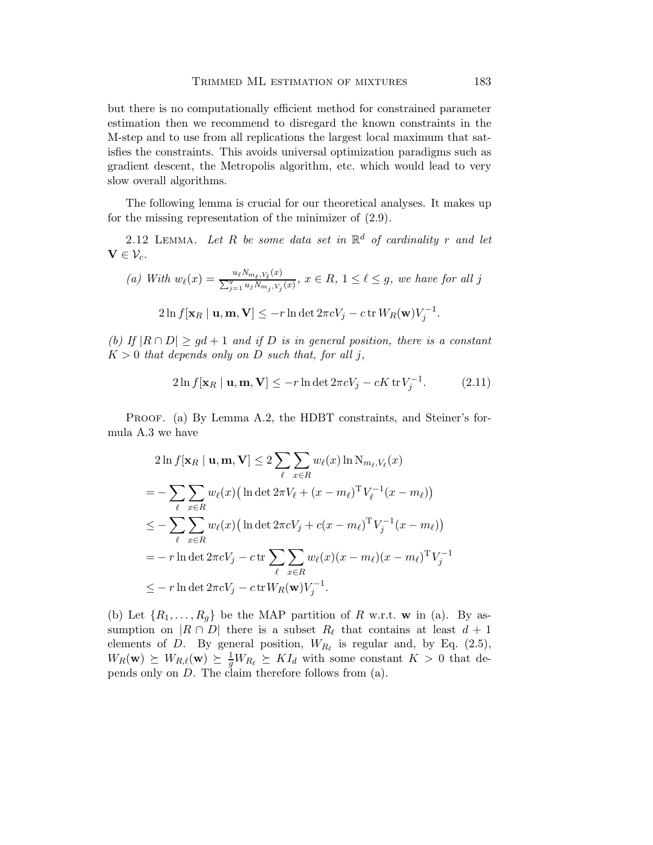but there is no computationally efficient method for constrained parameter estimation then we recommend to disregard the known constraints in the M-step and to use from all replications the largest local maximum that satisfies the constraints. This avoids universal optimization paradigms such as gradient descent, the Metropolis algorithm, etc. which would lead to very slow overall algorithms.

The following lemma is crucial for our theoretical analyses. It makes up for the missing representation of the minimizer of (2.9).

2.12 LEMMA. Let  $R$  be some data set in  $\mathbb{R}^d$  of cardinality  $r$  and let  $\mathbf{V} \in \mathcal{V}_c$ .

(a) With 
$$
w_{\ell}(x) = \frac{u_{\ell}N_{m_{\ell},V_{\ell}}(x)}{\sum_{j=1}^{g} u_j N_{m_j,V_j}(x)}, x \in R, 1 \leq \ell \leq g
$$
, we have for all j  
\n
$$
2\ln f[\mathbf{x}_R \mid \mathbf{u}, \mathbf{m}, \mathbf{V}] \leq -r \ln \det 2\pi c V_j - c \operatorname{tr} W_R(\mathbf{w}) V_j^{-1}.
$$

*(b)* If  $|R \cap D| \geq qd + 1$  *and if* D *is in general position, there is a constant*  $K > 0$  *that depends only on* D *such that, for all j,* 

$$
2\ln f[\mathbf{x}_R \mid \mathbf{u}, \mathbf{m}, \mathbf{V}] \le -r \ln \det 2\pi c V_j - cK \operatorname{tr} V_j^{-1}.
$$
 (2.11)

PROOF. (a) By Lemma A.2, the HDBT constraints, and Steiner's formula A.3 we have

$$
2\ln f[\mathbf{x}_R \mid \mathbf{u}, \mathbf{m}, \mathbf{V}] \le 2 \sum_{\ell} \sum_{x \in R} w_{\ell}(x) \ln N_{m_{\ell}, V_{\ell}}(x)
$$
  
= 
$$
- \sum_{\ell} \sum_{x \in R} w_{\ell}(x) \left( \ln \det 2\pi V_{\ell} + (x - m_{\ell})^{\mathrm{T}} V_{\ell}^{-1} (x - m_{\ell}) \right)
$$
  

$$
\le - \sum_{\ell} \sum_{x \in R} w_{\ell}(x) \left( \ln \det 2\pi c V_{j} + c(x - m_{\ell})^{\mathrm{T}} V_{j}^{-1} (x - m_{\ell}) \right)
$$
  
= 
$$
- r \ln \det 2\pi c V_{j} - c \operatorname{tr} \sum_{\ell} \sum_{x \in R} w_{\ell}(x) (x - m_{\ell}) (x - m_{\ell})^{\mathrm{T}} V_{j}^{-1}
$$
  

$$
\le - r \ln \det 2\pi c V_{j} - c \operatorname{tr} W_{R}(\mathbf{w}) V_{j}^{-1}.
$$

(b) Let  $\{R_1,\ldots,R_g\}$  be the MAP partition of R w.r.t. w in (a). By assumption on  $|R \cap D|$  there is a subset  $R_{\ell}$  that contains at least  $d+1$ elements of D. By general position,  $W_{R_{\ell}}$  is regular and, by Eq. (2.5),  $W_R(\mathbf{w}) \succeq W_{R,\ell}(\mathbf{w}) \succeq \frac{1}{g} W_{R_\ell} \succeq K I_d$  with some constant  $K > 0$  that depends only on D. The claim therefore follows from (a).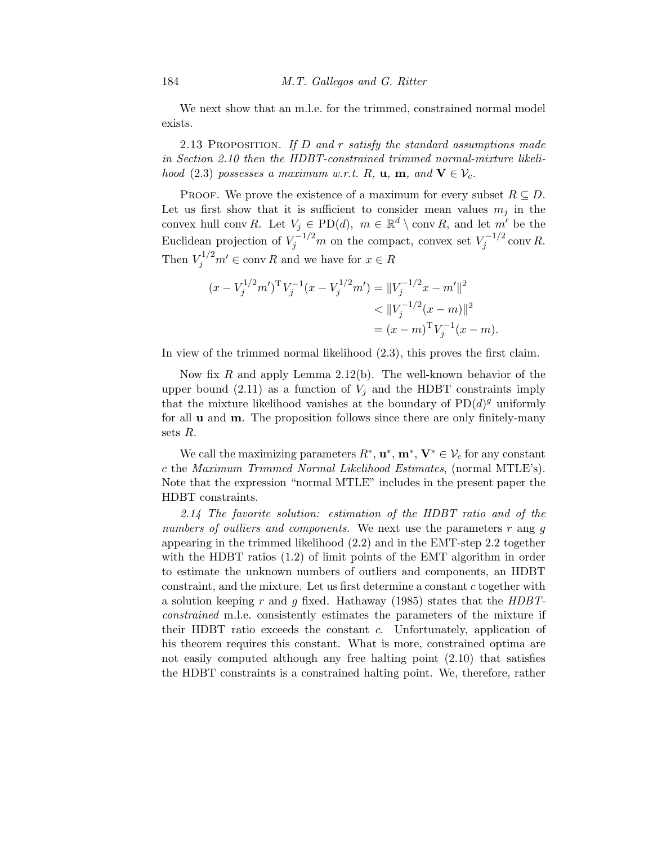We next show that an m.l.e. for the trimmed, constrained normal model exists.

2.13 Proposition. *If* D *and* r *satisfy the standard assumptions made in Section 2.10 then the HDBT-constrained trimmed normal-mixture likelihood* (2.3) *possesses a maximum w.r.t.* R, **u**, **m**, and  $V \in V_c$ .

PROOF. We prove the existence of a maximum for every subset  $R \subseteq D$ . Let us first show that it is sufficient to consider mean values  $m_j$  in the convex hull conv R. Let  $V_j \in \text{PD}(d)$ ,  $m \in \mathbb{R}^d \setminus \text{conv } R$ , and let  $m'$  be the Euclidean projection of  $V_j^{-1/2}m$  on the compact, convex set  $V_j^{-1/2}$  $\int_{j}^{-1/2}$  conv R. Then  $V_j^{1/2}m' \in \text{conv } R$  and we have for  $x \in R$ 

$$
(x - V_j^{1/2}m')^{\mathrm{T}} V_j^{-1} (x - V_j^{1/2}m') = ||V_j^{-1/2}x - m'||^2
$$
  

$$
< ||V_j^{-1/2}(x - m)||^2
$$
  

$$
= (x - m)^{\mathrm{T}} V_j^{-1} (x - m).
$$

In view of the trimmed normal likelihood (2.3), this proves the first claim.

Now fix  $R$  and apply Lemma 2.12(b). The well-known behavior of the upper bound (2.11) as a function of  $V_j$  and the HDBT constraints imply that the mixture likelihood vanishes at the boundary of  $PD(d)^g$  uniformly for all u and m. The proposition follows since there are only finitely-many sets R.

We call the maximizing parameters  $R^*$ ,  $\mathbf{u}^*$ ,  $\mathbf{m}^*$ ,  $\mathbf{V}^* \in \mathcal{V}_c$  for any constant c the *Maximum Trimmed Normal Likelihood Estimates*, (normal MTLE's). Note that the expression "normal MTLE" includes in the present paper the HDBT constraints.

*2.14 The favorite solution: estimation of the HDBT ratio and of the numbers of outliers and components.* We next use the parameters  $r$  ang  $g$ appearing in the trimmed likelihood (2.2) and in the EMT-step 2.2 together with the HDBT ratios  $(1.2)$  of limit points of the EMT algorithm in order to estimate the unknown numbers of outliers and components, an HDBT constraint, and the mixture. Let us first determine a constant  $c$  together with a solution keeping r and g fixed. Hathaway (1985) states that the *HDBTconstrained* m.l.e. consistently estimates the parameters of the mixture if their HDBT ratio exceeds the constant  $c$ . Unfortunately, application of his theorem requires this constant. What is more, constrained optima are not easily computed although any free halting point (2.10) that satisfies the HDBT constraints is a constrained halting point. We, therefore, rather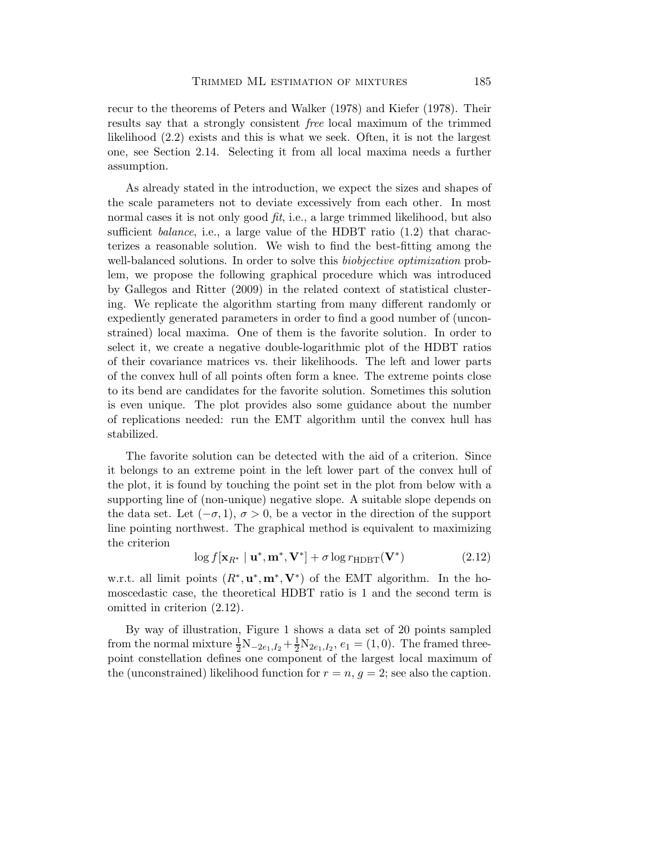recur to the theorems of Peters and Walker (1978) and Kiefer (1978). Their results say that a strongly consistent *free* local maximum of the trimmed likelihood (2.2) exists and this is what we seek. Often, it is not the largest one, see Section 2.14. Selecting it from all local maxima needs a further assumption.

As already stated in the introduction, we expect the sizes and shapes of the scale parameters not to deviate excessively from each other. In most normal cases it is not only good *fit*, i.e., a large trimmed likelihood, but also sufficient *balance*, i.e., a large value of the HDBT ratio (1.2) that characterizes a reasonable solution. We wish to find the best-fitting among the well-balanced solutions. In order to solve this *biobjective optimization* problem, we propose the following graphical procedure which was introduced by Gallegos and Ritter (2009) in the related context of statistical clustering. We replicate the algorithm starting from many different randomly or expediently generated parameters in order to find a good number of (unconstrained) local maxima. One of them is the favorite solution. In order to select it, we create a negative double-logarithmic plot of the HDBT ratios of their covariance matrices vs. their likelihoods. The left and lower parts of the convex hull of all points often form a knee. The extreme points close to its bend are candidates for the favorite solution. Sometimes this solution is even unique. The plot provides also some guidance about the number of replications needed: run the EMT algorithm until the convex hull has stabilized.

The favorite solution can be detected with the aid of a criterion. Since it belongs to an extreme point in the left lower part of the convex hull of the plot, it is found by touching the point set in the plot from below with a supporting line of (non-unique) negative slope. A suitable slope depends on the data set. Let  $(-\sigma, 1)$ ,  $\sigma > 0$ , be a vector in the direction of the support line pointing northwest. The graphical method is equivalent to maximizing the criterion

$$
\log f[\mathbf{x}_{R^*} \mid \mathbf{u}^*, \mathbf{m}^*, \mathbf{V}^*] + \sigma \log r_{\text{HDBT}}(\mathbf{V}^*)
$$
\n(2.12)

w.r.t. all limit points  $(R^*, u^*, m^*, V^*)$  of the EMT algorithm. In the homoscedastic case, the theoretical HDBT ratio is 1 and the second term is omitted in criterion (2.12).

By way of illustration, Figure 1 shows a data set of 20 points sampled from the normal mixture  $\frac{1}{2}N_{-2e_1,I_2} + \frac{1}{2}N_{2e_1,I_2}$ ,  $e_1 = (1,0)$ . The framed threepoint constellation defines one component of the largest local maximum of the (unconstrained) likelihood function for  $r = n$ ,  $g = 2$ ; see also the caption.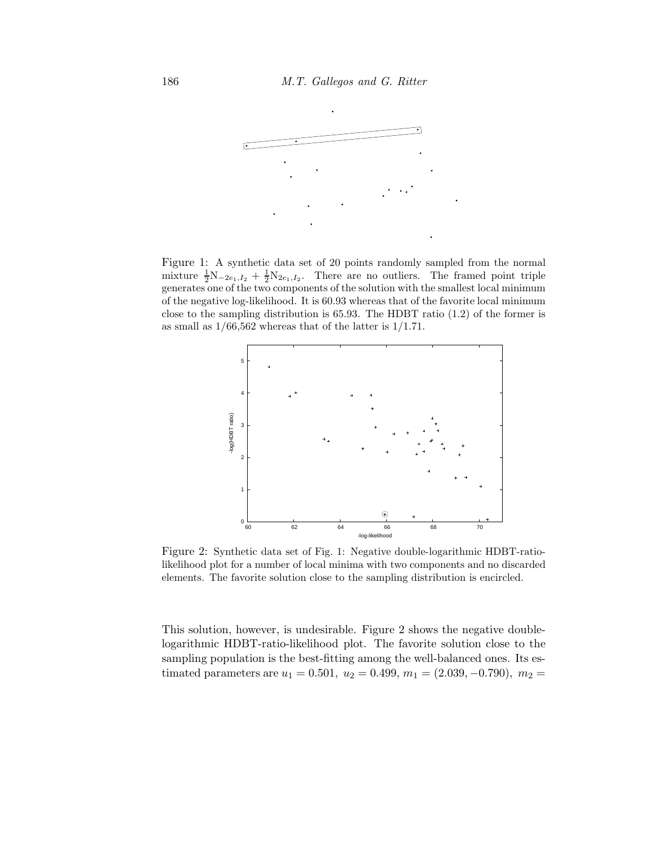

b

b

Figure 1: A synthetic data set of 20 points randomly sampled from the normal mixture  $\frac{1}{2}N_{-2e_1,I_2} + \frac{1}{2}N_{2e_1,I_2}$ . There are no outliers. The framed point triple generates one of the two components of the solution with the smallest local minimum of the negative log-likelihood. It is 60.93 whereas that of the favorite local minimum close to the sampling distribution is  $65.93$ . The HDBT ratio  $(1.2)$  of the former is as small as  $1/66,562$  whereas that of the latter is  $1/1.71$ .

b

b



Figure 2: Synthetic data set of Fig. 1: Negative double-logarithmic HDBT-ratiolikelihood plot for a number of local minima with two components and no discarded elements. The favorite solution close to the sampling distribution is encircled.

This solution, however, is undesirable. Figure 2 shows the negative doublelogarithmic HDBT-ratio-likelihood plot. The favorite solution close to the sampling population is the best-fitting among the well-balanced ones. Its estimated parameters are  $u_1 = 0.501$ ,  $u_2 = 0.499$ ,  $m_1 = (2.039, -0.790)$ ,  $m_2 =$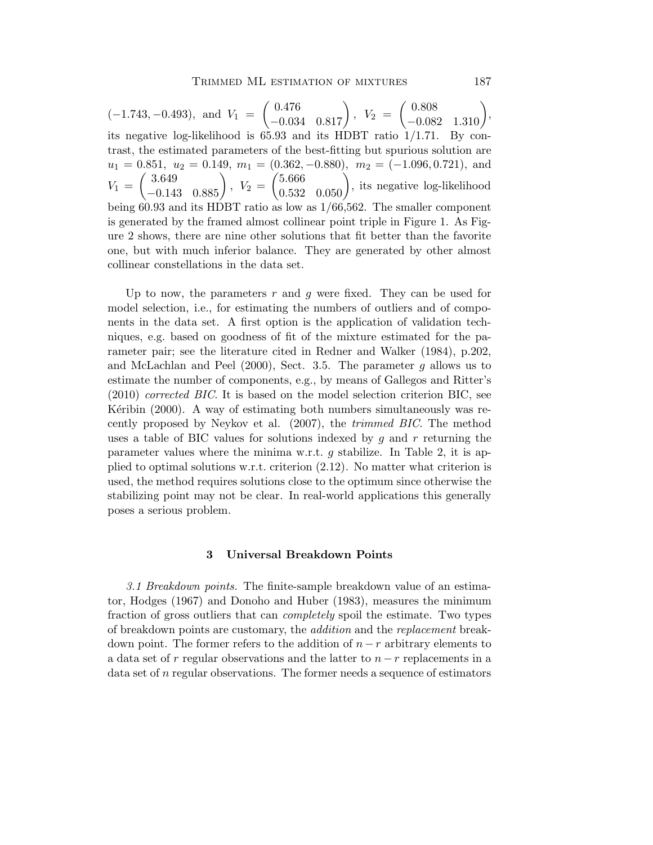$(-1.743, -0.493)$ , and  $V_1$  =  $\left( \begin{matrix} 0.476 \\ -0.034 \ 0.817 \end{matrix} \right)$  $, V_2 =$  $\begin{pmatrix} 0.808 \\ -0.082 & 1.310 \end{pmatrix}$ , its negative log-likelihood is 65.93 and its HDBT ratio 1/1.71. By contrast, the estimated parameters of the best-fitting but spurious solution are  $u_1 = 0.851, u_2 = 0.149, m_1 = (0.362, -0.880), m_2 = (-1.096, 0.721),$  and  $V_1 =$  $\left( \begin{matrix} 3.649 \\ -0.143 \ 0.885 \end{matrix} \right)$ ,  $V_2 =$  $\begin{pmatrix} 5.666 \\ 0.532 & 0.050 \end{pmatrix}$ , its negative log-likelihood being 60.93 and its HDBT ratio as low as 1/66,562. The smaller component is generated by the framed almost collinear point triple in Figure 1. As Figure 2 shows, there are nine other solutions that fit better than the favorite one, but with much inferior balance. They are generated by other almost collinear constellations in the data set.

Up to now, the parameters  $r$  and  $g$  were fixed. They can be used for model selection, i.e., for estimating the numbers of outliers and of components in the data set. A first option is the application of validation techniques, e.g. based on goodness of fit of the mixture estimated for the parameter pair; see the literature cited in Redner and Walker (1984), p.202, and McLachlan and Peel  $(2000)$ , Sect. 3.5. The parameter g allows us to estimate the number of components, e.g., by means of Gallegos and Ritter's (2010) *corrected BIC*. It is based on the model selection criterion BIC, see Keribin  $(2000)$ . A way of estimating both numbers simultaneously was recently proposed by Neykov et al. (2007), the *trimmed BIC*. The method uses a table of BIC values for solutions indexed by  $g$  and  $r$  returning the parameter values where the minima w.r.t. g stabilize. In Table 2, it is applied to optimal solutions w.r.t. criterion (2.12). No matter what criterion is used, the method requires solutions close to the optimum since otherwise the stabilizing point may not be clear. In real-world applications this generally poses a serious problem.

#### 3 Universal Breakdown Points

*3.1 Breakdown points.* The finite-sample breakdown value of an estimator, Hodges (1967) and Donoho and Huber (1983), measures the minimum fraction of gross outliers that can *completely* spoil the estimate. Two types of breakdown points are customary, the *addition* and the *replacement* breakdown point. The former refers to the addition of  $n - r$  arbitrary elements to a data set of r regular observations and the latter to  $n - r$  replacements in a data set of n regular observations. The former needs a sequence of estimators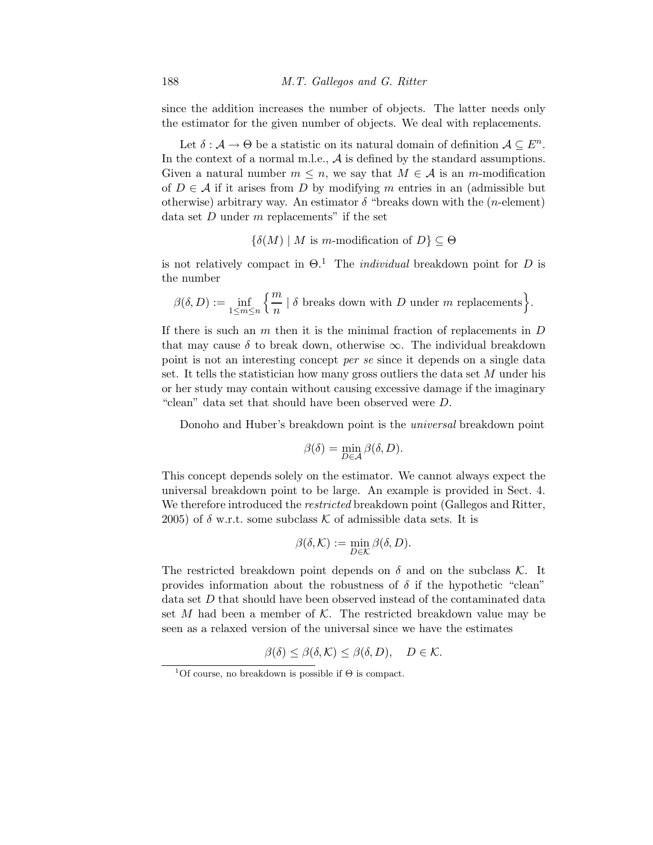since the addition increases the number of objects. The latter needs only the estimator for the given number of objects. We deal with replacements.

Let  $\delta : \mathcal{A} \to \Theta$  be a statistic on its natural domain of definition  $\mathcal{A} \subseteq E^n$ . In the context of a normal m.l.e., A is defined by the standard assumptions. Given a natural number  $m \leq n$ , we say that  $M \in \mathcal{A}$  is an m-modification of  $D \in \mathcal{A}$  if it arises from D by modifying m entries in an (admissible but otherwise) arbitrary way. An estimator  $\delta$  "breaks down with the (*n*-element) data set  $D$  under  $m$  replacements" if the set

 ${\delta(M) \mid M \text{ is } m\text{-modification of } D} \subseteq \Theta$ 

is not relatively compact in  $\Theta$ <sup>1</sup>. The *individual* breakdown point for D is the number

$$
\beta(\delta, D) := \inf_{1 \leq m \leq n} \left\{ \frac{m}{n} \mid \delta \text{ breaks down with } D \text{ under } m \text{ replacements} \right\}.
$$

If there is such an  $m$  then it is the minimal fraction of replacements in  $D$ that may cause  $\delta$  to break down, otherwise  $\infty$ . The individual breakdown point is not an interesting concept *per se* since it depends on a single data set. It tells the statistician how many gross outliers the data set M under his or her study may contain without causing excessive damage if the imaginary "clean" data set that should have been observed were D.

Donoho and Huber's breakdown point is the *universal* breakdown point

$$
\beta(\delta) = \min_{D \in \mathcal{A}} \beta(\delta, D).
$$

This concept depends solely on the estimator. We cannot always expect the universal breakdown point to be large. An example is provided in Sect. 4. We therefore introduced the *restricted* breakdown point (Gallegos and Ritter, 2005) of  $\delta$  w.r.t. some subclass K of admissible data sets. It is

$$
\beta(\delta,\mathcal{K}) := \min_{D \in \mathcal{K}} \beta(\delta,D).
$$

The restricted breakdown point depends on  $\delta$  and on the subclass K. It provides information about the robustness of  $\delta$  if the hypothetic "clean" data set D that should have been observed instead of the contaminated data set  $M$  had been a member of  $K$ . The restricted breakdown value may be seen as a relaxed version of the universal since we have the estimates

$$
\beta(\delta) \leq \beta(\delta, \mathcal{K}) \leq \beta(\delta, D), \quad D \in \mathcal{K}.
$$

<sup>&</sup>lt;sup>1</sup>Of course, no breakdown is possible if  $\Theta$  is compact.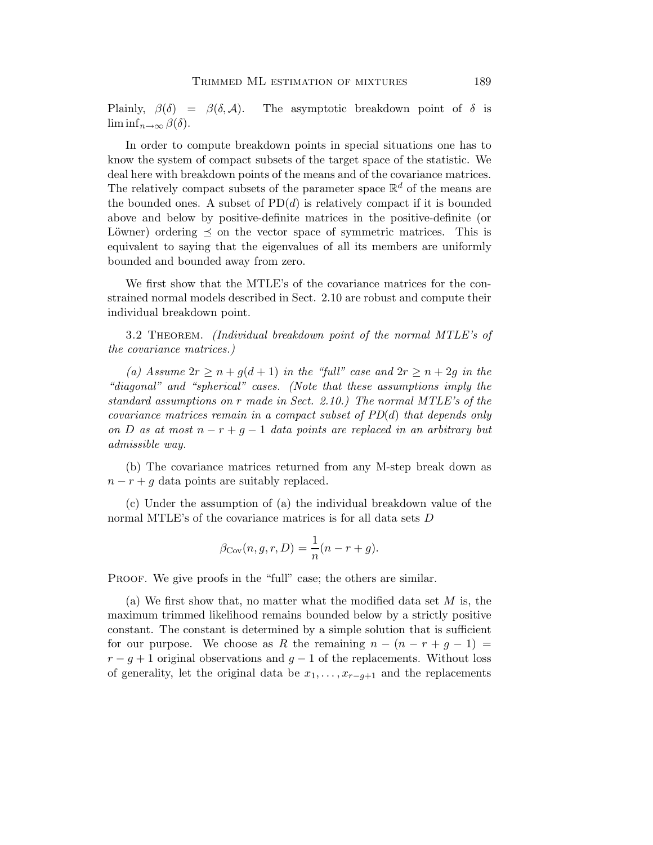Plainly,  $\beta(\delta) = \beta(\delta, \mathcal{A})$ . The asymptotic breakdown point of  $\delta$  is  $\liminf_{n\to\infty}\beta(\delta).$ 

In order to compute breakdown points in special situations one has to know the system of compact subsets of the target space of the statistic. We deal here with breakdown points of the means and of the covariance matrices. The relatively compact subsets of the parameter space  $\mathbb{R}^d$  of the means are the bounded ones. A subset of  $PD(d)$  is relatively compact if it is bounded above and below by positive-definite matrices in the positive-definite (or Löwner) ordering  $\preceq$  on the vector space of symmetric matrices. This is equivalent to saying that the eigenvalues of all its members are uniformly bounded and bounded away from zero.

We first show that the MTLE's of the covariance matrices for the constrained normal models described in Sect. 2.10 are robust and compute their individual breakdown point.

3.2 Theorem. *(Individual breakdown point of the normal MTLE's of the covariance matrices.)*

(a) Assume  $2r \geq n + g(d+1)$  *in the "full" case and*  $2r \geq n + 2g$  *in the "diagonal" and "spherical" cases. (Note that these assumptions imply the standard assumptions on* r *made in Sect. 2.10.) The normal MTLE's of the covariance matrices remain in a compact subset of PD*(d) *that depends only on* D *as at most* n − r + g − 1 *data points are replaced in an arbitrary but admissible way.*

(b) The covariance matrices returned from any M-step break down as  $n - r + g$  data points are suitably replaced.

(c) Under the assumption of (a) the individual breakdown value of the normal MTLE's of the covariance matrices is for all data sets D

$$
\beta_{\text{Cov}}(n, g, r, D) = \frac{1}{n}(n - r + g).
$$

PROOF. We give proofs in the "full" case; the others are similar.

(a) We first show that, no matter what the modified data set  $M$  is, the maximum trimmed likelihood remains bounded below by a strictly positive constant. The constant is determined by a simple solution that is sufficient for our purpose. We choose as R the remaining  $n - (n - r + g - 1) =$  $r - g + 1$  original observations and  $g - 1$  of the replacements. Without loss of generality, let the original data be  $x_1, \ldots, x_{r-g+1}$  and the replacements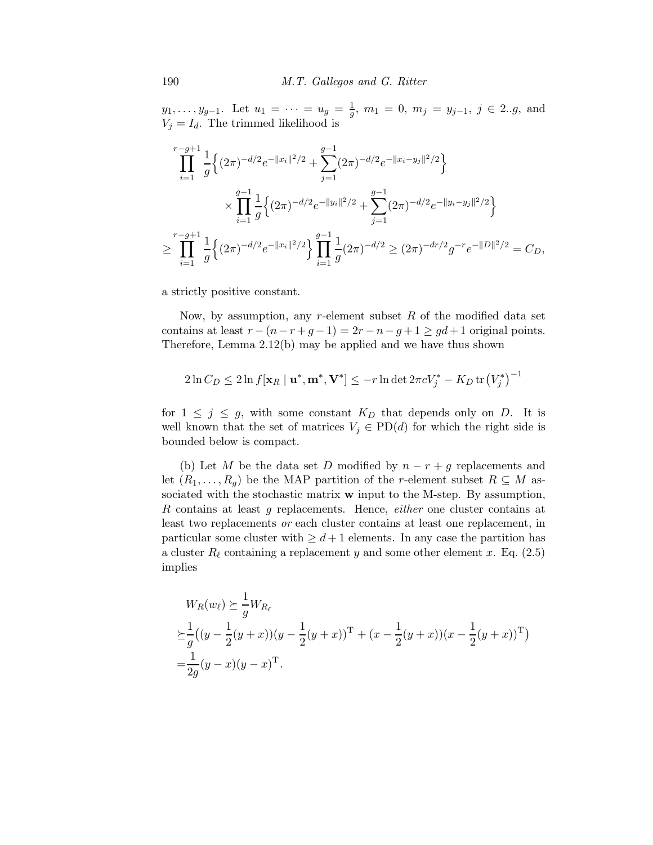$y_1, \ldots, y_{g-1}$ . Let  $u_1 = \cdots = u_g = \frac{1}{g}$  $\frac{1}{g}$ ,  $m_1 = 0$ ,  $m_j = y_{j-1}$ ,  $j \in 2..g$ , and  $V_i = I_d$ . The trimmed likelihood is

$$
\prod_{i=1}^{r-g+1} \frac{1}{g} \Big\{ (2\pi)^{-d/2} e^{-\|x_i\|^2/2} + \sum_{j=1}^{g-1} (2\pi)^{-d/2} e^{-\|x_i - y_j\|^2/2} \Big\}
$$
  

$$
\times \prod_{i=1}^{g-1} \frac{1}{g} \Big\{ (2\pi)^{-d/2} e^{-\|y_i\|^2/2} + \sum_{j=1}^{g-1} (2\pi)^{-d/2} e^{-\|y_i - y_j\|^2/2} \Big\}
$$
  

$$
\geq \prod_{i=1}^{r-g+1} \frac{1}{g} \Big\{ (2\pi)^{-d/2} e^{-\|x_i\|^2/2} \Big\} \prod_{i=1}^{g-1} \frac{1}{g} (2\pi)^{-d/2} \geq (2\pi)^{-dr/2} g^{-r} e^{-\|D\|^2/2} = C_D,
$$

a strictly positive constant.

Now, by assumption, any r-element subset  $R$  of the modified data set contains at least  $r - (n - r + g - 1) = 2r - n - g + 1 \geq gd + 1$  original points. Therefore, Lemma 2.12(b) may be applied and we have thus shown

$$
2\ln C_D \le 2\ln f[\mathbf{x}_R \mid \mathbf{u}^*, \mathbf{m}^*, \mathbf{V}^*] \le -r\ln\det 2\pi c V_j^* - K_D\operatorname{tr}\left(V_j^*\right)^{-1}
$$

for  $1 \leq j \leq g$ , with some constant  $K_D$  that depends only on D. It is well known that the set of matrices  $V_j \in \text{PD}(d)$  for which the right side is bounded below is compact.

(b) Let M be the data set D modified by  $n - r + g$  replacements and let  $(R_1,\ldots,R_q)$  be the MAP partition of the r-element subset  $R\subseteq M$  associated with the stochastic matrix w input to the M-step. By assumption, R contains at least g replacements. Hence, *either* one cluster contains at least two replacements *or* each cluster contains at least one replacement, in particular some cluster with  $\geq d+1$  elements. In any case the partition has a cluster  $R_{\ell}$  containing a replacement y and some other element x. Eq. (2.5) implies

$$
W_R(w_\ell) \succeq \frac{1}{g} W_{R_\ell}
$$
  
\n
$$
\succeq \frac{1}{g} ((y - \frac{1}{2}(y + x))(y - \frac{1}{2}(y + x))^{\mathrm{T}} + (x - \frac{1}{2}(y + x))(x - \frac{1}{2}(y + x))^{\mathrm{T}})
$$
  
\n
$$
= \frac{1}{2g}(y - x)(y - x)^{\mathrm{T}}.
$$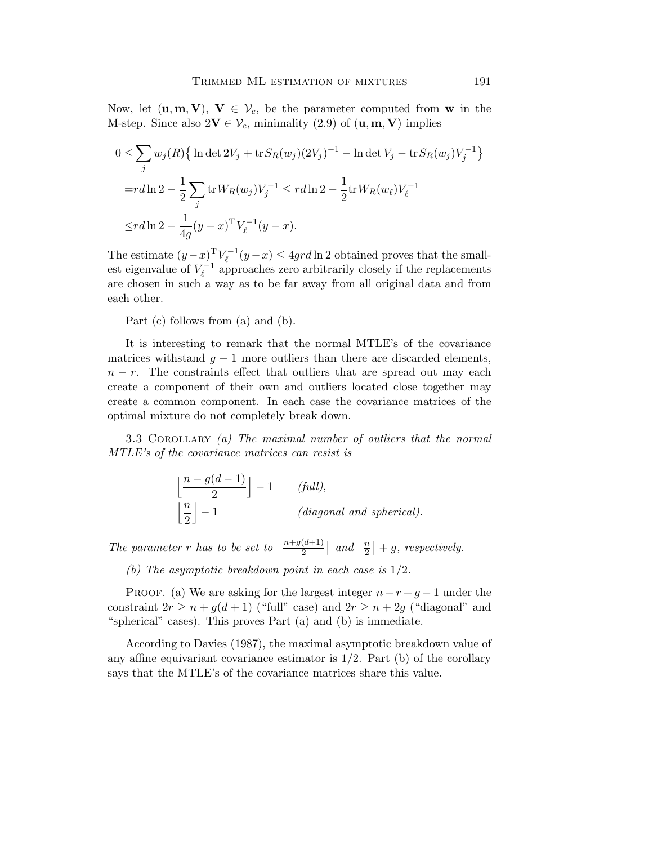Now, let  $(\mathbf{u}, \mathbf{m}, \mathbf{V}), \mathbf{V} \in \mathcal{V}_c$ , be the parameter computed from **w** in the M-step. Since also  $2V \in V_c$ , minimality (2.9) of  $(\mathbf{u}, \mathbf{m}, \mathbf{V})$  implies

$$
0 \le \sum_{j} w_j(R) \{ \ln \det 2V_j + \operatorname{tr} S_R(w_j)(2V_j)^{-1} - \ln \det V_j - \operatorname{tr} S_R(w_j)V_j^{-1} \}
$$
  
=
$$
r d \ln 2 - \frac{1}{2} \sum_{j} \operatorname{tr} W_R(w_j) V_j^{-1} \le r d \ln 2 - \frac{1}{2} \operatorname{tr} W_R(w_\ell) V_\ell^{-1}
$$
  

$$
\le r d \ln 2 - \frac{1}{4g} (y - x)^{\mathrm{T}} V_\ell^{-1} (y - x).
$$

The estimate  $(y-x)$ <sup>T</sup> $V_{\ell}^{-1}$  $\ell_{\ell}^{-1}(y-x) \leq 4grd\ln 2$  obtained proves that the smallest eigenvalue of  $V_{\ell}^{-1}$  $\ell_{\ell}^{-1}$  approaches zero arbitrarily closely if the replacements are chosen in such a way as to be far away from all original data and from each other.

Part (c) follows from (a) and (b).

It is interesting to remark that the normal MTLE's of the covariance matrices withstand  $g - 1$  more outliers than there are discarded elements,  $n - r$ . The constraints effect that outliers that are spread out may each create a component of their own and outliers located close together may create a common component. In each case the covariance matrices of the optimal mixture do not completely break down.

3.3 Corollary *(a) The maximal number of outliers that the normal MTLE's of the covariance matrices can resist is*

$$
\left\lfloor \frac{n - g(d-1)}{2} \right\rfloor - 1
$$
 (*full*),  

$$
\left\lfloor \frac{n}{2} \right\rfloor - 1
$$
 (*diagonal and spherical*).

*The parameter r has to be set to*  $\left\lceil \frac{n+g(d+1)}{2} \right\rceil$  *and*  $\left\lceil \frac{n}{2} \right\rceil$  $\frac{n}{2}$  | + g, respectively.

*(b) The asymptotic breakdown point in each case is* 1/2*.*

PROOF. (a) We are asking for the largest integer  $n - r + g - 1$  under the constraint  $2r \geq n + g(d+1)$  ("full" case) and  $2r \geq n + 2g$  ("diagonal" and "spherical" cases). This proves Part (a) and (b) is immediate.

According to Davies (1987), the maximal asymptotic breakdown value of any affine equivariant covariance estimator is  $1/2$ . Part (b) of the corollary says that the MTLE's of the covariance matrices share this value.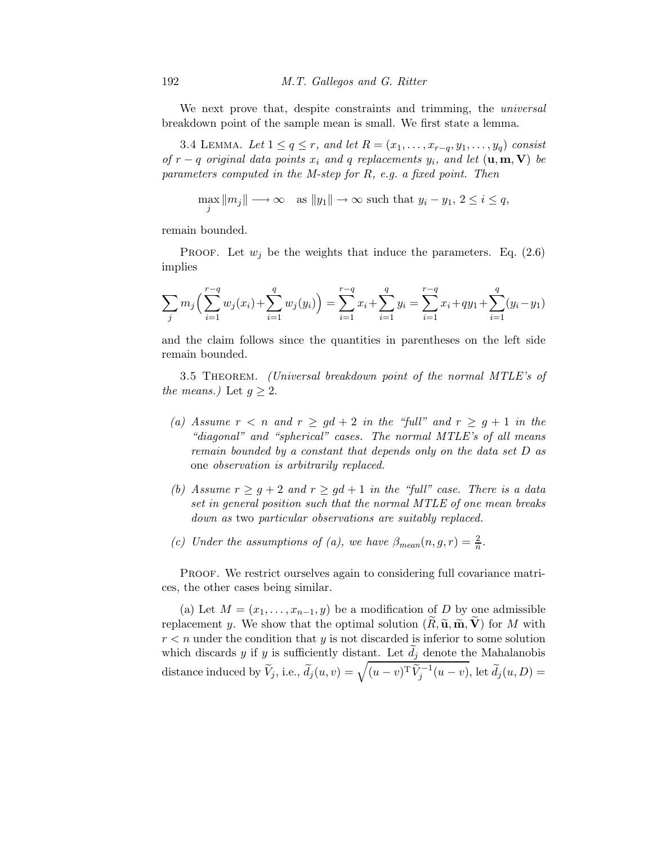We next prove that, despite constraints and trimming, the *universal* breakdown point of the sample mean is small. We first state a lemma.

3.4 LEMMA. Let  $1 \leq q \leq r$ , and let  $R = (x_1, \ldots, x_{r-q}, y_1, \ldots, y_q)$  consist *of*  $r - q$  *original data points*  $x_i$  *and*  $q$  *replacements*  $y_i$ *, and let*  $(\mathbf{u}, \mathbf{m}, \mathbf{V})$  *be parameters computed in the M-step for* R*, e.g. a fixed point. Then*

$$
\max_{j} \|m_j\| \longrightarrow \infty \quad \text{as } \|y_1\| \to \infty \text{ such that } y_i - y_1, \ 2 \le i \le q,
$$

remain bounded.

PROOF. Let  $w_j$  be the weights that induce the parameters. Eq. (2.6) implies

$$
\sum_{j} m_j \left( \sum_{i=1}^{r-q} w_j(x_i) + \sum_{i=1}^{q} w_j(y_i) \right) = \sum_{i=1}^{r-q} x_i + \sum_{i=1}^{q} y_i = \sum_{i=1}^{r-q} x_i + q y_1 + \sum_{i=1}^{q} (y_i - y_1)
$$

and the claim follows since the quantities in parentheses on the left side remain bounded.

3.5 Theorem. *(Universal breakdown point of the normal MTLE's of the means.*) Let  $q \geq 2$ .

- (a) Assume  $r < n$  and  $r \geq gd + 2$  *in the "full"* and  $r \geq g + 1$  *in the "diagonal" and "spherical" cases. The normal MTLE's of all means remain bounded by a constant that depends only on the data set* D *as* one *observation is arbitrarily replaced.*
- *(b)* Assume  $r \geq g + 2$  and  $r \geq gd + 1$  *in the "full" case. There is a data set in general position such that the normal MTLE of one mean breaks down as* two *particular observations are suitably replaced.*
- (c) Under the assumptions of (a), we have  $\beta_{mean}(n, g, r) = \frac{2}{n}$ .

PROOF. We restrict ourselves again to considering full covariance matrices, the other cases being similar.

(a) Let  $M = (x_1, \ldots, x_{n-1}, y)$  be a modification of D by one admissible replacement y. We show that the optimal solution  $(R, \tilde{\mathbf{u}}, \tilde{\mathbf{m}}, \tilde{\mathbf{V}})$  for M with  $r < n$  under the condition that y is not discarded is inferior to some solution which discards  $y$  if  $y$  is sufficiently distant. Let  $d_j$  denote the Mahalanobis distance induced by  $\widetilde{V}_j$ , i.e.,  $\widetilde{d}_j(u,v) = \sqrt{(u-v)^{\mathrm{T}} \widetilde{V}_j^{-1}(u-v)}$ , let  $\widetilde{d}_j(u,D) =$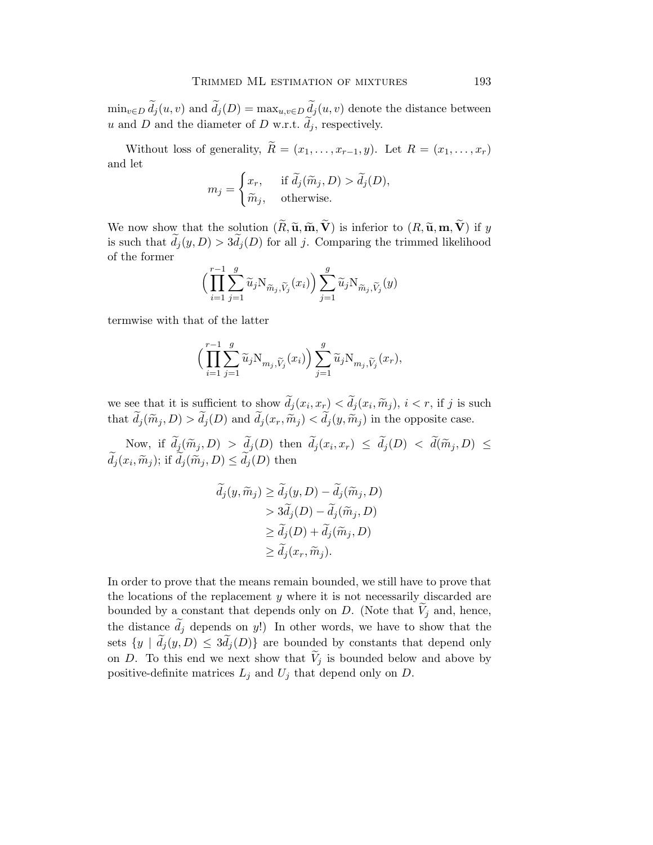$\min_{v \in D} d_j(u, v)$  and  $d_j(D) = \max_{u, v \in D} \underline{d}_j(u, v)$  denote the distance between u and D and the diameter of D w.r.t.  $d_j$ , respectively.

Without loss of generality,  $\widetilde{R} = (x_1, \ldots, x_{r-1}, y)$ . Let  $R = (x_1, \ldots, x_r)$ and let

$$
m_j = \begin{cases} x_r, & \text{if } \widetilde{d}_j(\widetilde{m}_j, D) > \widetilde{d}_j(D), \\ \widetilde{m}_j, & \text{otherwise.} \end{cases}
$$

We now show that the solution  $(\widetilde{R}, \widetilde{\mathbf{u}}, \widetilde{\mathbf{m}}, \widetilde{\mathbf{V}})$  is inferior to  $(R, \widetilde{\mathbf{u}}, \mathbf{m}, \widetilde{\mathbf{V}})$  if y is such that  $d_j(y, D) > 3d_j(D)$  for all j. Comparing the trimmed likelihood of the former

$$
\Big(\prod_{i=1}^{r-1}\sum_{j=1}^g\widetilde{u}_j\mathrm{N}_{\widetilde{m}_j,\widetilde{V}_j}(x_i)\Big)\sum_{j=1}^g\widetilde{u}_j\mathrm{N}_{\widetilde{m}_j,\widetilde{V}_j}(y)
$$

termwise with that of the latter

$$
\Big(\prod_{i=1}^{r-1}\sum_{j=1}^g\widetilde{u}_j\mathrm{N}_{m_j,\widetilde{V}_j}(x_i)\Big)\sum_{j=1}^g\widetilde{u}_j\mathrm{N}_{m_j,\widetilde{V}_j}(x_r),
$$

we see that it is sufficient to show  $d_j(x_i, x_r) < d_j(x_i, \widetilde{m}_j)$ ,  $i < r$ , if j is such that  $d_j(\tilde{m}_j, D) > d_j(D)$  and  $d_j(x_r, \tilde{m}_j) < d_j(y, \tilde{m}_j)$  in the opposite case.

Now, if  $d_j(\widetilde{m}_j, D) > d_j(D)$  then  $d_j(x_i, x_r) \leq d_j(D) < d(\widetilde{m}_j, D) \leq$  $d_j(x_i, \widetilde{m}_j)$ ; if  $d_j(\widetilde{m}_j, D) \leq d_j(D)$  then

$$
\widetilde{d}_j(y, \widetilde{m}_j) \ge \widetilde{d}_j(y, D) - \widetilde{d}_j(\widetilde{m}_j, D) > 3\widetilde{d}_j(D) - \widetilde{d}_j(\widetilde{m}_j, D) \ge \widetilde{d}_j(D) + \widetilde{d}_j(\widetilde{m}_j, D) \ge \widetilde{d}_j(x_r, \widetilde{m}_j).
$$

In order to prove that the means remain bounded, we still have to prove that the locations of the replacement y where it is not necessarily discarded are bounded by a constant that depends only on  $D$ . (Note that  $V_j$  and, hence, the distance  $d_j$  depends on y!) In other words, we have to show that the sets  $\{y \mid d_j(y,D) \leq 3d_j(D)\}\$ are bounded by constants that depend only on D. To this end we next show that  $\widetilde{V}_j$  is bounded below and above by positive-definite matrices  $L_j$  and  $U_j$  that depend only on  $D$ .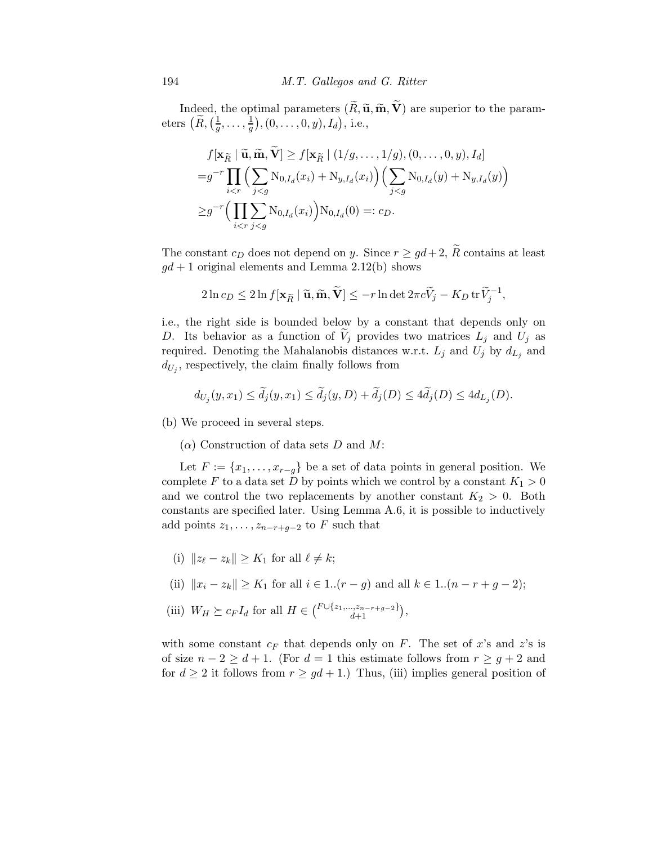Indeed, the optimal parameters  $(\tilde{R}, \tilde{\mathbf{u}}, \tilde{\mathbf{m}}, \tilde{\mathbf{V}})$  are superior to the parameters  $\left(\widetilde{R},\left(\frac{1}{g}\right)\right)$  $\frac{1}{g},\ldots,\frac{1}{g}$  $(\frac{1}{g}), (0, \ldots, 0, y), I_d),$  i.e.,

$$
f[\mathbf{x}_{\widetilde{R}} \mid \widetilde{\mathbf{u}}, \widetilde{\mathbf{m}}, \widetilde{\mathbf{V}}] \ge f[\mathbf{x}_{\widetilde{R}} \mid (1/g, \dots, 1/g), (0, \dots, 0, y), I_d]
$$
  
=  $g^{-r} \prod_{i < r} \Big( \sum_{j < g} \mathrm{N}_{0, I_d}(x_i) + \mathrm{N}_{y, I_d}(x_i) \Big) \Big( \sum_{j < g} \mathrm{N}_{0, I_d}(y) + \mathrm{N}_{y, I_d}(y) \Big)$   

$$
\ge g^{-r} \Big( \prod_{i < r} \sum_{j < g} \mathrm{N}_{0, I_d}(x_i) \Big) \mathrm{N}_{0, I_d}(0) =: c_D.
$$

The constant  $c_D$  does not depend on y. Since  $r \geq qd+2$ ,  $\widetilde{R}$  contains at least  $gd + 1$  original elements and Lemma 2.12(b) shows

$$
2\ln c_D \le 2\ln f[\mathbf{x}_{\widetilde{R}} \mid \widetilde{\mathbf{u}}, \widetilde{\mathbf{m}}, \widetilde{\mathbf{V}}] \le -r\ln \det 2\pi c \widetilde{V}_j - K_D \operatorname{tr} \widetilde{V}_j^{-1},
$$

i.e., the right side is bounded below by a constant that depends only on D. Its behavior as a function of  $V_i$  provides two matrices  $L_i$  and  $U_i$  as required. Denoting the Mahalanobis distances w.r.t.  $L_j$  and  $U_j$  by  $d_{L_j}$  and  $d_{U_j}$ , respectively, the claim finally follows from

$$
d_{U_j}(y,x_1) \le \widetilde{d}_j(y,x_1) \le \widetilde{d}_j(y,D) + \widetilde{d}_j(D) \le 4\widetilde{d}_j(D) \le 4d_{L_j}(D).
$$

(b) We proceed in several steps.

 $(\alpha)$  Construction of data sets D and M:

Let  $F := \{x_1, \ldots, x_{r-g}\}\$ be a set of data points in general position. We complete F to a data set D by points which we control by a constant  $K_1 > 0$ and we control the two replacements by another constant  $K_2 > 0$ . Both constants are specified later. Using Lemma A.6, it is possible to inductively add points  $z_1, \ldots, z_{n-r+q-2}$  to F such that

- (i)  $||z_{\ell} z_k|| \geq K_1$  for all  $\ell \neq k$ ;
- (ii)  $||x_i z_k|| \ge K_1$  for all  $i \in 1..(r g)$  and all  $k \in 1..(n r + g 2);$
- (iii)  $W_H \succeq c_F I_d$  for all  $H \in {F \cup \{z_1, ..., z_{n-r+g-2}\}\choose{d+1}},$

with some constant  $c_F$  that depends only on F. The set of x's and z's is of size  $n-2 \geq d+1$ . (For  $d=1$  this estimate follows from  $r \geq g+2$  and for  $d \geq 2$  it follows from  $r \geq gd+1$ .) Thus, (iii) implies general position of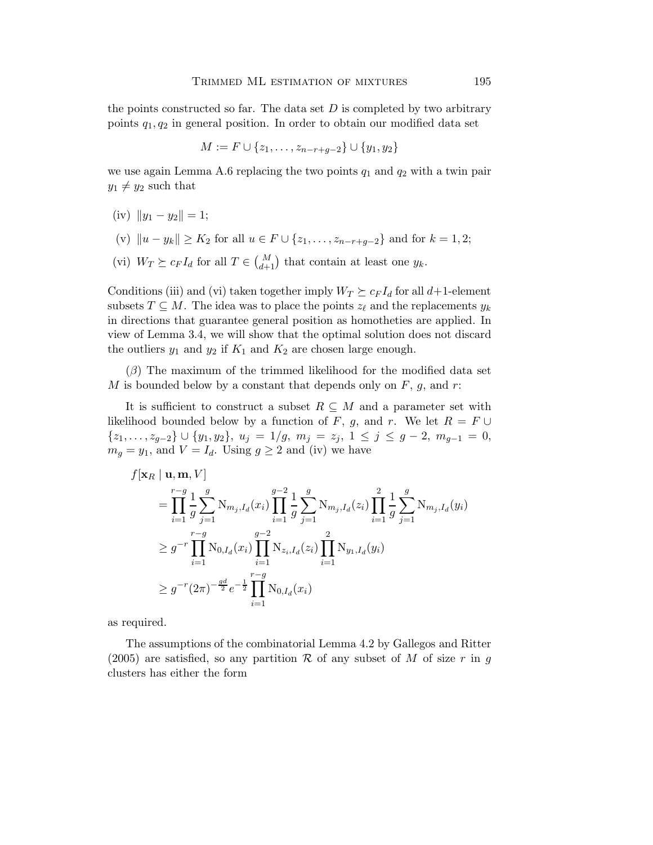the points constructed so far. The data set  $D$  is completed by two arbitrary points  $q_1, q_2$  in general position. In order to obtain our modified data set

$$
M := F \cup \{z_1, \dots, z_{n-r+g-2}\} \cup \{y_1, y_2\}
$$

we use again Lemma A.6 replacing the two points  $q_1$  and  $q_2$  with a twin pair  $y_1 \neq y_2$  such that

- (iv)  $||y_1 y_2|| = 1;$
- (v)  $||u y_k|| \ge K_2$  for all  $u \in F \cup \{z_1, \ldots, z_{n-r+q-2}\}\$  and for  $k = 1, 2;$
- (vi)  $W_T \succeq c_F I_d$  for all  $T \in \binom{M}{d+1}$  that contain at least one  $y_k$ .

Conditions (iii) and (vi) taken together imply  $W_T \succeq c_F I_d$  for all  $d+1$ -element subsets  $T \subseteq M$ . The idea was to place the points  $z_{\ell}$  and the replacements  $y_k$ in directions that guarantee general position as homotheties are applied. In view of Lemma 3.4, we will show that the optimal solution does not discard the outliers  $y_1$  and  $y_2$  if  $K_1$  and  $K_2$  are chosen large enough.

 $(\beta)$  The maximum of the trimmed likelihood for the modified data set M is bounded below by a constant that depends only on  $F$ ,  $g$ , and  $r$ :

It is sufficient to construct a subset  $R \subseteq M$  and a parameter set with likelihood bounded below by a function of F, g, and r. We let  $R = F \cup$  ${z_1,\ldots,z_{g-2}} \cup {y_1,y_2}, u_j = 1/g, m_j = z_j, 1 \le j \le g-2, m_{g-1} = 0,$  $m_g = y_1$ , and  $V = I_d$ . Using  $g \geq 2$  and (iv) we have

$$
f[\mathbf{x}_R | \mathbf{u}, \mathbf{m}, V] = \prod_{i=1}^{r-g} \frac{1}{g} \sum_{j=1}^{g} N_{m_j, I_d}(x_i) \prod_{i=1}^{g-2} \frac{1}{g} \sum_{j=1}^{g} N_{m_j, I_d}(z_i) \prod_{i=1}^{2} \frac{1}{g} \sum_{j=1}^{g} N_{m_j, I_d}(y_i)
$$
  
\n
$$
\geq g^{-r} \prod_{i=1}^{r-g} N_{0, I_d}(x_i) \prod_{i=1}^{g-2} N_{z_i, I_d}(z_i) \prod_{i=1}^{2} N_{y_1, I_d}(y_i)
$$
  
\n
$$
\geq g^{-r} (2\pi)^{-\frac{gd}{2}} e^{-\frac{1}{2}} \prod_{i=1}^{r-g} N_{0, I_d}(x_i)
$$

as required.

The assumptions of the combinatorial Lemma 4.2 by Gallegos and Ritter (2005) are satisfied, so any partition R of any subset of M of size r in g clusters has either the form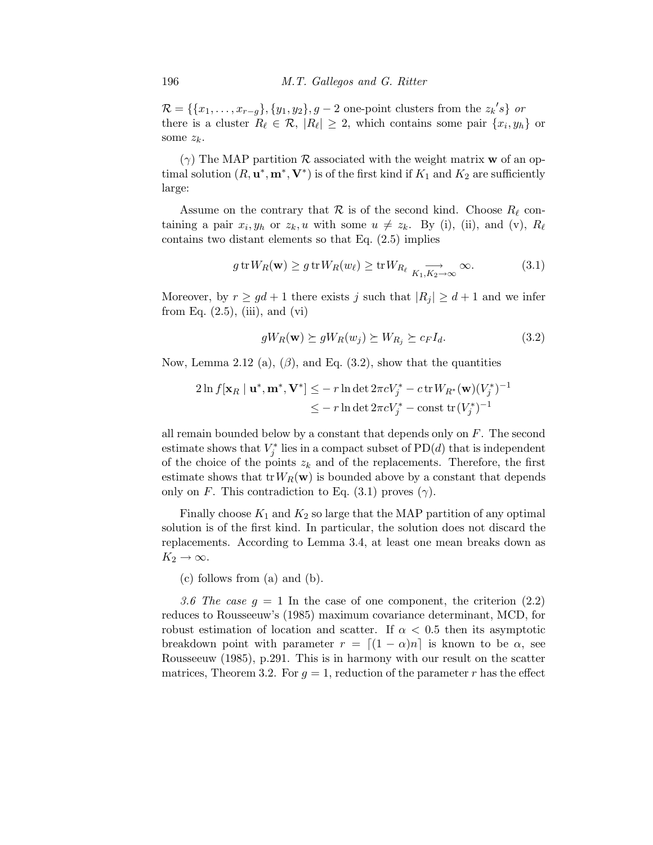$\mathcal{R} = \{\{x_1, \ldots, x_{r-g}\}, \{y_1, y_2\}, g - 2 \text{ one-point clusters from the } z_k's\} \text{ or }$ there is a cluster  $R_{\ell} \in \mathcal{R}$ ,  $|R_{\ell}| \geq 2$ , which contains some pair  $\{x_i, y_h\}$  or some  $z_k$ .

 $(\gamma)$  The MAP partition  $\mathcal R$  associated with the weight matrix **w** of an optimal solution  $(R, \mathbf{u}^*, \mathbf{m}^*, \mathbf{V}^*)$  is of the first kind if  $K_1$  and  $K_2$  are sufficiently large:

Assume on the contrary that  $\mathcal R$  is of the second kind. Choose  $R_\ell$  containing a pair  $x_i, y_h$  or  $z_k, u$  with some  $u \neq z_k$ . By (i), (ii), and (v),  $R_\ell$ contains two distant elements so that Eq. (2.5) implies

$$
g \operatorname{tr} W_R(\mathbf{w}) \ge g \operatorname{tr} W_R(w_\ell) \ge \operatorname{tr} W_{R_\ell} \xrightarrow[K_1, K_2 \to \infty]{} \infty.
$$
 (3.1)

Moreover, by  $r \geq gd+1$  there exists j such that  $|R_i| \geq d+1$  and we infer from Eq.  $(2.5)$ ,  $(iii)$ , and  $(vi)$ 

$$
gW_R(\mathbf{w}) \succeq gW_R(w_j) \succeq W_{R_j} \succeq c_F I_d. \tag{3.2}
$$

Now, Lemma 2.12 (a),  $(\beta)$ , and Eq. (3.2), show that the quantities

$$
2\ln f[\mathbf{x}_R \mid \mathbf{u}^*, \mathbf{m}^*, \mathbf{V}^*] \le -r \ln \det 2\pi c V_j^* - c \operatorname{tr} W_{R^*}(\mathbf{w}) (V_j^*)^{-1}
$$
  

$$
\le -r \ln \det 2\pi c V_j^* - \text{const} \operatorname{tr} (V_j^*)^{-1}
$$

all remain bounded below by a constant that depends only on  $F$ . The second estimate shows that  $V_j^*$  lies in a compact subset of  $PD(d)$  that is independent of the choice of the points  $z_k$  and of the replacements. Therefore, the first estimate shows that  $trW_R(\mathbf{w})$  is bounded above by a constant that depends only on F. This contradiction to Eq.  $(3.1)$  proves  $(\gamma)$ .

Finally choose  $K_1$  and  $K_2$  so large that the MAP partition of any optimal solution is of the first kind. In particular, the solution does not discard the replacements. According to Lemma 3.4, at least one mean breaks down as  $K_2 \rightarrow \infty$ .

(c) follows from (a) and (b).

3.6 The case  $g = 1$  In the case of one component, the criterion  $(2.2)$ reduces to Rousseeuw's (1985) maximum covariance determinant, MCD, for robust estimation of location and scatter. If  $\alpha < 0.5$  then its asymptotic breakdown point with parameter  $r = [(1 - \alpha)n]$  is known to be  $\alpha$ , see Rousseeuw (1985), p.291. This is in harmony with our result on the scatter matrices, Theorem 3.2. For  $g = 1$ , reduction of the parameter r has the effect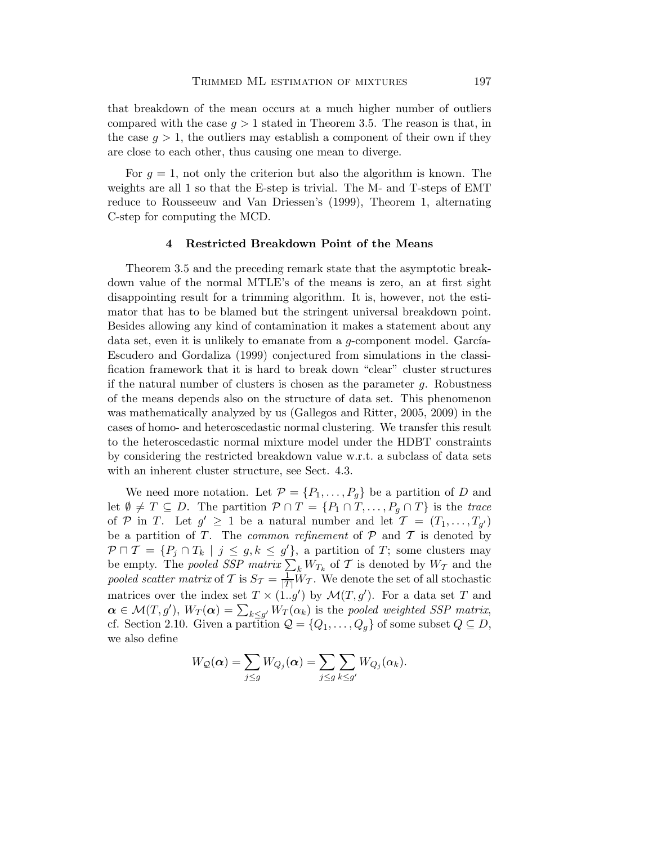that breakdown of the mean occurs at a much higher number of outliers compared with the case  $g > 1$  stated in Theorem 3.5. The reason is that, in the case  $q > 1$ , the outliers may establish a component of their own if they are close to each other, thus causing one mean to diverge.

For  $q = 1$ , not only the criterion but also the algorithm is known. The weights are all 1 so that the E-step is trivial. The M- and T-steps of EMT reduce to Rousseeuw and Van Driessen's (1999), Theorem 1, alternating C-step for computing the MCD.

#### 4 Restricted Breakdown Point of the Means

Theorem 3.5 and the preceding remark state that the asymptotic breakdown value of the normal MTLE's of the means is zero, an at first sight disappointing result for a trimming algorithm. It is, however, not the estimator that has to be blamed but the stringent universal breakdown point. Besides allowing any kind of contamination it makes a statement about any data set, even it is unlikely to emanate from a  $q$ -component model. García-Escudero and Gordaliza (1999) conjectured from simulations in the classification framework that it is hard to break down "clear" cluster structures if the natural number of clusters is chosen as the parameter  $q$ . Robustness of the means depends also on the structure of data set. This phenomenon was mathematically analyzed by us (Gallegos and Ritter, 2005, 2009) in the cases of homo- and heteroscedastic normal clustering. We transfer this result to the heteroscedastic normal mixture model under the HDBT constraints by considering the restricted breakdown value w.r.t. a subclass of data sets with an inherent cluster structure, see Sect. 4.3.

We need more notation. Let  $\mathcal{P} = \{P_1, \ldots, P_q\}$  be a partition of D and let  $\emptyset \neq T \subseteq D$ . The partition  $\mathcal{P} \cap T = \{P_1 \cap T, \ldots, P_q \cap T\}$  is the *trace* of P in T. Let  $g' \geq 1$  be a natural number and let  $\mathcal{T} = (T_1, \ldots, T_{g'})$ be a partition of  $T$ . The *common refinement* of  $P$  and  $T$  is denoted by  $P \cap T = \{P_j \cap T_k \mid j \leq g, k \leq g' \},\$ a partition of T; some clusters may be empty. The *pooled SSP matrix*  $\sum_{k} W_{T_k}$  of T is denoted by  $W_T$  and the pooled scatter matrix of T is  $S_{\mathcal{T}} = \frac{1}{|T|} W_{\mathcal{T}}$ . We denote the set of all stochastic matrices over the index set  $T \times (1..g')$  by  $\mathcal{M}(T,g')$ . For a data set T and  $\boldsymbol{\alpha} \in \mathcal{M}(T, g'), W_T(\boldsymbol{\alpha}) = \sum_{k \leq g'} W_T(\alpha_k)$  is the *pooled weighted SSP matrix*, cf. Section 2.10. Given a partition  $\mathcal{Q} = \{Q_1, \ldots, Q_g\}$  of some subset  $Q \subseteq D$ , we also define

$$
W_Q(\boldsymbol{\alpha}) = \sum_{j \le g} W_{Q_j}(\boldsymbol{\alpha}) = \sum_{j \le g} \sum_{k \le g'} W_{Q_j}(\alpha_k).
$$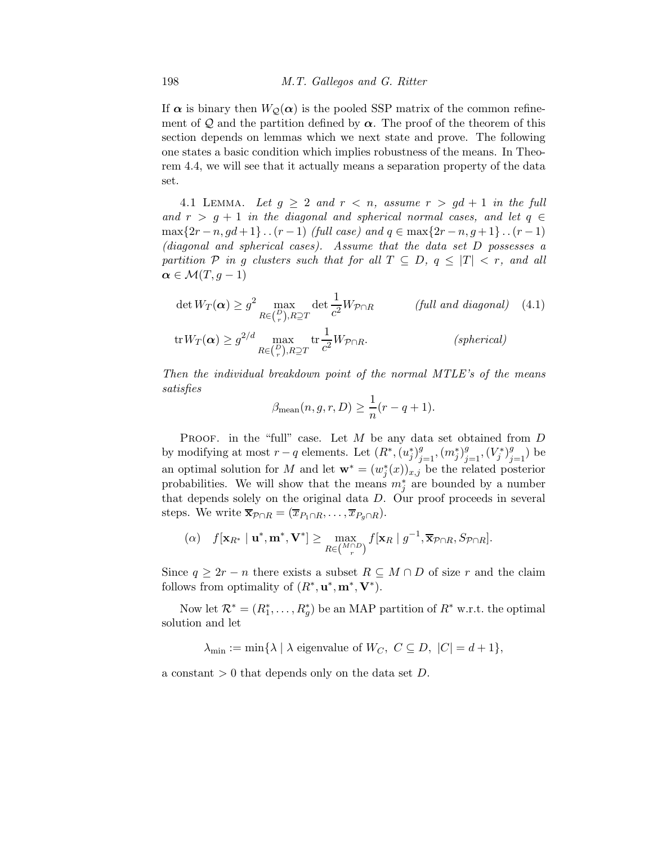If  $\alpha$  is binary then  $W_{\mathcal{O}}(\alpha)$  is the pooled SSP matrix of the common refinement of Q and the partition defined by  $\alpha$ . The proof of the theorem of this section depends on lemmas which we next state and prove. The following one states a basic condition which implies robustness of the means. In Theorem 4.4, we will see that it actually means a separation property of the data set.

4.1 LEMMA. Let  $g \geq 2$  and  $r < n$ , assume  $r > gd + 1$  in the full and  $r > g + 1$  *in the diagonal and spherical normal cases, and let*  $q \in$ max{2r − n, gd + 1} . .  $(r - 1)$  *(full case)* and  $q \in max\{2r - n, g + 1\}$ . .  $(r - 1)$ *(diagonal and spherical cases). Assume that the data set* D *possesses a partition*  $P$  *in* g *clusters such that for all*  $T \subseteq D$ ,  $q \leq |T| < r$ , and all  $\alpha \in \mathcal{M}(T,g-1)$ 

$$
\det W_T(\alpha) \ge g^2 \max_{R \in \binom{P}{r}, R \supseteq T} \det \frac{1}{c^2} W_{\mathcal{P} \cap R} \qquad \text{(full and diagonal)} \quad (4.1)
$$
\n
$$
\operatorname{tr} W_T(\alpha) \ge g^{2/d} \max_{R \in \binom{P}{r}, R \supseteq T} \operatorname{tr} \frac{1}{c^2} W_{\mathcal{P} \cap R}. \qquad \text{(spherical)}
$$

*Then the individual breakdown point of the normal MTLE's of the means satisfies*

$$
\beta_{\text{mean}}(n, g, r, D) \ge \frac{1}{n}(r - q + 1).
$$

PROOF. in the "full" case. Let  $M$  be any data set obtained from  $D$ by modifying at most  $r - q$  elements. Let  $(R^*, (u_j^*)_{j=1}^g, (m_j^*)_{j=1}^g, (V_j^*)_{j=1}^g)$  be an optimal solution for M and let  $\mathbf{w}^* = (w_j^*(x))_{x,j}$  be the related posterior probabilities. We will show that the means  $m_j^*$  are bounded by a number that depends solely on the original data D. Our proof proceeds in several steps. We write  $\overline{\mathbf{x}}_{\mathcal{P}\cap R} = (\overline{x}_{P_1\cap R}, \ldots, \overline{x}_{P_q\cap R}).$ 

$$
(\alpha) \quad f[\mathbf{x}_{R^*} \mid \mathbf{u}^*, \mathbf{m}^*, \mathbf{V}^*] \geq \max_{R \in \binom{M \cap D}{r}} f[\mathbf{x}_R \mid g^{-1}, \overline{\mathbf{x}}_{P \cap R}, S_{P \cap R}].
$$

Since  $q \geq 2r - n$  there exists a subset  $R \subseteq M \cap D$  of size r and the claim follows from optimality of  $(R^*, \mathbf{u}^*, \mathbf{m}^*, \mathbf{V}^*).$ 

Now let  $\mathcal{R}^* = (R_1^*, \ldots, R_g^*)$  be an MAP partition of  $R^*$  w.r.t. the optimal solution and let

 $\lambda_{\min} := \min\{\lambda \mid \lambda \text{ eigenvalue of } W_C, C \subseteq D, |C| = d + 1\},\$ 

a constant  $> 0$  that depends only on the data set D.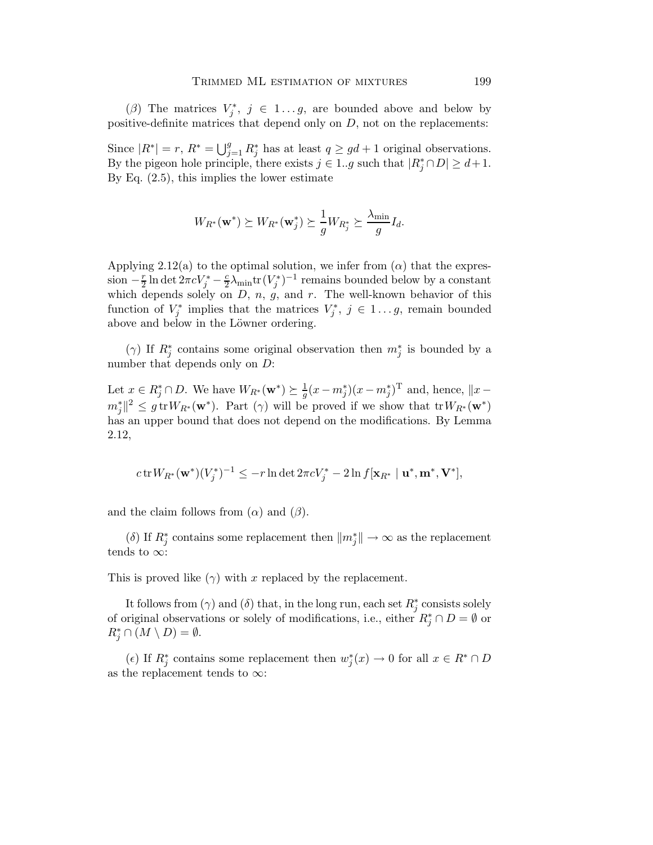( $\beta$ ) The matrices  $V_j^*$ ,  $j \in 1...g$ , are bounded above and below by positive-definite matrices that depend only on  $D$ , not on the replacements:

Since  $|R^*| = r$ ,  $R^* = \bigcup_{j=1}^g R_j^*$  has at least  $q \ge gd + 1$  original observations. By the pigeon hole principle, there exists  $j \in 1..g$  such that  $|R_j^* \cap D| \ge d+1$ . By Eq. (2.5), this implies the lower estimate

$$
W_{R^*}(\mathbf{w}^*) \succeq W_{R^*}(\mathbf{w}_j^*) \succeq \frac{1}{g} W_{R_j^*} \succeq \frac{\lambda_{\min}}{g} I_d.
$$

Applying 2.12(a) to the optimal solution, we infer from  $(\alpha)$  that the expres- $\sin -\frac{r}{2}$  $\frac{r}{2}$  ln det  $2\pi cV_j^* - \frac{c}{2}$  $\frac{c}{2}\lambda_{\min}$ tr $(V_j^*)^{-1}$  remains bounded below by a constant which depends solely on  $D, n, g$ , and r. The well-known behavior of this function of  $V_j^*$  implies that the matrices  $V_j^*, j \in 1...g$ , remain bounded above and below in the Löwner ordering.

( $\gamma$ ) If  $R_j^*$  contains some original observation then  $m_j^*$  is bounded by a number that depends only on  $D$ :

Let  $x \in R_j^* \cap D$ . We have  $W_{R^*}(\mathbf{w}^*) \succeq \frac{1}{g}$  $\frac{1}{g}(x - m_j^*)(x - m_j^*)^{\mathrm{T}}$  and, hence,  $||x - x_j||$  $m_j^* \|^{2} \leq g \operatorname{tr} W_{R^*}(\mathbf{w}^*)$ . Part  $(\gamma)$  will be proved if we show that  $\operatorname{tr} W_{R^*}(\mathbf{w}^*)$ has an upper bound that does not depend on the modifications. By Lemma 2.12,

$$
c \operatorname{tr} W_{R^*}(\mathbf{w}^*)(V_j^*)^{-1} \leq -r \ln \det 2\pi c V_j^* - 2 \ln f[\mathbf{x}_{R^*} \mid \mathbf{u}^*, \mathbf{m}^*, \mathbf{V}^*],
$$

and the claim follows from  $(\alpha)$  and  $(\beta)$ .

 $(\delta)$  If  $R_j^*$  contains some replacement then  $\|m_j^*\|\to\infty$  as the replacement tends to  $\infty$ :

This is proved like  $(\gamma)$  with x replaced by the replacement.

It follows from  $(\gamma)$  and  $(\delta)$  that, in the long run, each set  $R_j^*$  consists solely of original observations or solely of modifications, i.e., either  $R_j^* \cap D = \emptyset$  or  $R_j^* \cap (M \setminus D) = \emptyset.$ 

( $\epsilon$ ) If  $R_j^*$  contains some replacement then  $w_j^*(x) \to 0$  for all  $x \in R^* \cap D$ as the replacement tends to  $\infty$ :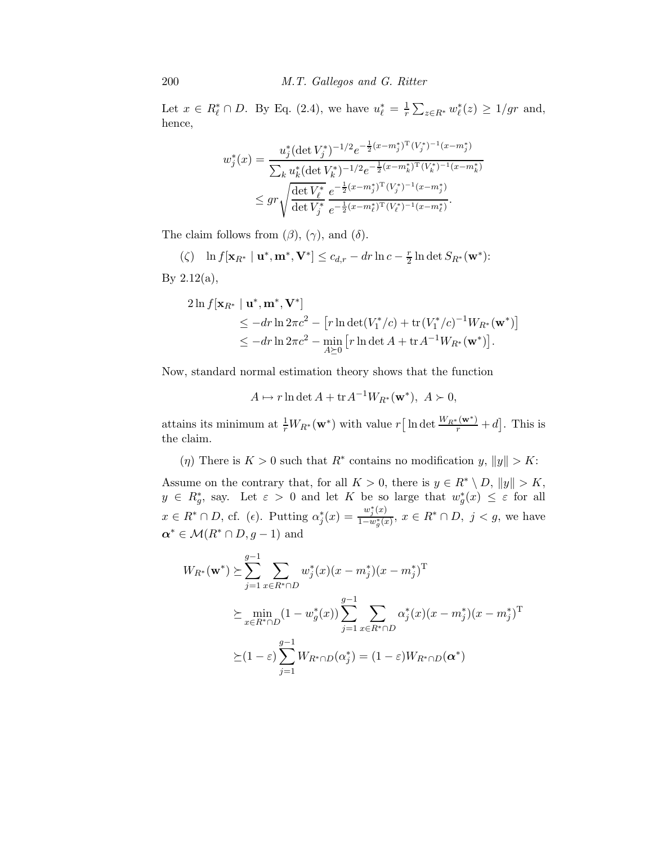200 *M.T. Gallegos and G. Ritter*

Let  $x \in R^*_{\ell} \cap D$ . By Eq. (2.4), we have  $u_{\ell}^* = \frac{1}{r}$  $\frac{1}{r}\sum_{z\in R^*} w_{\ell}^*(z) \geq 1/gr$  and, hence,

$$
w_j^*(x) = \frac{u_j^*(\det V_j^*)^{-1/2} e^{-\frac{1}{2}(x-m_j^*)^T (V_j^*)^{-1} (x-m_j^*)}}{\sum_k u_k^*(\det V_k^*)^{-1/2} e^{-\frac{1}{2}(x-m_k^*)^T (V_k^*)^{-1} (x-m_k^*)}}
$$
  
 
$$
\leq gr \sqrt{\frac{\det V_\ell^*}{\det V_j^*} e^{-\frac{1}{2}(x-m_\ell^*)^T (V_j^*)^{-1} (x-m_j^*)}}.
$$

The claim follows from  $(\beta)$ ,  $(\gamma)$ , and  $(\delta)$ .

$$
\text{(C)} \quad \ln f[\mathbf{x}_{R^*} \mid \mathbf{u}^*, \mathbf{m}^*, \mathbf{V}^*] \le c_{d,r} - dr \ln c - \frac{r}{2} \ln \det S_{R^*}(\mathbf{w}^*)
$$

By  $2.12(a)$ ,

$$
2\ln f[\mathbf{x}_{R^*} \mid \mathbf{u}^*, \mathbf{m}^*, \mathbf{V}^*]
$$
  
\n
$$
\leq -dr \ln 2\pi c^2 - [r \ln \det(V_1^*/c) + \text{tr}(V_1^*/c)^{-1}W_{R^*}(\mathbf{w}^*)]
$$
  
\n
$$
\leq -dr \ln 2\pi c^2 - \min_{A\succeq 0} [r \ln \det A + \text{tr} A^{-1}W_{R^*}(\mathbf{w}^*)].
$$

Now, standard normal estimation theory shows that the function

 $A \mapsto r \ln \det A + \operatorname{tr} A^{-1} W_{R^*}(\mathbf{w}^*), A \succ 0,$ 

attains its minimum at  $\frac{1}{r}W_{R^*}(\mathbf{w}^*)$  with value  $r\left[\ln \det \frac{W_{R^*}(\mathbf{w}^*)}{r} + d\right]$ . This is the claim.

( $\eta$ ) There is  $K > 0$  such that  $R^*$  contains no modification  $y, \|y\| > K$ :

Assume on the contrary that, for all  $K > 0$ , there is  $y \in R^* \setminus D$ ,  $||y|| > K$ ,  $y \in R_g^*$ , say. Let  $\varepsilon > 0$  and let K be so large that  $w_g^*(x) \leq \varepsilon$  for all  $x \in R^* \cap D$ , cf. ( $\epsilon$ ). Putting  $\alpha_j^*(x) = \frac{w_j^*(x)}{1 - w_o^*(x)}$  $\frac{w_j(x)}{1-w^*_g(x)}$ ,  $x \in R^* \cap D$ ,  $j < g$ , we have  $\alpha^* \in \mathcal{M}(R^* \cap D, g-1)$  and

$$
W_{R^*}(\mathbf{w}^*) \succeq \sum_{j=1}^{g-1} \sum_{x \in R^* \cap D} w_j^*(x) (x - m_j^*) (x - m_j^*)^{\mathrm{T}}
$$
  

$$
\succeq \min_{x \in R^* \cap D} (1 - w_g^*(x)) \sum_{j=1}^{g-1} \sum_{x \in R^* \cap D} \alpha_j^*(x) (x - m_j^*) (x - m_j^*)^{\mathrm{T}}
$$
  

$$
\succeq (1 - \varepsilon) \sum_{j=1}^{g-1} W_{R^* \cap D}(\alpha_j^*) = (1 - \varepsilon) W_{R^* \cap D}(\alpha^*)
$$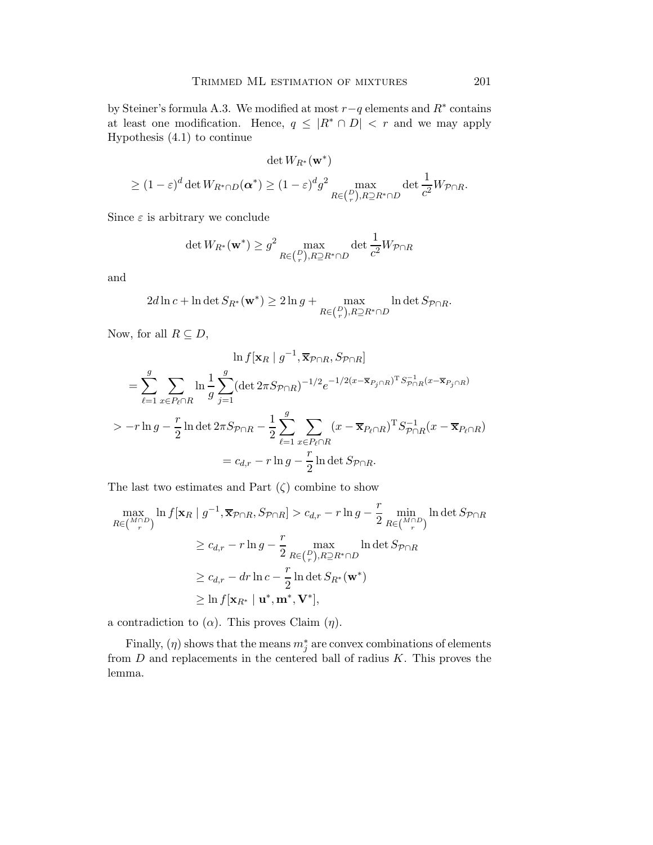by Steiner's formula A.3. We modified at most  $r-q$  elements and  $R^*$  contains at least one modification. Hence,  $q \leq |R^* \cap D| < r$  and we may apply Hypothesis (4.1) to continue

$$
\det W_{R^*}(\mathbf{w}^*)
$$
  

$$
\geq (1-\varepsilon)^d \det W_{R^*\cap D}(\alpha^*) \geq (1-\varepsilon)^d g^2 \max_{R\in\binom{D}{r}, R\supseteq R^*\cap D} \det \frac{1}{c^2} W_{\mathcal{P}\cap R}.
$$

Since  $\varepsilon$  is arbitrary we conclude

$$
\det W_{R^*}(\mathbf{w}^*) \ge g^2 \max_{R \in \binom{D}{r}, R \supseteq R^* \cap D} \det \frac{1}{c^2} W_{\mathcal{P} \cap R}
$$

and

$$
2d\ln c + \ln \det S_{R^*}(\mathbf{w}^*) \ge 2\ln g + \max_{R\in\binom{D}{r}, R\supseteq R^*\cap D} \ln \det S_{\mathcal{P}\cap R}.
$$

Now, for all  $R \subseteq D$ ,

$$
\ln f[\mathbf{x}_R | g^{-1}, \overline{\mathbf{x}}_{P \cap R}, S_{P \cap R}]
$$
  
=  $\sum_{\ell=1}^g \sum_{x \in P_{\ell} \cap R} \ln \frac{1}{g} \sum_{j=1}^g (\det 2\pi S_{P \cap R})^{-1/2} e^{-1/2(x - \overline{\mathbf{x}}_{P_j \cap R})^T S_{P \cap R}^{-1}(x - \overline{\mathbf{x}}_{P_j \cap R})}$   
>  $-r \ln g - \frac{r}{2} \ln \det 2\pi S_{P \cap R} - \frac{1}{2} \sum_{\ell=1}^g \sum_{x \in P_{\ell} \cap R} (x - \overline{\mathbf{x}}_{P_{\ell} \cap R})^T S_{P \cap R}^{-1}(x - \overline{\mathbf{x}}_{P_{\ell} \cap R})$   
=  $c_{d,r} - r \ln g - \frac{r}{2} \ln \det S_{P \cap R}$ .

The last two estimates and Part  $(\zeta)$  combine to show

$$
\max_{R \in \binom{M \cap D}{r}} \ln f[\mathbf{x}_R \mid g^{-1}, \overline{\mathbf{x}}_{\mathcal{P} \cap R}, S_{\mathcal{P} \cap R}] > c_{d,r} - r \ln g - \frac{r}{2} \min_{R \in \binom{M \cap D}{r}} \ln \det S_{\mathcal{P} \cap R}
$$
\n
$$
\geq c_{d,r} - r \ln g - \frac{r}{2} \max_{R \in \binom{D}{r}, R \supseteq R^* \cap D} \ln \det S_{\mathcal{P} \cap R}
$$
\n
$$
\geq c_{d,r} - dr \ln c - \frac{r}{2} \ln \det S_{R^*}(\mathbf{w}^*)
$$
\n
$$
\geq \ln f[\mathbf{x}_{R^*} \mid \mathbf{u}^*, \mathbf{m}^*, \mathbf{V}^*],
$$

a contradiction to  $(\alpha)$ . This proves Claim  $(\eta)$ .

Finally,  $(\eta)$  shows that the means  $m_j^*$  are convex combinations of elements from  $D$  and replacements in the centered ball of radius  $K$ . This proves the lemma.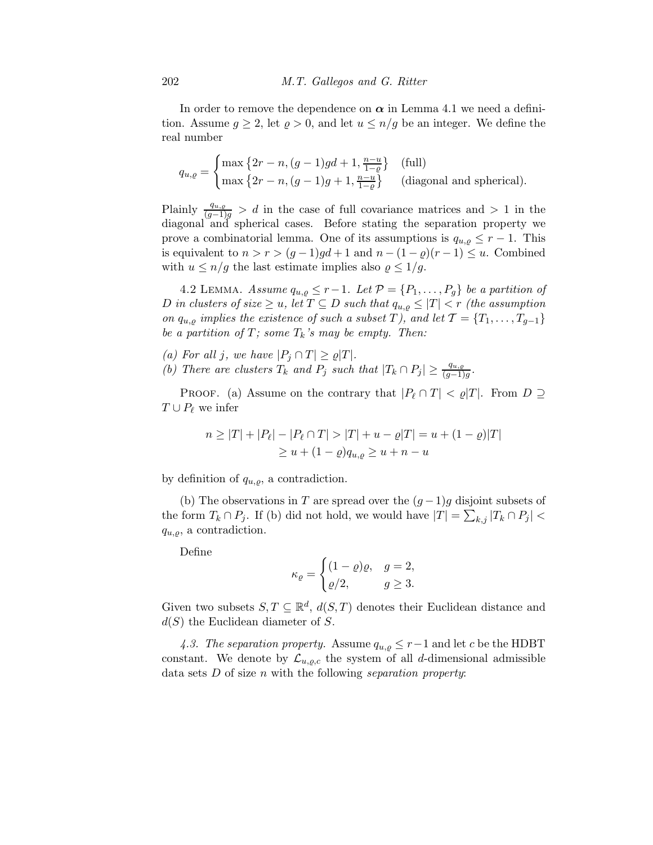In order to remove the dependence on  $\alpha$  in Lemma 4.1 we need a definition. Assume  $g \geq 2$ , let  $\varrho > 0$ , and let  $u \leq n/g$  be an integer. We define the real number

$$
q_{u,\varrho} = \begin{cases} \max\left\{2r - n, (g-1)gd + 1, \frac{n-u}{1-\varrho}\right\} & \text{(full)}\\ \max\left\{2r - n, (g-1)g + 1, \frac{n-u}{1-\varrho}\right\} & \text{(diagonal and spherical)} \end{cases}.
$$

Plainly  $\frac{q_{u,g}}{(g-1)g} > d$  in the case of full covariance matrices and  $> 1$  in the diagonal and spherical cases. Before stating the separation property we prove a combinatorial lemma. One of its assumptions is  $q_{u,g} \leq r-1$ . This is equivalent to  $n > r > (g-1)gd + 1$  and  $n - (1 - \varrho)(r-1) \leq u$ . Combined with  $u \leq n/g$  the last estimate implies also  $\varrho \leq 1/g$ .

4.2 LEMMA. *Assume*  $q_{u,g} \leq r-1$ *. Let*  $\mathcal{P} = \{P_1, \ldots, P_g\}$  *be a partition of* D in clusters of size  $\geq u$ , let  $T \subseteq D$  such that  $q_{u,g} \leq |T| < r$  (the assumption *on*  $q_{u,q}$  *implies the existence of such a subset* T*)*, and let  $\mathcal{T} = \{T_1, \ldots, T_{g-1}\}$ *be a partition of*  $T$ *; some*  $T_k$ *'s may be empty. Then:* 

- *(a)* For all j, we have  $|P_j \cap T| \ge \varrho |T|$ .
- *(b)* There are clusters  $T_k$  and  $P_j$  such that  $|T_k \cap P_j| \geq \frac{q_{u,g}}{(g-1)g}$ .

PROOF. (a) Assume on the contrary that  $|P_\ell \cap T| < \rho|T|$ . From  $D \supseteq$  $T \cup P_{\ell}$  we infer

$$
n \ge |T| + |P_{\ell}| - |P_{\ell} \cap T| > |T| + u - \varrho|T| = u + (1 - \varrho)|T|
$$
  
 
$$
\ge u + (1 - \varrho)q_{u,\varrho} \ge u + n - u
$$

by definition of  $q_{u,o}$ , a contradiction.

(b) The observations in T are spread over the  $(g-1)g$  disjoint subsets of the form  $T_k \cap P_j$ . If (b) did not hold, we would have  $|T| = \sum_{k,j} |T_k \cap P_j|$  $q_{u,\rho}$ , a contradiction.

Define

$$
\kappa_{\varrho} = \begin{cases} (1-\varrho)\varrho, & g = 2, \\ \varrho/2, & g \geq 3. \end{cases}
$$

Given two subsets  $S, T \subseteq \mathbb{R}^d$ ,  $d(S,T)$  denotes their Euclidean distance and  $d(S)$  the Euclidean diameter of S.

4.3. The separation property. Assume  $q_{u,q} \leq r-1$  and let c be the HDBT constant. We denote by  $\mathcal{L}_{u,\varrho,c}$  the system of all d-dimensional admissible data sets D of size n with the following *separation property*: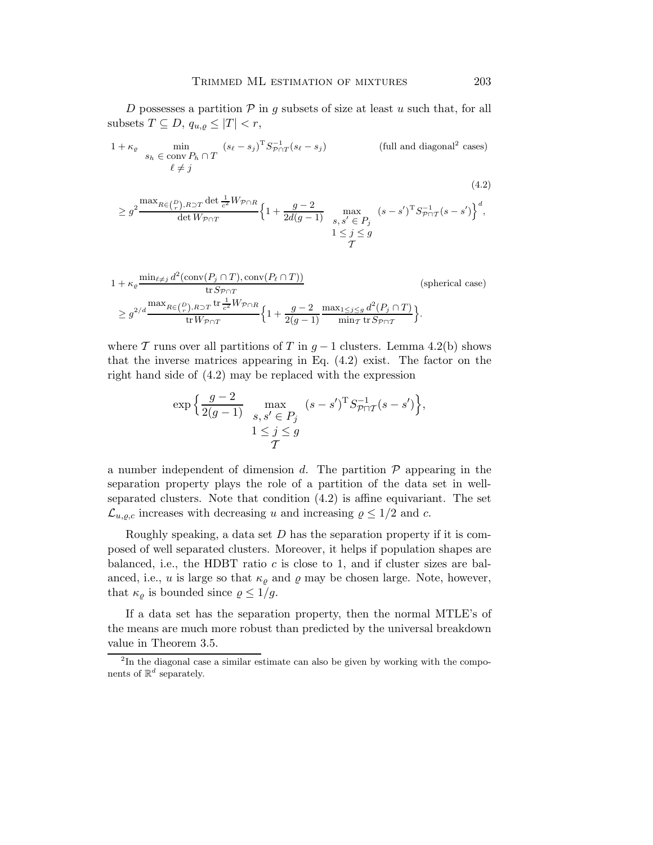D possesses a partition  $P$  in g subsets of size at least u such that, for all subsets  $T \subseteq D$ ,  $q_{u,\varrho} \leq |T| < r$ ,

$$
1 + \kappa_{\varrho} \min_{\delta_h \in \text{conv } P_h \cap T} (s_{\ell} - s_j)^T S_{\mathcal{P} \cap T}^{-1} (s_{\ell} - s_j)
$$
 (full and diagonal<sup>2</sup> cases)  

$$
\ell \neq j
$$

(4.2)  
\n
$$
\geq g^2 \frac{\max_{R \in {P \choose r}, R \supset T} \det \frac{1}{c^2} W_{\mathcal{P} \cap R}}{\det W_{\mathcal{P} \cap T}} \left\{ 1 + \frac{g-2}{2d(g-1)} \max_{\substack{S, S' \in P_j \\ 1 \leq j \leq g}} (s-s')^{\mathrm{T}} S_{\mathcal{P} \cap T}^{-1}(s-s') \right\}^d,
$$

$$
1 + \kappa_{\varrho} \frac{\min_{\ell \neq j} d^{2}(\text{conv}(P_{j} \cap T), \text{conv}(P_{\ell} \cap T))}{\text{tr } S_{\mathcal{P} \cap T}} \quad \text{(spherical case)}
$$
\n
$$
\geq g^{2/d} \frac{\max_{R \in \binom{P}{r}, R \supset T} \text{tr } \frac{1}{c^{2}} W_{\mathcal{P} \cap R}}{\text{tr } W_{\mathcal{P} \cap T}} \left\{ 1 + \frac{g - 2}{2(g - 1)} \frac{\max_{1 \leq j \leq g} d^{2}(P_{j} \cap T)}{\min_{T} \text{tr } S_{\mathcal{P} \cap T}} \right\}.
$$

where T runs over all partitions of T in  $q-1$  clusters. Lemma 4.2(b) shows that the inverse matrices appearing in Eq. (4.2) exist. The factor on the right hand side of (4.2) may be replaced with the expression

$$
\exp\Big\{\frac{g-2}{2(g-1)}\max_{\substack{s,s'\in P_j\\1\leq j\leq g}}(s-s')^{\mathrm{T}}S_{\mathcal{P}\sqcap\mathcal{T}}^{-1}(s-s')\Big\},\,
$$

a number independent of dimension d. The partition  $P$  appearing in the separation property plays the role of a partition of the data set in wellseparated clusters. Note that condition (4.2) is affine equivariant. The set  $\mathcal{L}_{u,\varrho,c}$  increases with decreasing u and increasing  $\varrho \leq 1/2$  and c.

Roughly speaking, a data set  $D$  has the separation property if it is composed of well separated clusters. Moreover, it helps if population shapes are balanced, i.e., the HDBT ratio  $c$  is close to 1, and if cluster sizes are balanced, i.e., u is large so that  $\kappa_{\varrho}$  and  $\varrho$  may be chosen large. Note, however, that  $\kappa_{\rho}$  is bounded since  $\rho \leq 1/g$ .

If a data set has the separation property, then the normal MTLE's of the means are much more robust than predicted by the universal breakdown value in Theorem 3.5.

<sup>&</sup>lt;sup>2</sup>In the diagonal case a similar estimate can also be given by working with the components of  $\mathbb{R}^d$  separately.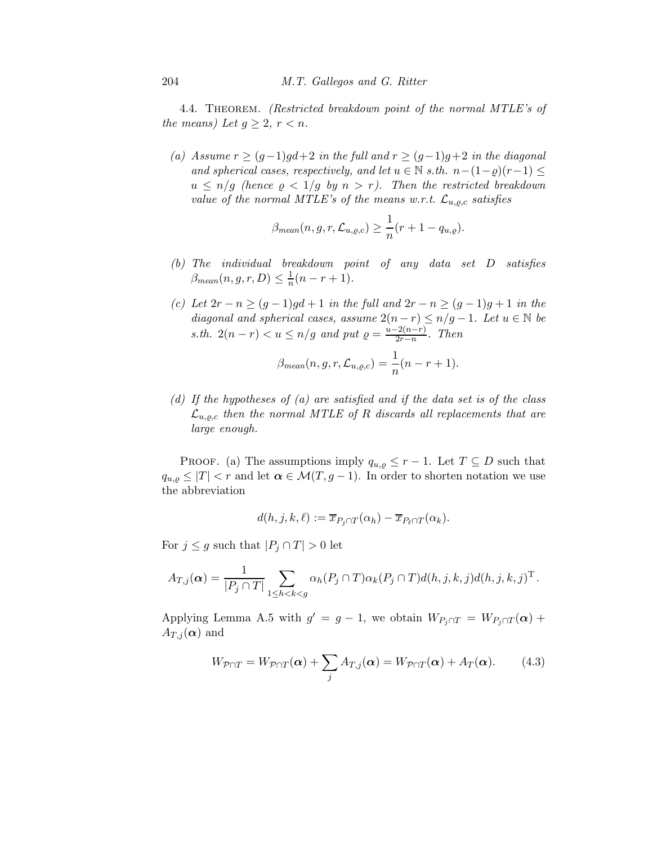4.4. Theorem. *(Restricted breakdown point of the normal MTLE's of the means)* Let  $g \geq 2$ ,  $r < n$ .

*(a)* Assume  $r \ge (g-1)gd+2$  *in the full and*  $r \ge (g-1)g+2$  *in the diagonal and spherical cases, respectively, and let*  $u \in \mathbb{N}$  *s.th.*  $n-(1-\rho)(r-1) \leq$  $u \leq n/g$  (hence  $\rho < 1/g$  by  $n > r$ ). Then the restricted breakdown *value of the normal MTLE's of the means w.r.t.*  $\mathcal{L}_{u,o,c}$  *satisfies* 

$$
\beta_{mean}(n, g, r, \mathcal{L}_{u, \varrho, c}) \ge \frac{1}{n}(r + 1 - q_{u, \varrho}).
$$

- *(b) The individual breakdown point of any data set* D *satisfies*  $\beta_{mean}(n, g, r, D) \leq \frac{1}{n}$  $\frac{1}{n}(n-r+1)$ .
- *(c)* Let  $2r n \ge (g 1)gd + 1$  *in the full and*  $2r n \ge (g 1)g + 1$  *in the diagonal and spherical cases, assume*  $2(n - r) \leq n/g - 1$ *. Let*  $u \in \mathbb{N}$  *be s.th.*  $2(n-r) < u \leq n/g$  *and put*  $\rho = \frac{u-2(n-r)}{2r-n}$  $\frac{2(n-r)}{2r-n}$ *.* Then

$$
\beta_{mean}(n, g, r, \mathcal{L}_{u, \varrho, c}) = \frac{1}{n}(n - r + 1).
$$

*(d) If the hypotheses of (a) are satisfied and if the data set is of the class*  $\mathcal{L}_{u,o,c}$  then the normal MTLE of R discards all replacements that are *large enough.*

PROOF. (a) The assumptions imply  $q_{u,q} \leq r-1$ . Let  $T \subseteq D$  such that  $q_{u,\varrho} \leq |T| < r$  and let  $\alpha \in \mathcal{M}(T,g-1)$ . In order to shorten notation we use the abbreviation

$$
d(h, j, k, \ell) := \overline{x}_{P_j \cap T}(\alpha_h) - \overline{x}_{P_\ell \cap T}(\alpha_k).
$$

For  $j \leq g$  such that  $|P_j \cap T| > 0$  let

$$
A_{T,j}(\boldsymbol{\alpha}) = \frac{1}{|P_j \cap T|} \sum_{1 \leq h < k < g} \alpha_h(P_j \cap T) \alpha_k(P_j \cap T) d(h,j,k,j) d(h,j,k,j)^{\mathrm{T}}.
$$

Applying Lemma A.5 with  $g' = g - 1$ , we obtain  $W_{P_j \cap T} = W_{P_j \cap T}(\boldsymbol{\alpha}) +$  $A_{T,j}(\boldsymbol{\alpha})$  and

$$
W_{\mathcal{P}\cap T} = W_{\mathcal{P}\cap T}(\boldsymbol{\alpha}) + \sum_{j} A_{T,j}(\boldsymbol{\alpha}) = W_{\mathcal{P}\cap T}(\boldsymbol{\alpha}) + A_{T}(\boldsymbol{\alpha}). \tag{4.3}
$$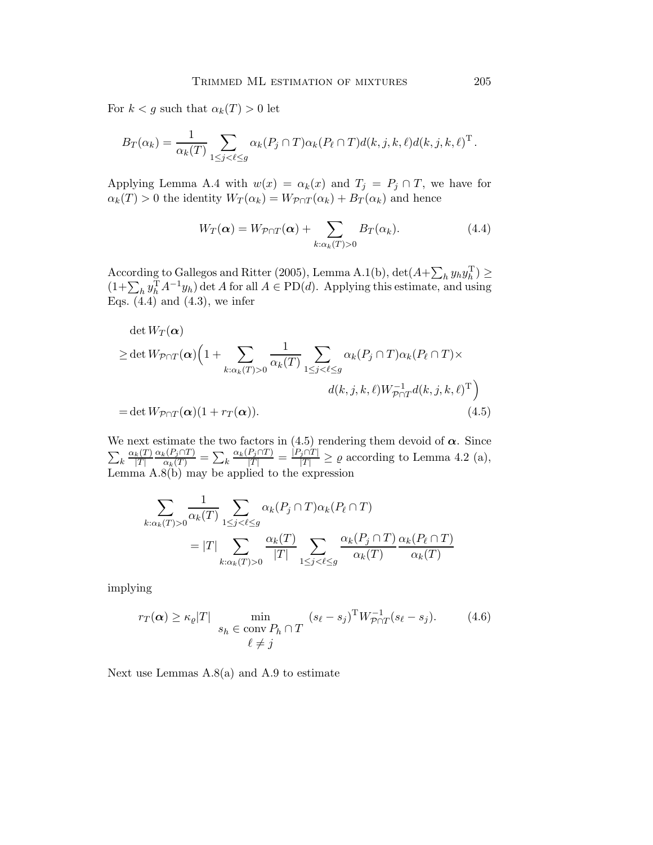For  $k < g$  such that  $\alpha_k(T) > 0$  let

$$
B_T(\alpha_k) = \frac{1}{\alpha_k(T)} \sum_{1 \leq j < \ell \leq g} \alpha_k(P_j \cap T) \alpha_k(P_\ell \cap T) d(k, j, k, \ell) d(k, j, k, \ell)^{\mathrm{T}}.
$$

Applying Lemma A.4 with  $w(x) = \alpha_k(x)$  and  $T_j = P_j \cap T$ , we have for  $\alpha_k(T) > 0$  the identity  $W_T(\alpha_k) = W_{\mathcal{P} \cap T}(\alpha_k) + B_T(\alpha_k)$  and hence

$$
W_T(\alpha) = W_{\mathcal{P}\cap T}(\alpha) + \sum_{k:\alpha_k(T)>0} B_T(\alpha_k). \tag{4.4}
$$

According to Gallegos and Ritter (2005), Lemma A.1(b),  $\det(A+\sum_h y_h y_h^{\mathrm{T}}) \geq$  $(1+\sum_h y_h^{\mathrm{T}}A^{-1}y_h)$  det A for all  $A \in \mathrm{PD}(d)$ . Applying this estimate, and using Eqs.  $(4.4)$  and  $(4.3)$ , we infer

$$
\det W_T(\alpha)
$$
  
\n
$$
\geq \det W_{\mathcal{P}\cap T}(\alpha) \Big( 1 + \sum_{k:\alpha_k(T)>0} \frac{1}{\alpha_k(T)} \sum_{1 \leq j < \ell \leq g} \alpha_k(P_j \cap T) \alpha_k(P_\ell \cap T) \times
$$
  
\n
$$
d(k, j, k, \ell) W_{\mathcal{P}\cap T}^{-1} d(k, j, k, \ell)^{\mathrm{T}} \Big)
$$
  
\n
$$
= \det W_{\mathcal{P}\cap T}(\alpha) (1 + r_T(\alpha)). \tag{4.5}
$$

We next estimate the two factors in (4.5) rendering them devoid of  $\alpha$ . Since  $\sum_k \frac{\alpha_k(T)}{|T|}$  $|T|$  $\frac{\alpha_k(P_j \cap T)}{\alpha_k(T)} = \sum_k$  $\frac{\alpha_k(P_j \cap T)}{|T|} = \frac{|P_j \cap T|}{|T|} \ge \varrho$  according to Lemma 4.2 (a), Lemma A.8(b) may be applied to the expression

$$
\sum_{k:\alpha_k(T)>0} \frac{1}{\alpha_k(T)} \sum_{1 \le j < \ell \le g} \alpha_k(P_j \cap T) \alpha_k(P_\ell \cap T)
$$
\n
$$
= |T| \sum_{k:\alpha_k(T)>0} \frac{\alpha_k(T)}{|T|} \sum_{1 \le j < \ell \le g} \frac{\alpha_k(P_j \cap T)}{\alpha_k(T)} \frac{\alpha_k(P_\ell \cap T)}{\alpha_k(T)}
$$

implying

$$
r_T(\alpha) \ge \kappa_\varrho |T| \min_{\delta_h \in \text{conv } P_h \cap T} (s_\ell - s_j)^T W_{\mathcal{P} \cap T}^{-1} (s_\ell - s_j). \tag{4.6}
$$
  

$$
\ell \ne j
$$

Next use Lemmas  $A.8(a)$  and  $A.9$  to estimate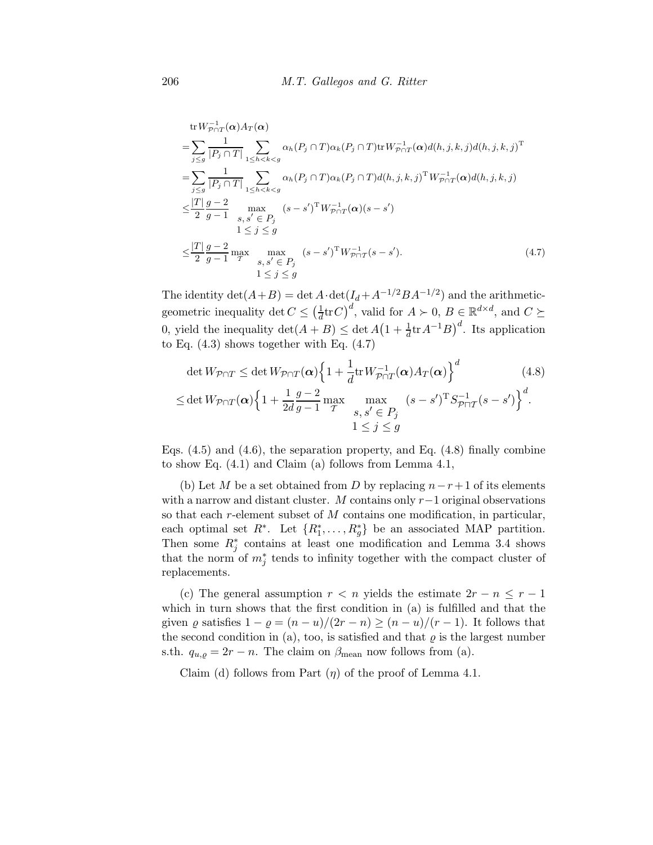tr 
$$
W_{p \cap T}^{-1}(\alpha) A_T(\alpha)
$$
  
\n
$$
= \sum_{j \le g} \frac{1}{|P_j \cap T|} \sum_{1 \le h < k < g} \alpha_h(P_j \cap T) \alpha_k(P_j \cap T) \text{tr} W_{p \cap T}^{-1}(\alpha) d(h, j, k, j) d(h, j, k, j)^{\mathrm{T}}
$$
\n
$$
= \sum_{j \le g} \frac{1}{|P_j \cap T|} \sum_{1 \le h < k < g} \alpha_h(P_j \cap T) \alpha_k(P_j \cap T) d(h, j, k, j)^{\mathrm{T}} W_{p \cap T}^{-1}(\alpha) d(h, j, k, j)
$$
\n
$$
\le \frac{|T|}{2} \frac{g-2}{g-1} \max_{\begin{array}{l} g, s' \in P_j \\ 1 \le j \le g \end{array}} (s-s')^{\mathrm{T}} W_{p \cap T}^{-1}(\alpha) (s-s')
$$
\n
$$
\le \frac{|T|}{2} \frac{g-2}{g-1} \max_{\begin{array}{l} m \text{ max} \\ m, s, s' \in P_j \end{array}} (s-s')^{\mathrm{T}} W_{p \cap T}^{-1}(s-s'). \tag{4.7}
$$

The identity  $\det(A+B) = \det A \cdot \det(I_d + A^{-1/2}BA^{-1/2})$  and the arithmeticgeometric inequality det  $C \leq \left(\frac{1}{d}\right)$  $\frac{1}{d}$ tr $(C)^d$ , valid for  $A \succ 0$ ,  $B \in \mathbb{R}^{d \times d}$ , and  $C \succeq$ 0, yield the inequality  $\det(A+B) \leq \det A(1+\frac{1}{d}\text{tr} A^{-1}B)^d$ . Its application to Eq.  $(4.3)$  shows together with Eq.  $(4.7)$ 

$$
\det W_{\mathcal{P}\cap T} \leq \det W_{\mathcal{P}\cap T}(\boldsymbol{\alpha}) \Big\{ 1 + \frac{1}{d} \operatorname{tr} W_{\mathcal{P}\cap T}^{-1}(\boldsymbol{\alpha}) A_T(\boldsymbol{\alpha}) \Big\}^d \qquad (4.8)
$$
  

$$
\leq \det W_{\mathcal{P}\cap T}(\boldsymbol{\alpha}) \Big\{ 1 + \frac{1}{2d} \frac{g-2}{g-1} \max_{T} \max_{\begin{array}{c} s, s' \in P_j \\ 1 \leq j \leq g \end{array}} (s-s')^T S_{\mathcal{P}\cap T}^{-1}(s-s') \Big\}^d.
$$

Eqs.  $(4.5)$  and  $(4.6)$ , the separation property, and Eq.  $(4.8)$  finally combine to show Eq. (4.1) and Claim (a) follows from Lemma 4.1,

(b) Let M be a set obtained from D by replacing  $n-r+1$  of its elements with a narrow and distant cluster. M contains only  $r-1$  original observations so that each r-element subset of M contains one modification, in particular, each optimal set  $R^*$ . Let  $\{R_1^*, \ldots, R_g^*\}$  be an associated MAP partition. Then some  $R_j^*$  contains at least one modification and Lemma 3.4 shows that the norm of  $m_j^*$  tends to infinity together with the compact cluster of replacements.

(c) The general assumption  $r < n$  yields the estimate  $2r - n \leq r - 1$ which in turn shows that the first condition in (a) is fulfilled and that the given  $\varrho$  satisfies  $1 - \varrho = (n - u)/(2r - n) \ge (n - u)/(r - 1)$ . It follows that the second condition in (a), too, is satisfied and that  $\varrho$  is the largest number s.th.  $q_{u,g} = 2r - n$ . The claim on  $\beta_{\text{mean}}$  now follows from (a).

Claim (d) follows from Part  $(\eta)$  of the proof of Lemma 4.1.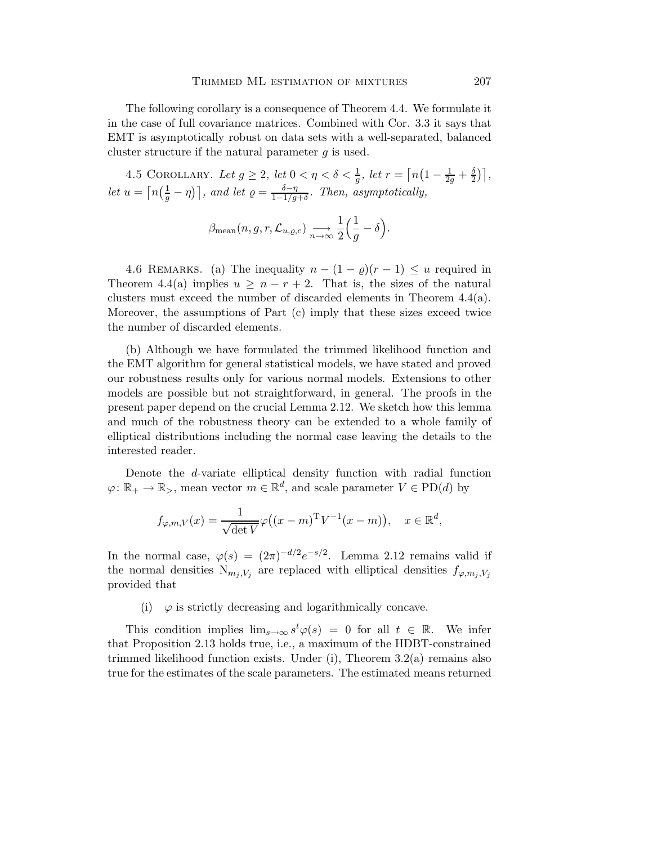The following corollary is a consequence of Theorem 4.4. We formulate it in the case of full covariance matrices. Combined with Cor. 3.3 it says that EMT is asymptotically robust on data sets with a well-separated, balanced cluster structure if the natural parameter g is used.

4.5 COROLLARY. Let  $g \ge 2$ , let  $0 < \eta < \delta < \frac{1}{g}$ , let  $r = \lceil n(1 - \frac{1}{2g} + \frac{\delta}{2g}) \rceil$  $\frac{\delta}{2}$ )], *let*  $u = \lceil n(\frac{1}{g} - \eta) \rceil$ , and let  $\varrho = \frac{\delta - \eta}{1 - 1/g}$ 1−1/g+δ *. Then, asymptotically,*

$$
\beta_{\text{mean}}(n, g, r, \mathcal{L}_{u, \varrho, c}) \longrightarrow \frac{1}{n \to \infty} \frac{1}{2} \Big( \frac{1}{g} - \delta \Big).
$$

4.6 REMARKS. (a) The inequality  $n - (1 - \rho)(r - 1) \leq u$  required in Theorem 4.4(a) implies  $u \geq n-r+2$ . That is, the sizes of the natural clusters must exceed the number of discarded elements in Theorem 4.4(a). Moreover, the assumptions of Part (c) imply that these sizes exceed twice the number of discarded elements.

(b) Although we have formulated the trimmed likelihood function and the EMT algorithm for general statistical models, we have stated and proved our robustness results only for various normal models. Extensions to other models are possible but not straightforward, in general. The proofs in the present paper depend on the crucial Lemma 2.12. We sketch how this lemma and much of the robustness theory can be extended to a whole family of elliptical distributions including the normal case leaving the details to the interested reader.

Denote the d-variate elliptical density function with radial function  $\varphi \colon \mathbb{R}_+ \to \mathbb{R}_>$ , mean vector  $m \in \mathbb{R}^d$ , and scale parameter  $V \in \mathrm{PD}(d)$  by

$$
f_{\varphi,m,V}(x) = \frac{1}{\sqrt{\det V}} \varphi((x-m)^{\mathrm{T}} V^{-1}(x-m)), \quad x \in \mathbb{R}^d,
$$

In the normal case,  $\varphi(s) = (2\pi)^{-d/2} e^{-s/2}$ . Lemma 2.12 remains valid if the normal densities  $N_{m_j,V_j}$  are replaced with elliptical densities  $f_{\varphi,m_j,V_j}$ provided that

(i)  $\varphi$  is strictly decreasing and logarithmically concave.

This condition implies  $\lim_{s\to\infty} s^t \varphi(s) = 0$  for all  $t \in \mathbb{R}$ . We infer that Proposition 2.13 holds true, i.e., a maximum of the HDBT-constrained trimmed likelihood function exists. Under (i), Theorem  $3.2(a)$  remains also true for the estimates of the scale parameters. The estimated means returned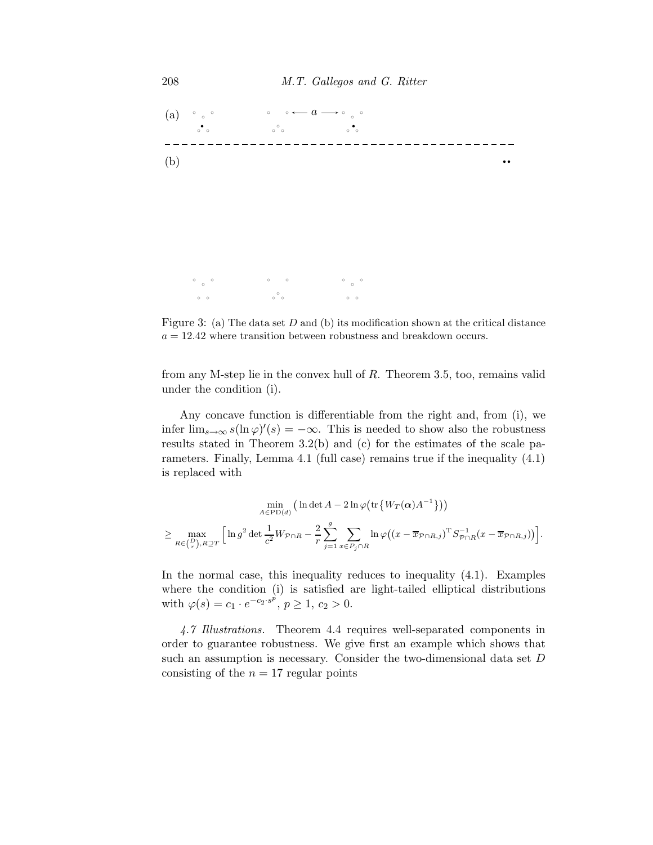

Figure 3: (a) The data set  $D$  and (b) its modification shown at the critical distance  $a = 12.42$  where transition between robustness and breakdown occurs.

from any M-step lie in the convex hull of R. Theorem 3.5, too, remains valid under the condition (i).

Any concave function is differentiable from the right and, from (i), we infer  $\lim_{s\to\infty} s(\ln \varphi)'(s) = -\infty$ . This is needed to show also the robustness results stated in Theorem 3.2(b) and (c) for the estimates of the scale parameters. Finally, Lemma 4.1 (full case) remains true if the inequality (4.1) is replaced with

$$
\min_{A \in \text{PD}(d)} \left( \ln \det A - 2 \ln \varphi \left( \text{tr} \left\{ W_T(\alpha) A^{-1} \right\} \right) \right)
$$
  

$$
\geq \max_{R \in \binom{D}{r}, R \supseteq T} \left[ \ln g^2 \det \frac{1}{c^2} W_{\mathcal{P} \cap R} - \frac{2}{r} \sum_{j=1}^g \sum_{x \in P_j \cap R} \ln \varphi \left( \left( x - \overline{x}_{\mathcal{P} \cap R,j} \right)^T S_{\mathcal{P} \cap R}^{-1} (x - \overline{x}_{\mathcal{P} \cap R,j}) \right) \right].
$$

In the normal case, this inequality reduces to inequality (4.1). Examples where the condition (i) is satisfied are light-tailed elliptical distributions with  $\varphi(s) = c_1 \cdot e^{-c_2 \cdot s^p}, \ p \ge 1, \ c_2 > 0.$ 

*4.7 Illustrations.* Theorem 4.4 requires well-separated components in order to guarantee robustness. We give first an example which shows that such an assumption is necessary. Consider the two-dimensional data set D consisting of the  $n = 17$  regular points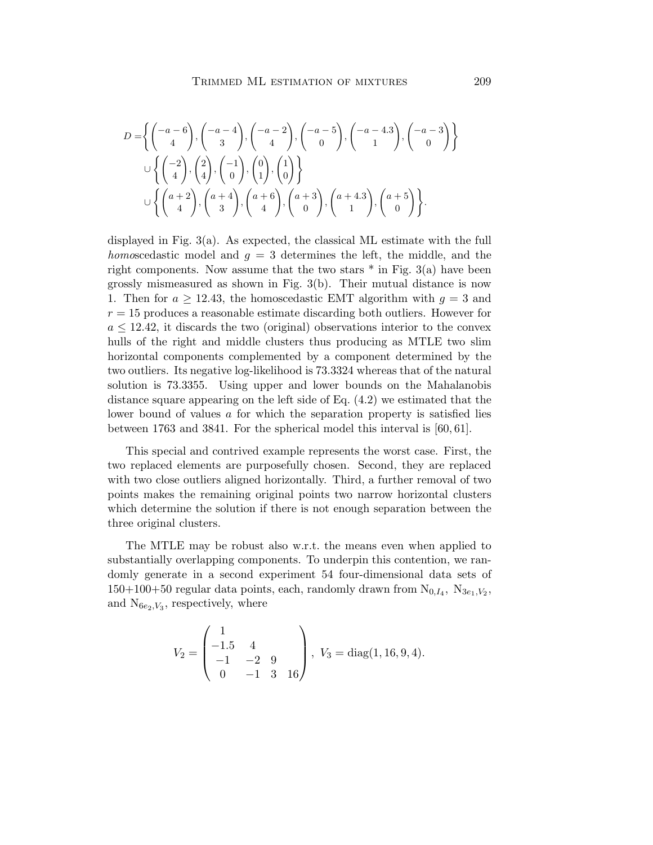$$
D = \left\{ \begin{pmatrix} -a-6 \\ 4 \end{pmatrix}, \begin{pmatrix} -a-4 \\ 3 \end{pmatrix}, \begin{pmatrix} -a-2 \\ 4 \end{pmatrix}, \begin{pmatrix} -a-5 \\ 0 \end{pmatrix}, \begin{pmatrix} -a-4.3 \\ 1 \end{pmatrix}, \begin{pmatrix} -a-3 \\ 0 \end{pmatrix} \right\}
$$
  

$$
\cup \left\{ \begin{pmatrix} -2 \\ 4 \end{pmatrix}, \begin{pmatrix} 2 \\ 4 \end{pmatrix}, \begin{pmatrix} -1 \\ 0 \end{pmatrix}, \begin{pmatrix} 0 \\ 1 \end{pmatrix}, \begin{pmatrix} 1 \\ 0 \end{pmatrix} \right\}
$$
  

$$
\cup \left\{ \begin{pmatrix} a+2 \\ 4 \end{pmatrix}, \begin{pmatrix} a+4 \\ 3 \end{pmatrix}, \begin{pmatrix} a+6 \\ 4 \end{pmatrix}, \begin{pmatrix} a+3 \\ 0 \end{pmatrix}, \begin{pmatrix} a+4.3 \\ 1 \end{pmatrix}, \begin{pmatrix} a+5 \\ 0 \end{pmatrix} \right\}.
$$

displayed in Fig.  $3(a)$ . As expected, the classical ML estimate with the full *homoscedastic* model and  $q = 3$  determines the left, the middle, and the right components. Now assume that the two stars  $*$  in Fig. 3(a) have been grossly mismeasured as shown in Fig. 3(b). Their mutual distance is now 1. Then for  $a \ge 12.43$ , the homoscedastic EMT algorithm with  $g = 3$  and  $r = 15$  produces a reasonable estimate discarding both outliers. However for  $a \leq 12.42$ , it discards the two (original) observations interior to the convex hulls of the right and middle clusters thus producing as MTLE two slim horizontal components complemented by a component determined by the two outliers. Its negative log-likelihood is 73.3324 whereas that of the natural solution is 73.3355. Using upper and lower bounds on the Mahalanobis distance square appearing on the left side of Eq. (4.2) we estimated that the lower bound of values a for which the separation property is satisfied lies between 1763 and 3841. For the spherical model this interval is [60, 61].

This special and contrived example represents the worst case. First, the two replaced elements are purposefully chosen. Second, they are replaced with two close outliers aligned horizontally. Third, a further removal of two points makes the remaining original points two narrow horizontal clusters which determine the solution if there is not enough separation between the three original clusters.

The MTLE may be robust also w.r.t. the means even when applied to substantially overlapping components. To underpin this contention, we randomly generate in a second experiment 54 four-dimensional data sets of  $150+100+50$  regular data points, each, randomly drawn from  $N_{0,I_4}$ ,  $N_{3e_1,V_2}$ , and  $N_{6e_2,V_3}$ , respectively, where

$$
V_2 = \begin{pmatrix} 1 & & & \\ -1.5 & 4 & & \\ -1 & -2 & 9 & \\ 0 & -1 & 3 & 16 \end{pmatrix}, \ V_3 = \text{diag}(1, 16, 9, 4).
$$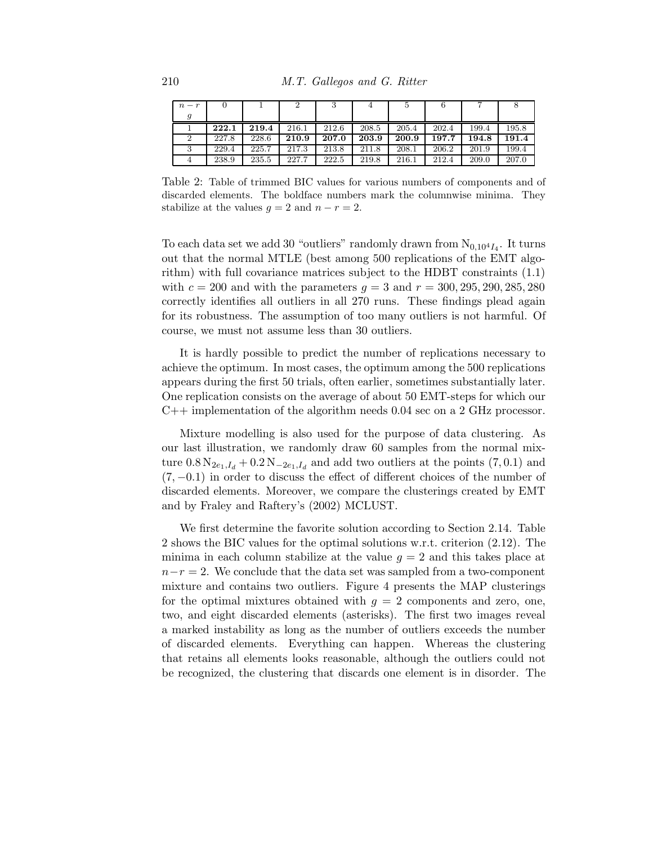| $n-r$ |       |       |       |       |       |       |       |       |       |
|-------|-------|-------|-------|-------|-------|-------|-------|-------|-------|
|       |       |       |       |       |       |       |       |       |       |
|       | 222.1 | 219.4 | 216.1 | 212.6 | 208.5 | 205.4 | 202.4 | 199.4 | 195.8 |
|       | 227.8 | 228.6 | 210.9 | 207.0 | 203.9 | 200.9 | 197.7 | 194.8 | 191.4 |
|       | 229.4 | 225.7 | 217.3 | 213.8 | 211.8 | 208.1 | 206.2 | 201.9 | 199.4 |
|       | 238.9 | 235.5 | 227.7 | 222.5 | 219.8 | 216.1 | 212.4 | 209.0 | 207.0 |

Table 2: Table of trimmed BIC values for various numbers of components and of discarded elements. The boldface numbers mark the columnwise minima. They stabilize at the values  $q = 2$  and  $n - r = 2$ .

To each data set we add 30 "outliers" randomly drawn from  $N_{0,10^4 I_4}$ . It turns out that the normal MTLE (best among 500 replications of the EMT algorithm) with full covariance matrices subject to the HDBT constraints (1.1) with  $c = 200$  and with the parameters  $g = 3$  and  $r = 300, 295, 290, 285, 280$ correctly identifies all outliers in all 270 runs. These findings plead again for its robustness. The assumption of too many outliers is not harmful. Of course, we must not assume less than 30 outliers.

It is hardly possible to predict the number of replications necessary to achieve the optimum. In most cases, the optimum among the 500 replications appears during the first 50 trials, often earlier, sometimes substantially later. One replication consists on the average of about 50 EMT-steps for which our C++ implementation of the algorithm needs 0.04 sec on a 2 GHz processor.

Mixture modelling is also used for the purpose of data clustering. As our last illustration, we randomly draw 60 samples from the normal mixture  $0.8 N_{2e_1,I_d} + 0.2 N_{-2e_1,I_d}$  and add two outliers at the points  $(7,0.1)$  and  $(7, -0.1)$  in order to discuss the effect of different choices of the number of discarded elements. Moreover, we compare the clusterings created by EMT and by Fraley and Raftery's (2002) MCLUST.

We first determine the favorite solution according to Section 2.14. Table 2 shows the BIC values for the optimal solutions w.r.t. criterion (2.12). The minima in each column stabilize at the value  $g = 2$  and this takes place at  $n-r=2$ . We conclude that the data set was sampled from a two-component mixture and contains two outliers. Figure 4 presents the MAP clusterings for the optimal mixtures obtained with  $q = 2$  components and zero, one, two, and eight discarded elements (asterisks). The first two images reveal a marked instability as long as the number of outliers exceeds the number of discarded elements. Everything can happen. Whereas the clustering that retains all elements looks reasonable, although the outliers could not be recognized, the clustering that discards one element is in disorder. The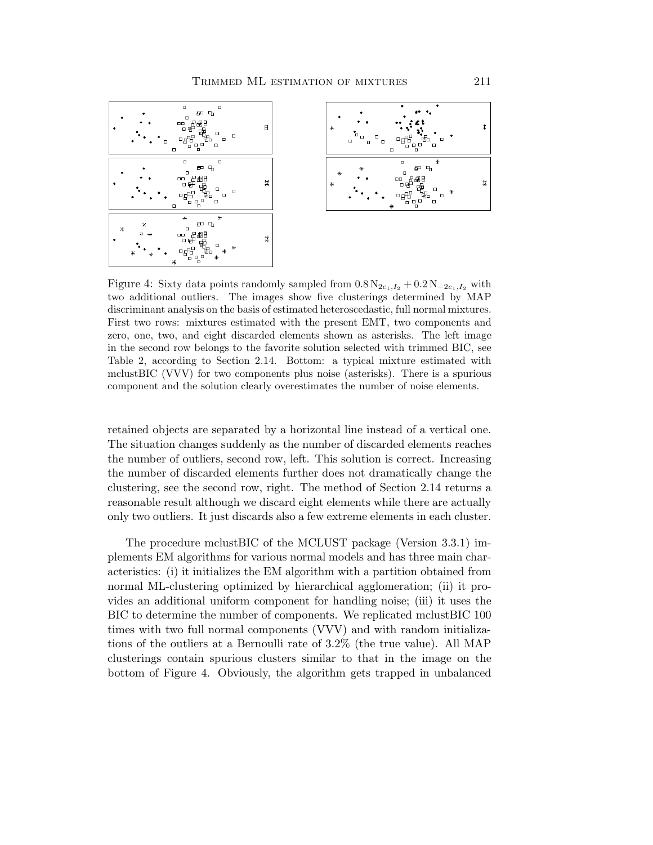

Figure 4: Sixty data points randomly sampled from  $0.8 N_{2e_1,I_2} + 0.2 N_{-2e_1,I_2}$  with two additional outliers. The images show five clusterings determined by MAP discriminant analysis on the basis of estimated heteroscedastic, full normal mixtures. First two rows: mixtures estimated with the present EMT, two components and zero, one, two, and eight discarded elements shown as asterisks. The left image in the second row belongs to the favorite solution selected with trimmed BIC, see Table 2, according to Section 2.14. Bottom: a typical mixture estimated with mclustBIC (VVV) for two components plus noise (asterisks). There is a spurious component and the solution clearly overestimates the number of noise elements.

retained objects are separated by a horizontal line instead of a vertical one. The situation changes suddenly as the number of discarded elements reaches the number of outliers, second row, left. This solution is correct. Increasing the number of discarded elements further does not dramatically change the clustering, see the second row, right. The method of Section 2.14 returns a reasonable result although we discard eight elements while there are actually only two outliers. It just discards also a few extreme elements in each cluster.

The procedure mclustBIC of the MCLUST package (Version 3.3.1) implements EM algorithms for various normal models and has three main characteristics: (i) it initializes the EM algorithm with a partition obtained from normal ML-clustering optimized by hierarchical agglomeration; (ii) it provides an additional uniform component for handling noise; (iii) it uses the BIC to determine the number of components. We replicated mclustBIC 100 times with two full normal components (VVV) and with random initializations of the outliers at a Bernoulli rate of 3.2% (the true value). All MAP clusterings contain spurious clusters similar to that in the image on the bottom of Figure 4. Obviously, the algorithm gets trapped in unbalanced

t

莱

27

놃.

四日

٣k<br>마음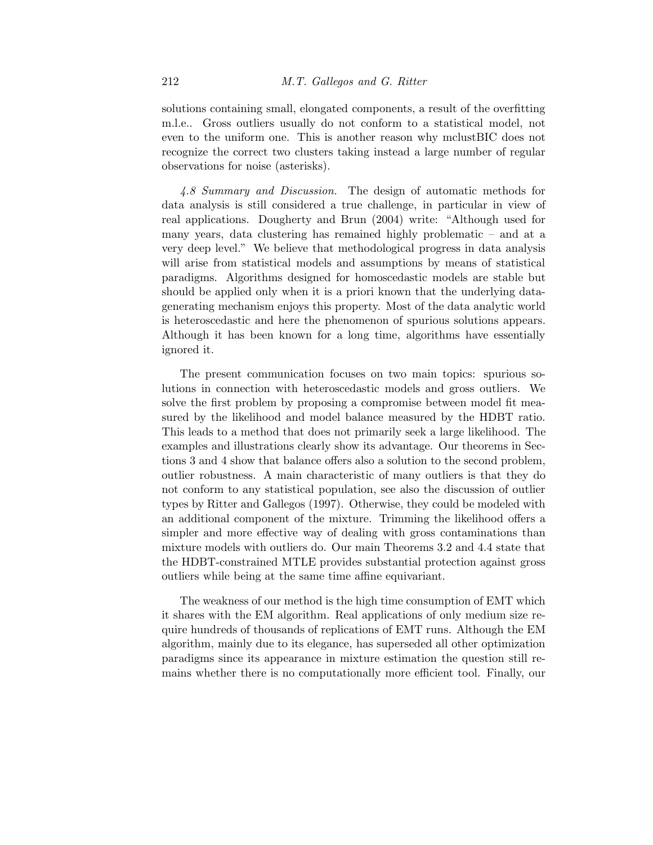solutions containing small, elongated components, a result of the overfitting m.l.e.. Gross outliers usually do not conform to a statistical model, not even to the uniform one. This is another reason why mclustBIC does not recognize the correct two clusters taking instead a large number of regular observations for noise (asterisks).

*4.8 Summary and Discussion.* The design of automatic methods for data analysis is still considered a true challenge, in particular in view of real applications. Dougherty and Brun (2004) write: "Although used for many years, data clustering has remained highly problematic – and at a very deep level." We believe that methodological progress in data analysis will arise from statistical models and assumptions by means of statistical paradigms. Algorithms designed for homoscedastic models are stable but should be applied only when it is a priori known that the underlying datagenerating mechanism enjoys this property. Most of the data analytic world is heteroscedastic and here the phenomenon of spurious solutions appears. Although it has been known for a long time, algorithms have essentially ignored it.

The present communication focuses on two main topics: spurious solutions in connection with heteroscedastic models and gross outliers. We solve the first problem by proposing a compromise between model fit measured by the likelihood and model balance measured by the HDBT ratio. This leads to a method that does not primarily seek a large likelihood. The examples and illustrations clearly show its advantage. Our theorems in Sections 3 and 4 show that balance offers also a solution to the second problem, outlier robustness. A main characteristic of many outliers is that they do not conform to any statistical population, see also the discussion of outlier types by Ritter and Gallegos (1997). Otherwise, they could be modeled with an additional component of the mixture. Trimming the likelihood offers a simpler and more effective way of dealing with gross contaminations than mixture models with outliers do. Our main Theorems 3.2 and 4.4 state that the HDBT-constrained MTLE provides substantial protection against gross outliers while being at the same time affine equivariant.

The weakness of our method is the high time consumption of EMT which it shares with the EM algorithm. Real applications of only medium size require hundreds of thousands of replications of EMT runs. Although the EM algorithm, mainly due to its elegance, has superseded all other optimization paradigms since its appearance in mixture estimation the question still remains whether there is no computationally more efficient tool. Finally, our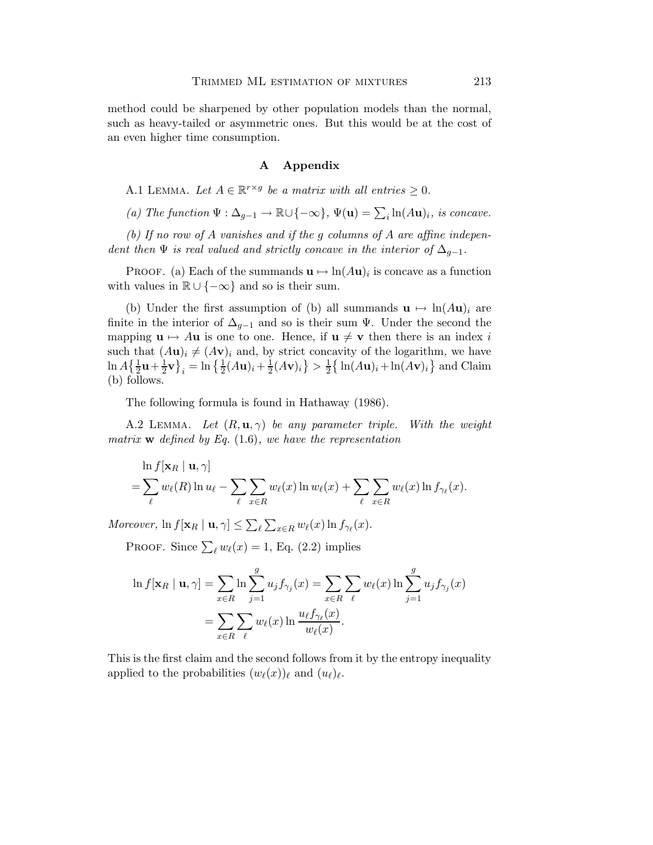method could be sharpened by other population models than the normal, such as heavy-tailed or asymmetric ones. But this would be at the cost of an even higher time consumption.

# A Appendix

A.1 LEMMA. Let  $A \in \mathbb{R}^{r \times g}$  be a matrix with all entries  $\geq 0$ .

*(a)* The function  $\Psi : \Delta_{g-1} \to \mathbb{R} \cup \{-\infty\}$ ,  $\Psi(\mathbf{u}) = \sum_i \ln(A\mathbf{u})_i$ , is concave.

*(b) If no row of* A *vanishes and if the* g *columns of* A *are affine independent then*  $\Psi$  *is real valued and strictly concave in the interior of*  $\Delta_{g-1}$ *.* 

PROOF. (a) Each of the summands  $\mathbf{u} \mapsto \ln(A\mathbf{u})_i$  is concave as a function with values in  $\mathbb{R} \cup \{-\infty\}$  and so is their sum.

(b) Under the first assumption of (b) all summands  $\mathbf{u} \mapsto \ln(A\mathbf{u})_i$  are finite in the interior of  $\Delta_{q-1}$  and so is their sum  $\Psi$ . Under the second the mapping  $\mathbf{u} \mapsto A\mathbf{u}$  is one to one. Hence, if  $\mathbf{u} \neq \mathbf{v}$  then there is an index i such that  $(Au)_i \neq (Av)_i$  and, by strict concavity of the logarithm, we have  $\ln A \left\{ \frac{1}{2} \mathbf{u} + \frac{1}{2} \right\}$  $\left[\frac{1}{2}\mathbf{v}\right]_i = \ln\left\{\frac{1}{2}(A\mathbf{u})_i + \frac{1}{2}\right\}$  $\frac{1}{2}(A\mathbf{v})_i\big\} > \frac{1}{2}$  $\frac{1}{2} \left\{ \ln(A\mathbf{u})_i + \ln(A\mathbf{v})_i \right\}$  and Claim (b) follows.

The following formula is found in Hathaway (1986).

A.2 Lemma. *Let* (R, u,γ) *be any parameter triple. With the weight matrix* w *defined by Eq.* (1.6)*, we have the representation*

$$
\ln f[\mathbf{x}_R \mid \mathbf{u}, \gamma] = \sum_{\ell} w_{\ell}(R) \ln u_{\ell} - \sum_{\ell} \sum_{x \in R} w_{\ell}(x) \ln w_{\ell}(x) + \sum_{\ell} \sum_{x \in R} w_{\ell}(x) \ln f_{\gamma_{\ell}}(x).
$$

*Moreover*,  $\ln f[\mathbf{x}_R | \mathbf{u}, \gamma] \le \sum_{\ell} \sum_{x \in R} w_{\ell}(x) \ln f_{\gamma_{\ell}}(x)$ .

PROOF. Since  $\sum_{\ell} w_{\ell}(x) = 1$ , Eq. (2.2) implies

$$
\ln f[\mathbf{x}_R \mid \mathbf{u}, \gamma] = \sum_{x \in R} \ln \sum_{j=1}^g u_j f_{\gamma_j}(x) = \sum_{x \in R} \sum_{\ell} w_{\ell}(x) \ln \sum_{j=1}^g u_j f_{\gamma_j}(x)
$$

$$
= \sum_{x \in R} \sum_{\ell} w_{\ell}(x) \ln \frac{u_{\ell} f_{\gamma_{\ell}}(x)}{w_{\ell}(x)}.
$$

This is the first claim and the second follows from it by the entropy inequality applied to the probabilities  $(w_{\ell}(x))_{\ell}$  and  $(u_{\ell})_{\ell}$ .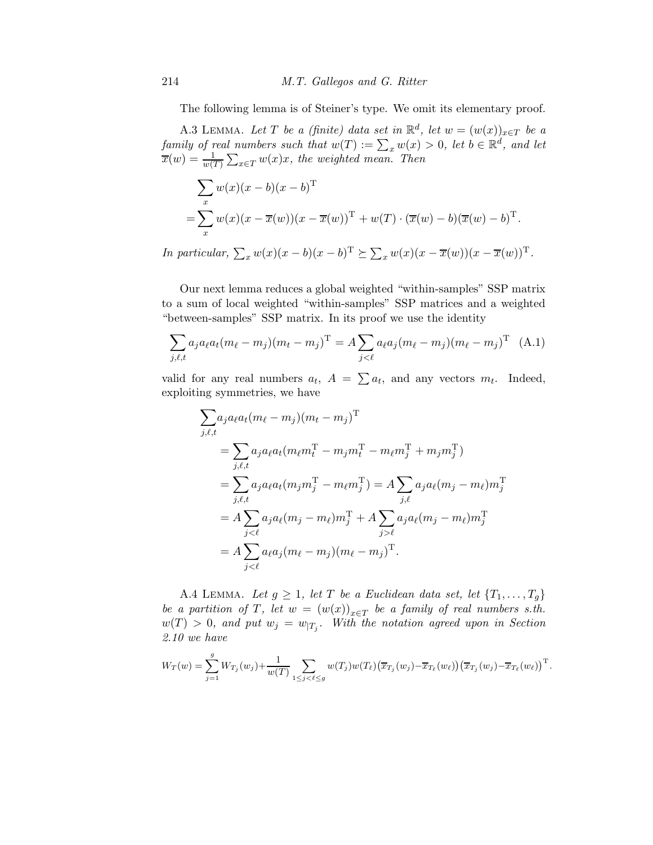The following lemma is of Steiner's type. We omit its elementary proof.

A.3 LEMMA. Let T be a (finite) data set in  $\mathbb{R}^d$ , let  $w = (w(x))_{x \in T}$  be a *family of real numbers such that*  $w(T) := \sum_x w(x) > 0$ , let  $b \in \mathbb{R}^d$ , and let  $\overline{x}(w) = \frac{1}{w(T)} \sum_{x \in T} w(x)x$ , the weighted mean. Then

$$
\sum_{x} w(x)(x - b)(x - b)^{\mathrm{T}}
$$
  
= 
$$
\sum_{x} w(x)(x - \overline{x}(w))(x - \overline{x}(w))^{\mathrm{T}} + w(T) \cdot (\overline{x}(w) - b)(\overline{x}(w) - b)^{\mathrm{T}}.
$$

*In particular,*  $\sum_x w(x)(x - b)(x - b)^T \succeq \sum_x w(x)(x - \overline{x}(w))(x - \overline{x}(w))^T$ .

Our next lemma reduces a global weighted "within-samples" SSP matrix to a sum of local weighted "within-samples" SSP matrices and a weighted "between-samples" SSP matrix. In its proof we use the identity

$$
\sum_{j,\ell,t} a_j a_\ell a_t (m_\ell - m_j) (m_t - m_j)^{\mathrm{T}} = A \sum_{j < \ell} a_\ell a_j (m_\ell - m_j) (m_\ell - m_j)^{\mathrm{T}} \tag{A.1}
$$

valid for any real numbers  $a_t$ ,  $A = \sum a_t$ , and any vectors  $m_t$ . Indeed, exploiting symmetries, we have

$$
\sum_{j,\ell,t} a_j a_\ell a_t (m_\ell - m_j) (m_t - m_j)^{\mathrm{T}} \n= \sum_{j,\ell,t} a_j a_\ell a_t (m_\ell m_t^{\mathrm{T}} - m_j m_t^{\mathrm{T}} - m_\ell m_j^{\mathrm{T}} + m_j m_j^{\mathrm{T}}) \n= \sum_{j,\ell,t} a_j a_\ell a_t (m_j m_j^{\mathrm{T}} - m_\ell m_j^{\mathrm{T}}) = A \sum_{j,\ell} a_j a_\ell (m_j - m_\ell) m_j^{\mathrm{T}} \n= A \sum_{j<\ell} a_j a_\ell (m_j - m_\ell) m_j^{\mathrm{T}} + A \sum_{j>\ell} a_j a_\ell (m_j - m_\ell) m_j^{\mathrm{T}} \n= A \sum_{j<\ell} a_\ell a_j (m_\ell - m_j) (m_\ell - m_j)^{\mathrm{T}}.
$$

A.4 LEMMA. Let  $g \geq 1$ , let T be a Euclidean data set, let  $\{T_1, \ldots, T_g\}$ *be a partition of* T, let  $w = (w(x))_{x \in T}$  *be a family of real numbers s.th.*  $w(T) > 0$ , and put  $w_j = w_{|T_j}$ . With the notation agreed upon in Section *2.10 we have*

$$
W_T(w) = \sum_{j=1}^g W_{T_j}(w_j) + \frac{1}{w(T)} \sum_{1 \leq j < \ell \leq g} w(T_j) w(T_\ell) \big( \overline{x}_{T_j}(w_j) - \overline{x}_{T_\ell}(w_\ell) \big) \big( \overline{x}_{T_j}(w_j) - \overline{x}_{T_\ell}(w_\ell) \big)^{\mathrm{T}}.
$$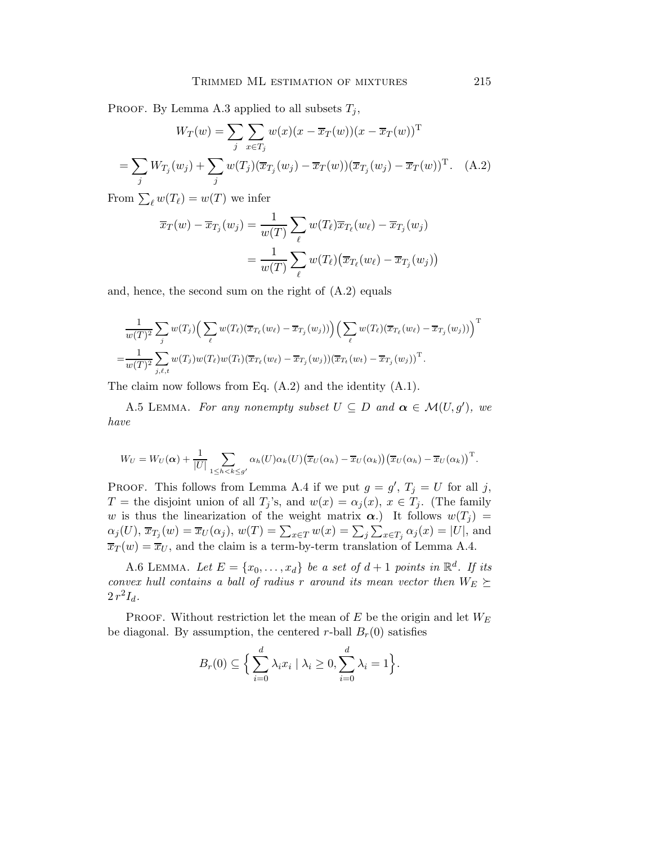PROOF. By Lemma A.3 applied to all subsets  $T_j$ ,

$$
W_T(w) = \sum_j \sum_{x \in T_j} w(x)(x - \overline{x}_T(w))(x - \overline{x}_T(w))^T
$$
  
= 
$$
\sum_j W_{T_j}(w_j) + \sum_j w(T_j)(\overline{x}_{T_j}(w_j) - \overline{x}_T(w))(\overline{x}_{T_j}(w_j) - \overline{x}_T(w))^T.
$$
 (A.2)

From  $\sum_{\ell} w(T_{\ell}) = w(T)$  we infer

$$
\overline{x}_T(w) - \overline{x}_{T_j}(w_j) = \frac{1}{w(T)} \sum_{\ell} w(T_{\ell}) \overline{x}_{T_{\ell}}(w_{\ell}) - \overline{x}_{T_j}(w_j)
$$

$$
= \frac{1}{w(T)} \sum_{\ell} w(T_{\ell}) (\overline{x}_{T_{\ell}}(w_{\ell}) - \overline{x}_{T_j}(w_j))
$$

and, hence, the second sum on the right of (A.2) equals

$$
\frac{1}{w(T)^2} \sum_j w(T_j) \Big( \sum_\ell w(T_\ell) (\overline{x}_{T_\ell}(w_\ell) - \overline{x}_{T_j}(w_j)) \Big) \Big( \sum_\ell w(T_\ell) (\overline{x}_{T_\ell}(w_\ell) - \overline{x}_{T_j}(w_j)) \Big)^{\mathrm{T}}
$$
  

$$
= \frac{1}{w(T)^2} \sum_{j,\ell,t} w(T_j) w(T_\ell) w(T_t) (\overline{x}_{T_\ell}(w_\ell) - \overline{x}_{T_j}(w_j)) (\overline{x}_{T_\ell}(w_t) - \overline{x}_{T_j}(w_j))^\mathrm{T}.
$$

The claim now follows from Eq. (A.2) and the identity (A.1).

A.5 LEMMA. *For any nonempty subset*  $U \subseteq D$  *and*  $\alpha \in \mathcal{M}(U, g')$ , we *have*

$$
W_U = W_U(\boldsymbol{\alpha}) + \frac{1}{|U|} \sum_{1 \leq h < k \leq g'} \alpha_h(U) \alpha_k(U) \big( \overline{x}_U(\alpha_h) - \overline{x}_U(\alpha_k) \big) \big( \overline{x}_U(\alpha_h) - \overline{x}_U(\alpha_k) \big)^{\mathrm{T}}.
$$

PROOF. This follows from Lemma A.4 if we put  $g = g'$ ,  $T_j = U$  for all j, T = the disjoint union of all  $T_j$ 's, and  $w(x) = \alpha_j(x)$ ,  $x \in T_j$ . (The family w is thus the linearization of the weight matrix  $\alpha$ .) It follows  $w(T_i)$  =  $\alpha_j(U)$ ,  $\overline{x}_{T_j}(w) = \overline{x}_U(\alpha_j)$ ,  $w(T) = \sum_{x \in T} w(x) = \sum_j \sum_{x \in T_j} \alpha_j(x) = |U|$ , and  $\overline{x}_T(w) = \overline{x}_U$ , and the claim is a term-by-term translation of Lemma A.4.

A.6 LEMMA. Let  $E = \{x_0, \ldots, x_d\}$  be a set of  $d+1$  points in  $\mathbb{R}^d$ . If its *convex hull contains a ball of radius* r *around its mean vector then*  $W_E \succeq$  $2 r^2 I_d$ .

PROOF. Without restriction let the mean of  $E$  be the origin and let  $W_E$ be diagonal. By assumption, the centered r-ball  $B_r(0)$  satisfies

$$
B_r(0) \subseteq \Big\{ \sum_{i=0}^d \lambda_i x_i \mid \lambda_i \ge 0, \sum_{i=0}^d \lambda_i = 1 \Big\}.
$$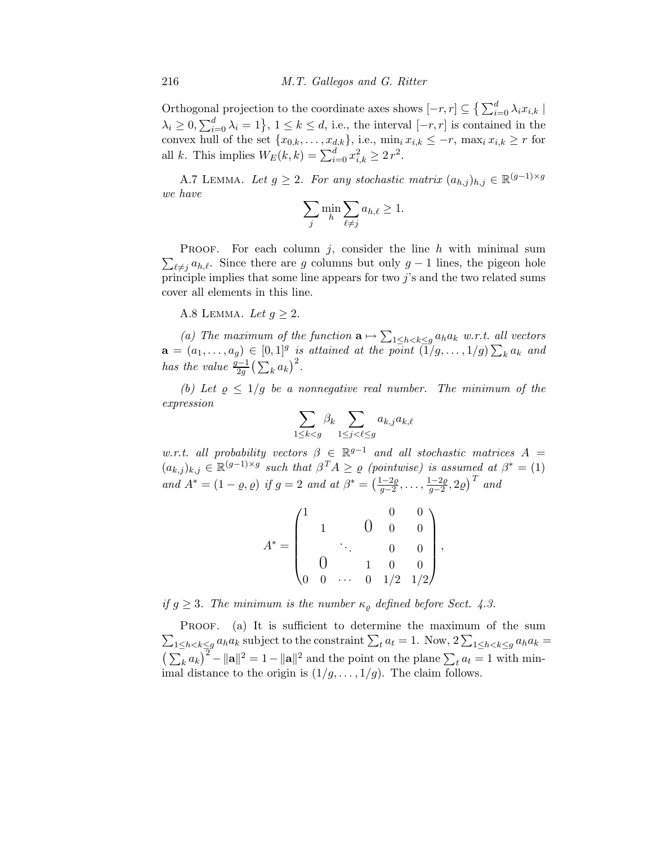Orthogonal projection to the coordinate axes shows  $[-r, r] \subseteq \left\{ \sum_{i=0}^{d} \lambda_i x_{i,k} \mid \right\}$  $\lambda_i \geq 0, \sum_{i=0}^d \lambda_i = 1$ ,  $1 \leq k \leq d$ , i.e., the interval  $[-r, r]$  is contained in the convex hull of the set  $\{x_{0,k},\ldots,x_{d,k}\}\text{, i.e., } \min_{i} x_{i,k} \leq -r\text{, } \max_{i} x_{i,k} \geq r \text{ for }$ all k. This implies  $W_E(k, k) = \sum_{i=0}^{d} x_{i,k}^2 \ge 2 r^2$ .

A.7 LEMMA. Let  $g \geq 2$ . For any stochastic matrix  $(a_{h,j})_{h,j} \in \mathbb{R}^{(g-1)\times g}$ *we have*

$$
\sum_j \min_h \sum_{\ell \neq j} a_{h,\ell} \geq 1.
$$

 $\sum_{\ell \neq j} a_{h,\ell}$ . Since there are g columns but only g – 1 lines, the pigeon hole **PROOF.** For each column j, consider the line h with minimal sum principle implies that some line appears for two  $j$ 's and the two related sums cover all elements in this line.

A.8 LEMMA. Let  $q \geq 2$ .

(a) The maximum of the function  $\mathbf{a} \mapsto \sum_{1 \leq h < k \leq g} a_h a_k \ w.r.t.$  all vectors  $\mathbf{a} = (a_1, \ldots, a_g) \in [0, 1]^g$  is attained at the point  $(\vec{1}/g, \ldots, 1/g) \sum_k a_k$  and *has the value*  $\frac{g-1}{2g} \left( \sum_k a_k \right)^2$ .

*(b)* Let  $\rho \leq 1/g$  be a nonnegative real number. The minimum of the *expression*

$$
\sum_{1\leq k
$$

*w.r.t. all probability vectors*  $\beta \in \mathbb{R}^{g-1}$  *and all stochastic matrices*  $A =$  $(a_{k,j})_{k,j} \in \mathbb{R}^{(g-1)\times g}$  such that  $\beta^T A \geq \varrho$  (pointwise) is assumed at  $\beta^* = (1)$ *and*  $A^* = (1 - \varrho, \varrho)$  *if*  $g = 2$  *and at*  $\beta^* = \left(\frac{1 - 2\varrho}{g - 2}\right)$  $\frac{1-2\varrho}{g-2},\ldots,\frac{1-2\varrho}{g-2}$  $\frac{(1-2\varrho}{g-2}, 2\varrho)$ <sup>T</sup> and

$$
A^* = \begin{pmatrix} 1 & & 0 & 0 & 0 \\ & 1 & & 0 & 0 & 0 \\ & & \ddots & & 0 & 0 \\ 0 & & 1 & 0 & 0 \\ 0 & 0 & \cdots & 0 & 1/2 & 1/2 \end{pmatrix},
$$

*if*  $g \geq 3$ *. The minimum is the number*  $\kappa_{\rho}$  *defined before Sect. 4.3.* 

 $\sum_{1 \leq h < k \leq g} a_h a_k$  subject to the constraint  $\sum_t a_t = 1$ . Now,  $2 \sum_{1 \leq h < k \leq g} a_h a_k =$ PROOF. (a) It is sufficient to determine the maximum of the sum  $\left(\sum_k a_k\right)^2 - ||\mathbf{a}||^2 = 1 - ||\mathbf{a}||^2$  and the point on the plane  $\sum_t a_t = 1$  with minimal distance to the origin is  $(1/g, \ldots, 1/g)$ . The claim follows.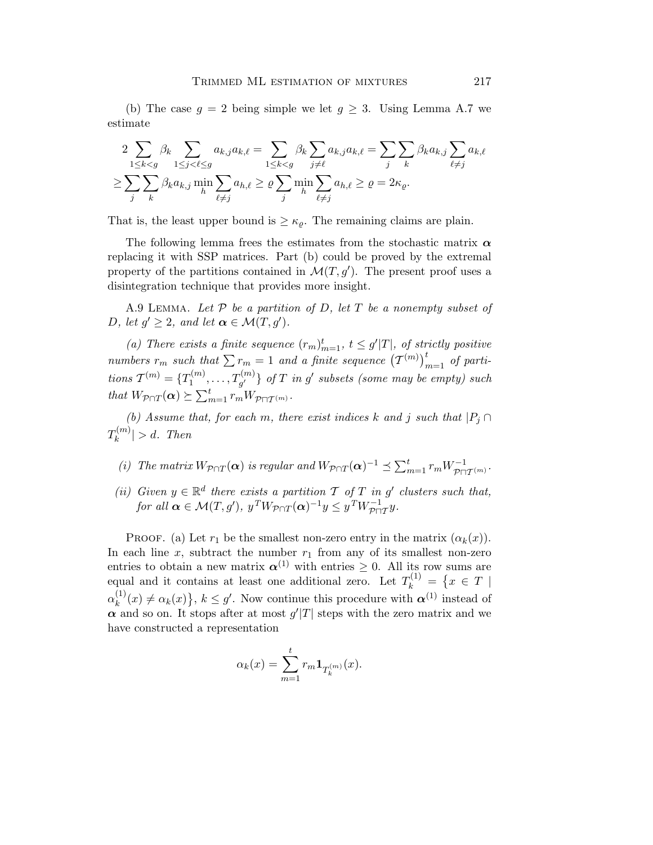(b) The case  $g = 2$  being simple we let  $g \geq 3$ . Using Lemma A.7 we estimate

$$
2\sum_{1\leq k< g} \beta_k \sum_{1\leq j< \ell \leq g} a_{k,j} a_{k,\ell} = \sum_{1\leq k< g} \beta_k \sum_{j\neq \ell} a_{k,j} a_{k,\ell} = \sum_j \sum_k \beta_k a_{k,j} \sum_{\ell\neq j} a_{k,\ell}
$$
  

$$
\geq \sum_j \sum_k \beta_k a_{k,j} \min_h \sum_{\ell\neq j} a_{h,\ell} \geq \varrho \sum_j \min_h \sum_{\ell\neq j} a_{h,\ell} \geq \varrho = 2\kappa_{\varrho}.
$$

That is, the least upper bound is  $\geq \kappa_{\varrho}$ . The remaining claims are plain.

The following lemma frees the estimates from the stochastic matrix  $\alpha$ replacing it with SSP matrices. Part (b) could be proved by the extremal property of the partitions contained in  $\mathcal{M}(T, g')$ . The present proof uses a disintegration technique that provides more insight.

A.9 Lemma. *Let* P *be a partition of* D*, let* T *be a nonempty subset of* D, let  $g' \geq 2$ , and let  $\alpha \in \mathcal{M}(T, g')$ .

(a) There exists a finite sequence  $(r_m)_{m=1}^t$ ,  $t \leq g'|T|$ , of strictly positive *numbers*  $r_m$  such that  $\sum r_m = 1$  and a finite sequence  $(\mathcal{T}^{(m)})_{m=1}^t$  of parti $tions \mathcal{T}^{(m)} = \{T_1^{(m)}\}$  $\{T_1^{(m)},\ldots,T_{g'}^{(m)}\}$  of  $T$  in  $g'$  subsets (some may be empty) such *that*  $W_{\mathcal{P} \cap T}(\boldsymbol{\alpha}) \succeq \sum_{m=1}^{t} r_m W_{\mathcal{P} \cap T^{(m)}}$ *.* 

*(b)* Assume that, for each m, there exist indices k and j such that  $|P_i \cap$  $T_k^{(m)}$  $|k^{(m)}| > d$ . Then

- *(i)* The matrix  $W_{\mathcal{P} \cap T}(\boldsymbol{\alpha})$  *is regular and*  $W_{\mathcal{P} \cap T}(\boldsymbol{\alpha})^{-1} \preceq \sum_{m=1}^{t} r_m W_{\mathcal{P} \cap T(m)}^{-1}$ .
- (*ii*) Given  $y \in \mathbb{R}^d$  there exists a partition  $\mathcal T$  of  $T$  *in*  $g'$  clusters such that, *for all*  $\boldsymbol{\alpha} \in \mathcal{M}(T, g')$ ,  $y^T W_{\mathcal{P} \cap T}(\boldsymbol{\alpha})^{-1} y \leq y^T W_{\mathcal{P} \cap T}^{-1} y$ .

PROOF. (a) Let  $r_1$  be the smallest non-zero entry in the matrix  $(\alpha_k(x))$ . In each line x, subtract the number  $r_1$  from any of its smallest non-zero entries to obtain a new matrix  $\alpha^{(1)}$  with entries  $\geq 0$ . All its row sums are equal and it contains at least one additional zero. Let  $T_k^{(1)} = \{x \in T \mid k\}$  $\alpha_k^{(1)}$  $(k)$   $\neq \alpha_k(x)$ ,  $k \leq g'$ . Now continue this procedure with  $\alpha^{(1)}$  instead of  $\alpha$  and so on. It stops after at most  $g'|T|$  steps with the zero matrix and we have constructed a representation

$$
\alpha_k(x) = \sum_{m=1}^t r_m \mathbf{1}_{T_k^{(m)}}(x).
$$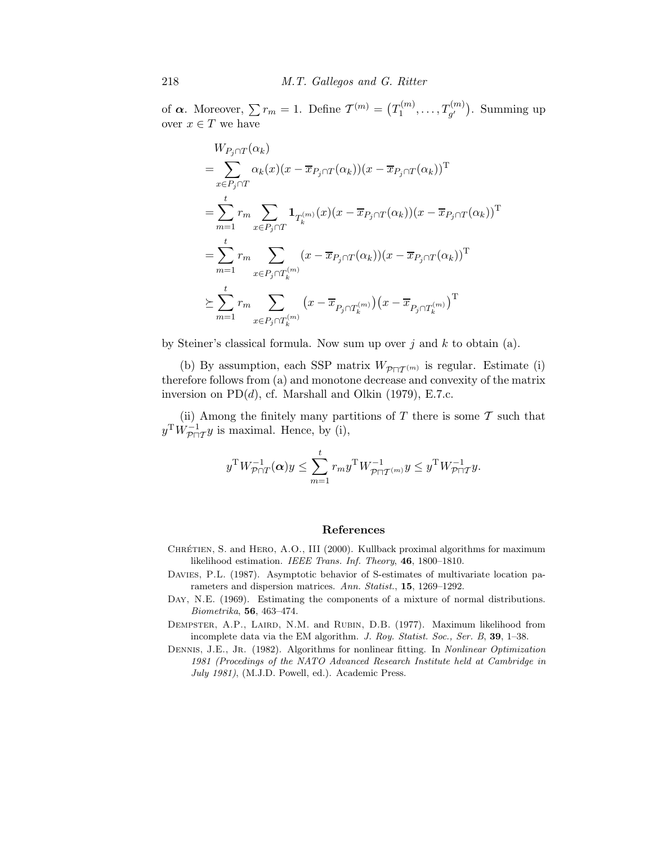of  $\boldsymbol{\alpha}$ . Moreover,  $\sum r_m = 1$ . Define  $\mathcal{T}^{(m)} = (T_1^{(m)}$  $T_1^{(m)},\ldots,T_{g'}^{(m)}$ ). Summing up over  $x \in T$  we have

$$
W_{P_j \cap T}(\alpha_k)
$$
  
= 
$$
\sum_{x \in P_j \cap T} \alpha_k(x)(x - \overline{x}_{P_j \cap T}(\alpha_k))(x - \overline{x}_{P_j \cap T}(\alpha_k))^T
$$
  
= 
$$
\sum_{m=1}^t r_m \sum_{x \in P_j \cap T} \mathbf{1}_{T_k^{(m)}}(x)(x - \overline{x}_{P_j \cap T}(\alpha_k))(x - \overline{x}_{P_j \cap T}(\alpha_k))^T
$$
  
= 
$$
\sum_{m=1}^t r_m \sum_{x \in P_j \cap T_k^{(m)}} (x - \overline{x}_{P_j \cap T}(\alpha_k))(x - \overline{x}_{P_j \cap T}(\alpha_k))^T
$$
  

$$
\geq \sum_{m=1}^t r_m \sum_{x \in P_j \cap T_k^{(m)}} (x - \overline{x}_{P_j \cap T_k^{(m)}})(x - \overline{x}_{P_j \cap T_k^{(m)}})^T
$$

by Steiner's classical formula. Now sum up over  $j$  and  $k$  to obtain (a).

(b) By assumption, each SSP matrix  $W_{\mathcal{P}\sqcap\mathcal{T}^{(m)}}$  is regular. Estimate (i) therefore follows from (a) and monotone decrease and convexity of the matrix inversion on  $PD(d)$ , cf. Marshall and Olkin (1979), E.7.c.

(ii) Among the finitely many partitions of  $T$  there is some  $\mathcal T$  such that  $y^T W^{-1}_{\mathcal{P} \sqcap \mathcal{T}} y$  is maximal. Hence, by (i),

$$
y^{\mathrm{T}} W_{\mathcal{P}\cap T}^{-1}(\boldsymbol{\alpha}) y \leq \sum_{m=1}^t r_m y^{\mathrm{T}} W_{\mathcal{P}\cap T^{(m)}}^{-1} y \leq y^{\mathrm{T}} W_{\mathcal{P}\cap T}^{-1} y.
$$

### References

- CHRÉTIEN, S. and HERO, A.O., III (2000). Kullback proximal algorithms for maximum likelihood estimation. *IEEE Trans. Inf. Theory*, 46, 1800–1810.
- DAVIES, P.L. (1987). Asymptotic behavior of S-estimates of multivariate location parameters and dispersion matrices. *Ann. Statist.*, 15, 1269–1292.
- DAY, N.E. (1969). Estimating the components of a mixture of normal distributions. *Biometrika*, 56, 463–474.
- DEMPSTER, A.P., LAIRD, N.M. and RUBIN, D.B. (1977). Maximum likelihood from incomplete data via the EM algorithm. *J. Roy. Statist. Soc., Ser. B*, 39, 1–38.
- Dennis, J.E., Jr. (1982). Algorithms for nonlinear fitting. In *Nonlinear Optimization 1981 (Procedings of the NATO Advanced Research Institute held at Cambridge in July 1981)*, (M.J.D. Powell, ed.). Academic Press.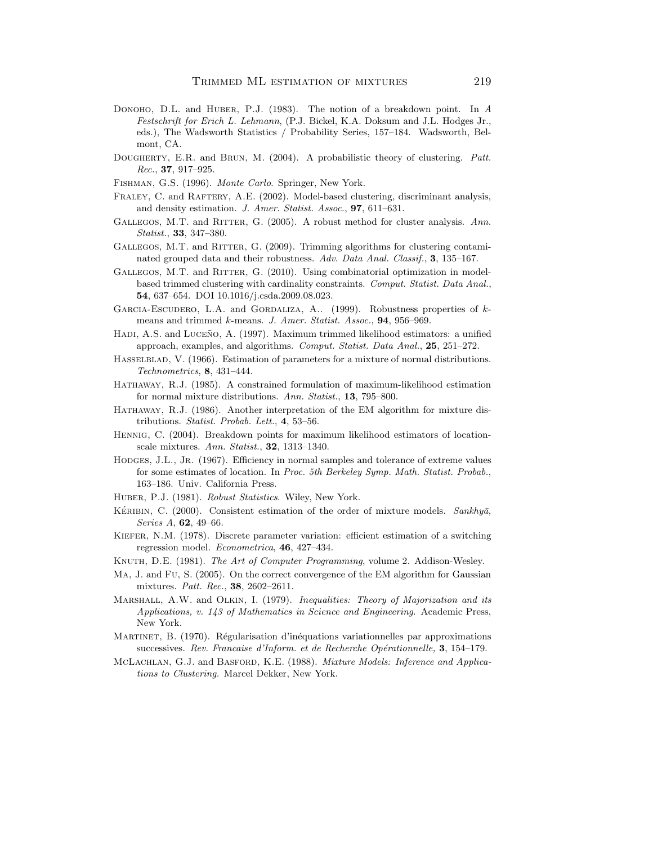- Donoho, D.L. and Huber, P.J. (1983). The notion of a breakdown point. In *A Festschrift for Erich L. Lehmann*, (P.J. Bickel, K.A. Doksum and J.L. Hodges Jr., eds.), The Wadsworth Statistics / Probability Series, 157–184. Wadsworth, Belmont, CA.
- Dougherty, E.R. and Brun, M. (2004). A probabilistic theory of clustering. *Patt. Rec.*, 37, 917–925.
- Fishman, G.S. (1996). *Monte Carlo*. Springer, New York.
- FRALEY, C. and RAFTERY, A.E. (2002). Model-based clustering, discriminant analysis, and density estimation. *J. Amer. Statist. Assoc.*, 97, 611–631.
- GALLEGOS, M.T. and RITTER, G. (2005). A robust method for cluster analysis. Ann. *Statist.*, 33, 347–380.
- GALLEGOS, M.T. and RITTER, G. (2009). Trimming algorithms for clustering contaminated grouped data and their robustness. *Adv. Data Anal. Classif.*, 3, 135–167.
- GALLEGOS, M.T. and RITTER, G. (2010). Using combinatorial optimization in modelbased trimmed clustering with cardinality constraints. *Comput. Statist. Data Anal.*, 54, 637–654. DOI 10.1016/j.csda.2009.08.023.
- GARCIA-ESCUDERO, L.A. and GORDALIZA, A.. (1999). Robustness properties of kmeans and trimmed k-means. *J. Amer. Statist. Assoc.*, 94, 956–969.
- HADI, A.S. and LUCEÑO, A. (1997). Maximum trimmed likelihood estimators: a unified approach, examples, and algorithms. *Comput. Statist. Data Anal.*, 25, 251–272.
- Hasselblad, V. (1966). Estimation of parameters for a mixture of normal distributions. *Technometrics*, 8, 431–444.
- Hathaway, R.J. (1985). A constrained formulation of maximum-likelihood estimation for normal mixture distributions. *Ann. Statist.*, 13, 795–800.
- Hathaway, R.J. (1986). Another interpretation of the EM algorithm for mixture distributions. *Statist. Probab. Lett.*, 4, 53–56.
- Hennig, C. (2004). Breakdown points for maximum likelihood estimators of locationscale mixtures. *Ann. Statist.*, 32, 1313–1340.
- HODGES, J.L., JR. (1967). Efficiency in normal samples and tolerance of extreme values for some estimates of location. In *Proc. 5th Berkeley Symp. Math. Statist. Probab.*, 163–186. Univ. California Press.
- Huber, P.J. (1981). *Robust Statistics*. Wiley, New York.
- KÉRIBIN, C. (2000). Consistent estimation of the order of mixture models. *Sankhyā*, *Series A*, 62, 49–66.
- KIEFER, N.M. (1978). Discrete parameter variation: efficient estimation of a switching regression model. *Econometrica*, 46, 427–434.
- Knuth, D.E. (1981). *The Art of Computer Programming*, volume 2. Addison-Wesley.
- Ma, J. and Fu, S. (2005). On the correct convergence of the EM algorithm for Gaussian mixtures. *Patt. Rec.*, 38, 2602–2611.
- Marshall, A.W. and Olkin, I. (1979). *Inequalities: Theory of Majorization and its Applications, v. 143 of Mathematics in Science and Engineering*. Academic Press, New York.
- MARTINET, B. (1970). Régularisation d'inéquations variationnelles par approximations successives. Rev. Francaise d'Inform. et de Recherche Opérationnelle, 3, 154–179.
- McLachlan, G.J. and Basford, K.E. (1988). *Mixture Models: Inference and Applications to Clustering.* Marcel Dekker, New York.